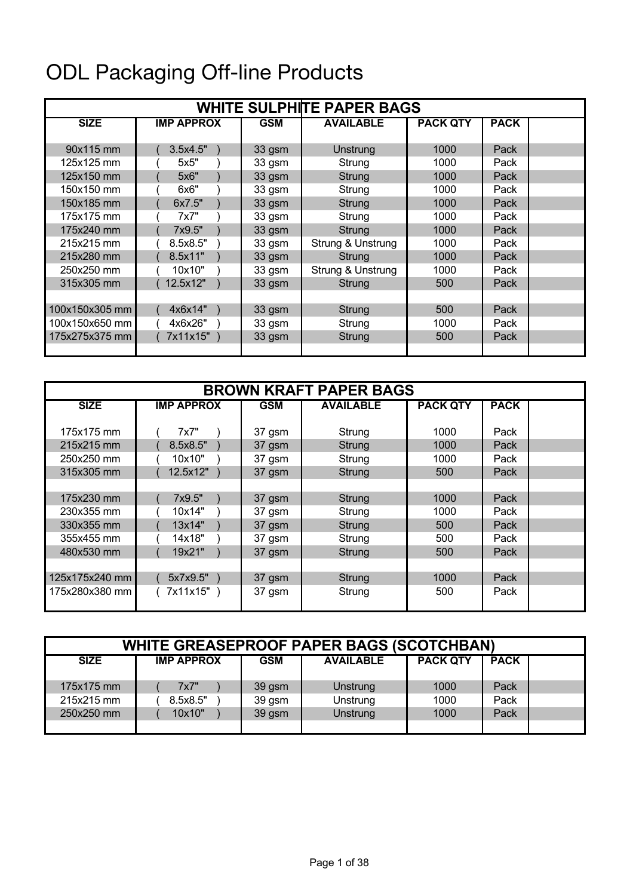## ODL Packaging Off-line Products

| <b>WHITE SULPHITE PAPER BAGS</b> |                   |            |                   |                 |             |  |  |  |
|----------------------------------|-------------------|------------|-------------------|-----------------|-------------|--|--|--|
| <b>SIZE</b>                      | <b>IMP APPROX</b> | <b>GSM</b> | <b>AVAILABLE</b>  | <b>PACK QTY</b> | <b>PACK</b> |  |  |  |
|                                  |                   |            |                   |                 |             |  |  |  |
| 90x115 mm                        | 3.5x4.5"          | 33 gsm     | Unstrung          | 1000            | Pack        |  |  |  |
| 125x125 mm                       | 5x5"              | 33 gsm     | Strung            | 1000            | Pack        |  |  |  |
| 125x150 mm                       | 5x6"              | 33 gsm     | Strung            | 1000            | Pack        |  |  |  |
| 150x150 mm                       | 6x6"              | 33 gsm     | Strung            | 1000            | Pack        |  |  |  |
| 150x185 mm                       | 6x7.5"            | 33 gsm     | Strung            | 1000            | Pack        |  |  |  |
| 175x175 mm                       | 7x7"              | 33 gsm     | Strung            | 1000            | Pack        |  |  |  |
| 175x240 mm                       | 7x9.5"            | 33 gsm     | Strung            | 1000            | Pack        |  |  |  |
| 215x215 mm                       | 8.5x8.5"          | 33 gsm     | Strung & Unstrung | 1000            | Pack        |  |  |  |
| 215x280 mm                       | 8.5x11"           | 33 gsm     | Strung            | 1000            | Pack        |  |  |  |
| 250x250 mm                       | 10x10"            | 33 gsm     | Strung & Unstrung | 1000            | Pack        |  |  |  |
| 315x305 mm                       | 12.5x12"          | 33 gsm     | Strung            | 500             | Pack        |  |  |  |
|                                  |                   |            |                   |                 |             |  |  |  |
| 100x150x305 mm                   | 4x6x14"           | 33 gsm     | Strung            | 500             | Pack        |  |  |  |
| 100x150x650 mm                   | 4x6x26"           | 33 gsm     | Strung            | 1000            | Pack        |  |  |  |
| 175x275x375 mm                   | 7x11x15"          | 33 gsm     | Strung            | 500             | Pack        |  |  |  |
|                                  |                   |            |                   |                 |             |  |  |  |

| <b>BROWN KRAFT PAPER BAGS</b> |                   |            |                  |                 |             |  |  |  |
|-------------------------------|-------------------|------------|------------------|-----------------|-------------|--|--|--|
| <b>SIZE</b>                   | <b>IMP APPROX</b> | <b>GSM</b> | <b>AVAILABLE</b> | <b>PACK QTY</b> | <b>PACK</b> |  |  |  |
| 175x175 mm                    | 7x7"              | 37 gsm     | Strung           | 1000            | Pack        |  |  |  |
| 215x215 mm                    | 8.5x8.5"          | 37 gsm     | Strung           | 1000            | Pack        |  |  |  |
| 250x250 mm                    | 10x10"            | 37 gsm     | Strung           | 1000            | Pack        |  |  |  |
| 315x305 mm                    | 12.5x12"          | 37 gsm     | Strung           | 500             | Pack        |  |  |  |
| 175x230 mm                    | 7x9.5"            | 37 gsm     | Strung           | 1000            | Pack        |  |  |  |
| 230x355 mm                    | 10x14"            | 37 gsm     | Strung           | 1000            | Pack        |  |  |  |
| 330x355 mm                    | 13x14"            | 37 gsm     | Strung           | 500             | Pack        |  |  |  |
| 355x455 mm                    | 14x18"            | 37 gsm     | Strung           | 500             | Pack        |  |  |  |
| 480x530 mm                    | 19x21"            | 37 gsm     | Strung           | 500             | Pack        |  |  |  |
| 125x175x240 mm                | 5x7x9.5")         | 37 gsm     | Strung           | 1000            | Pack        |  |  |  |
| 175x280x380 mm                | 7x11x15")         | 37 gsm     | Strung           | 500             | Pack        |  |  |  |

| <b>WHITE GREASEPROOF PAPER BAGS (SCOTCHBAN)</b> |                   |            |                  |                 |             |  |  |
|-------------------------------------------------|-------------------|------------|------------------|-----------------|-------------|--|--|
| <b>SIZE</b>                                     | <b>IMP APPROX</b> | <b>GSM</b> | <b>AVAILABLE</b> | <b>PACK QTY</b> | <b>PACK</b> |  |  |
|                                                 |                   |            |                  |                 |             |  |  |
| 175x175 mm                                      | 7x7"              | 39 gsm     | Unstrung         | 1000            | Pack        |  |  |
| 215x215 mm                                      | 8.5x8.5"          | 39 gsm     | Unstrung         | 1000            | Pack        |  |  |
| 250x250 mm                                      | 10x10"            | 39 gsm     | <b>Unstrung</b>  | 1000            | Pack        |  |  |
|                                                 |                   |            |                  |                 |             |  |  |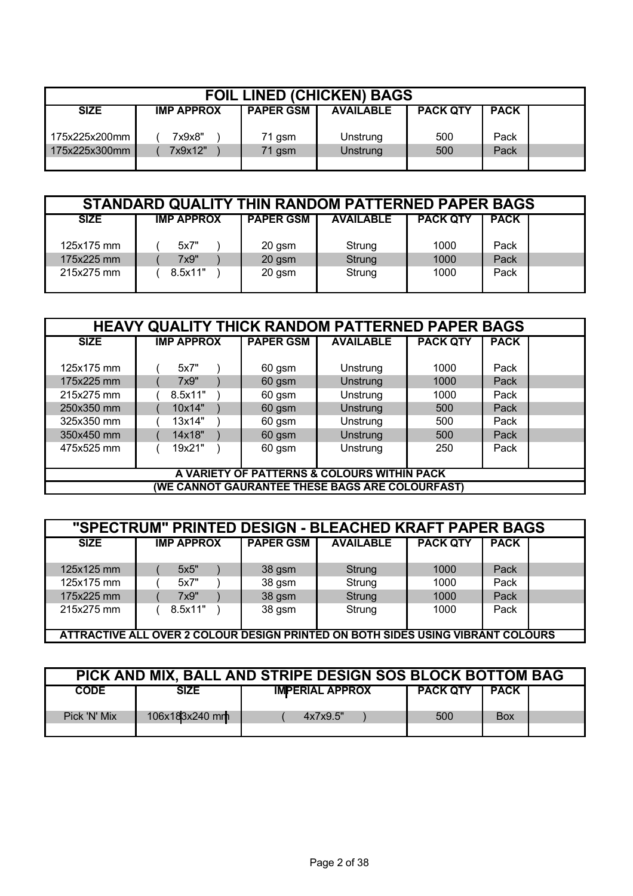| <b>FOIL LINED (CHICKEN) BAGS</b> |                   |                  |                  |                 |             |  |
|----------------------------------|-------------------|------------------|------------------|-----------------|-------------|--|
| <b>SIZE</b>                      | <b>IMP APPROX</b> | <b>PAPER GSM</b> | <b>AVAILABLE</b> | <b>PACK QTY</b> | <b>PACK</b> |  |
| 175x225x200mm                    | 7x9x8"            | 71 gsm           | Unstrung         | 500             | Pack        |  |
| 175x225x300mm                    | 7x9x12"           | 71 gsm           | Unstrung         | 500             | Pack        |  |
|                                  |                   |                  |                  |                 |             |  |

| STANDARD QUALITY THIN RANDOM PATTERNED PAPER BAGS |                   |                  |                  |                 |             |  |  |
|---------------------------------------------------|-------------------|------------------|------------------|-----------------|-------------|--|--|
| <b>SIZE</b>                                       | <b>IMP APPROX</b> | <b>PAPER GSM</b> | <b>AVAILABLE</b> | <b>PACK QTY</b> | <b>PACK</b> |  |  |
| 125x175 mm                                        | 5x7"              | 20 gsm           | Strung           | 1000            | Pack        |  |  |
| 175x225 mm                                        | 7x9"              | 20 gsm           | Strung           | 1000            | Pack        |  |  |
| 215x275 mm                                        | 8.5x11"           | 20 gsm           | Strung           | 1000            | Pack        |  |  |

| <b>HEAVY QUALITY THICK RANDOM PATTERNED PAPER BAGS</b> |                                             |                  |                                                 |                 |             |  |  |  |
|--------------------------------------------------------|---------------------------------------------|------------------|-------------------------------------------------|-----------------|-------------|--|--|--|
| <b>SIZE</b>                                            | <b>IMP APPROX</b>                           | <b>PAPER GSM</b> | <b>AVAILABLE</b>                                | <b>PACK QTY</b> | <b>PACK</b> |  |  |  |
|                                                        |                                             |                  |                                                 |                 |             |  |  |  |
| 125x175 mm                                             | 5x7"                                        | 60 gsm           | Unstrung                                        | 1000            | Pack        |  |  |  |
| 175x225 mm                                             | 7x9"                                        | 60 gsm           | <b>Unstrung</b>                                 | 1000            | Pack        |  |  |  |
| 215x275 mm                                             | 8.5x11"                                     | 60 gsm           | Unstrung                                        | 1000            | Pack        |  |  |  |
| 250x350 mm                                             | 10x14"                                      | 60 gsm           | Unstrung                                        | 500             | Pack        |  |  |  |
| 325x350 mm                                             | 13x14"                                      | 60 gsm           | Unstrung                                        | 500             | Pack        |  |  |  |
| 350x450 mm                                             | 14x18"                                      | 60 gsm           | <b>Unstrung</b>                                 | 500             | Pack        |  |  |  |
| 475x525 mm                                             | 19x21"                                      | 60 gsm           | Unstrung                                        | 250             | Pack        |  |  |  |
|                                                        |                                             |                  |                                                 |                 |             |  |  |  |
|                                                        | A VARIETY OF PATTERNS & COLOURS WITHIN PACK |                  |                                                 |                 |             |  |  |  |
|                                                        |                                             |                  | (WE CANNOT GAURANTEE THESE BAGS ARE COLOURFAST) |                 |             |  |  |  |

| "SPECTRUM" PRINTED DESIGN - BLEACHED KRAFT PAPER BAGS |                                                                                 |                  |                  |                 |             |  |  |  |
|-------------------------------------------------------|---------------------------------------------------------------------------------|------------------|------------------|-----------------|-------------|--|--|--|
| <b>SIZE</b>                                           | <b>IMP APPROX</b>                                                               | <b>PAPER GSM</b> | <b>AVAILABLE</b> | <b>PACK QTY</b> | <b>PACK</b> |  |  |  |
|                                                       |                                                                                 |                  |                  |                 |             |  |  |  |
| 125x125 mm                                            | 5x5"                                                                            | 38 gsm           | Strung           | 1000            | Pack        |  |  |  |
| 125x175 mm                                            | 5x7"                                                                            | 38 gsm           | Strung           | 1000            | Pack        |  |  |  |
| 175x225 mm                                            | 7x9"                                                                            | 38 gsm           | Strung           | 1000            | Pack        |  |  |  |
| 215x275 mm                                            | 8.5x11"                                                                         | 38 gsm           | Strung           | 1000            | Pack        |  |  |  |
|                                                       |                                                                                 |                  |                  |                 |             |  |  |  |
|                                                       | ATTRACTIVE ALL OVER 2 COLOUR DESIGN PRINTED ON BOTH SIDES USING VIBRANT COLOURS |                  |                  |                 |             |  |  |  |

| PICK AND MIX, BALL AND STRIPE DESIGN SOS BLOCK BOTTOM BAG |                |                        |                 |             |  |  |  |
|-----------------------------------------------------------|----------------|------------------------|-----------------|-------------|--|--|--|
| <b>CODE</b>                                               | SIZE           | <b>IMPERIAL APPROX</b> | <b>PACK QTY</b> | <b>PACK</b> |  |  |  |
| Pick 'N' Mix                                              | 106x183x240 mm | 4x7x9.5"               | 500             | <b>Box</b>  |  |  |  |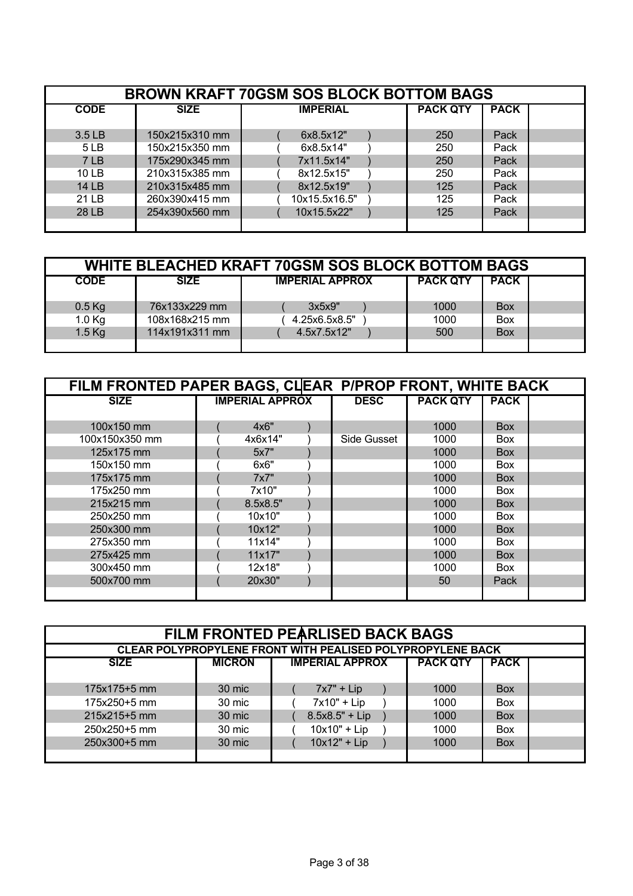| <b>BROWN KRAFT 70GSM SOS BLOCK BOTTOM BAGS</b> |                |                 |                 |             |  |  |  |  |
|------------------------------------------------|----------------|-----------------|-----------------|-------------|--|--|--|--|
| <b>CODE</b>                                    | <b>SIZE</b>    | <b>IMPERIAL</b> | <b>PACK QTY</b> | <b>PACK</b> |  |  |  |  |
| 3.5 LB                                         | 150x215x310 mm | 6x8.5x12"       | 250             | Pack        |  |  |  |  |
| 5 <sub>LB</sub>                                | 150x215x350 mm | 6x8.5x14"       | 250             | Pack        |  |  |  |  |
| 7 LB                                           | 175x290x345 mm | 7x11.5x14"      | 250             | Pack        |  |  |  |  |
| 10 LB                                          | 210x315x385 mm | 8x12.5x15"      | 250             | Pack        |  |  |  |  |
| <b>14 LB</b>                                   | 210x315x485 mm | 8x12.5x19"      | 125             | Pack        |  |  |  |  |
| 21 LB                                          | 260x390x415 mm | 10x15.5x16.5"   | 125             | Pack        |  |  |  |  |
| 28 LB                                          | 254x390x560 mm | 10x15.5x22"     | 125             | Pack        |  |  |  |  |
|                                                |                |                 |                 |             |  |  |  |  |

| WHITE BLEACHED KRAFT 70GSM SOS BLOCK BOTTOM BAGS |                |                        |                 |             |  |  |  |
|--------------------------------------------------|----------------|------------------------|-----------------|-------------|--|--|--|
| <b>CODE</b>                                      | <b>SIZE</b>    | <b>IMPERIAL APPROX</b> | <b>PACK QTY</b> | <b>PACK</b> |  |  |  |
| $0.5$ Kg                                         | 76x133x229 mm  | 3x5x9"                 | 1000            | <b>Box</b>  |  |  |  |
| $1.0$ Kg                                         | 108x168x215 mm | 4.25x6.5x8.5"          | 1000            | <b>Box</b>  |  |  |  |
| $1.5$ Kg                                         | 114x191x311 mm | 4.5x7.5x12"            | 500             | <b>Box</b>  |  |  |  |
|                                                  |                |                        |                 |             |  |  |  |

|                | FILM FRONTED PAPER BAGS, CLEAR P/PROP FRONT, WHITE BACK |                        |  |             |                 |             |  |  |  |
|----------------|---------------------------------------------------------|------------------------|--|-------------|-----------------|-------------|--|--|--|
| <b>SIZE</b>    |                                                         | <b>IMPERIAL APPROX</b> |  | <b>DESC</b> | <b>PACK QTY</b> | <b>PACK</b> |  |  |  |
|                |                                                         |                        |  |             |                 |             |  |  |  |
| 100x150 mm     |                                                         | 4x6"                   |  |             | 1000            | Box         |  |  |  |
| 100x150x350 mm |                                                         | 4x6x14"                |  | Side Gusset | 1000            | <b>Box</b>  |  |  |  |
| 125x175 mm     |                                                         | 5x7"                   |  |             | 1000            | Box         |  |  |  |
| 150x150 mm     |                                                         | 6x6"                   |  |             | 1000            | <b>Box</b>  |  |  |  |
| 175x175 mm     |                                                         | 7x7"                   |  |             | 1000            | Box         |  |  |  |
| 175x250 mm     |                                                         | 7x10"                  |  |             | 1000            | Box         |  |  |  |
| 215x215 mm     |                                                         | 8.5x8.5"               |  |             | 1000            | Box         |  |  |  |
| 250x250 mm     |                                                         | 10x10"                 |  |             | 1000            | <b>Box</b>  |  |  |  |
| 250x300 mm     |                                                         | 10x12"                 |  |             | 1000            | <b>Box</b>  |  |  |  |
| 275x350 mm     |                                                         | 11x14"                 |  |             | 1000            | <b>Box</b>  |  |  |  |
| 275x425 mm     |                                                         | 11x17"                 |  |             | 1000            | <b>Box</b>  |  |  |  |
| 300x450 mm     |                                                         | 12x18"                 |  |             | 1000            | <b>Box</b>  |  |  |  |
| 500x700 mm     |                                                         | 20x30"                 |  |             | 50              | Pack        |  |  |  |
|                |                                                         |                        |  |             |                 |             |  |  |  |

| <b>FILM FRONTED PEARLISED BACK BAGS</b><br><b>CLEAR POLYPROPYLENE FRONT WITH PEALISED POLYPROPYLENE BACK</b> |               |                        |                 |             |  |  |  |  |
|--------------------------------------------------------------------------------------------------------------|---------------|------------------------|-----------------|-------------|--|--|--|--|
|                                                                                                              |               |                        |                 |             |  |  |  |  |
| <b>SIZE</b>                                                                                                  | <b>MICRON</b> | <b>IMPERIAL APPROX</b> | <b>PACK QTY</b> | <b>PACK</b> |  |  |  |  |
|                                                                                                              |               |                        |                 |             |  |  |  |  |
| 175x175+5 mm                                                                                                 | 30 mic        | $7x7" + Lip$           | 1000            | <b>Box</b>  |  |  |  |  |
| 175x250+5 mm                                                                                                 | 30 mic        | $7x10" + Lip$          | 1000            | <b>Box</b>  |  |  |  |  |
| 215x215+5 mm                                                                                                 | 30 mic        | $8.5x8.5" + Lip$       | 1000            | <b>Box</b>  |  |  |  |  |
| 250x250+5 mm                                                                                                 | 30 mic        | $10x10" + Lip$         | 1000            | <b>Box</b>  |  |  |  |  |
| 250x300+5 mm                                                                                                 | 30 mic        | $10x12" + Lip$         | 1000            | <b>Box</b>  |  |  |  |  |
|                                                                                                              |               |                        |                 |             |  |  |  |  |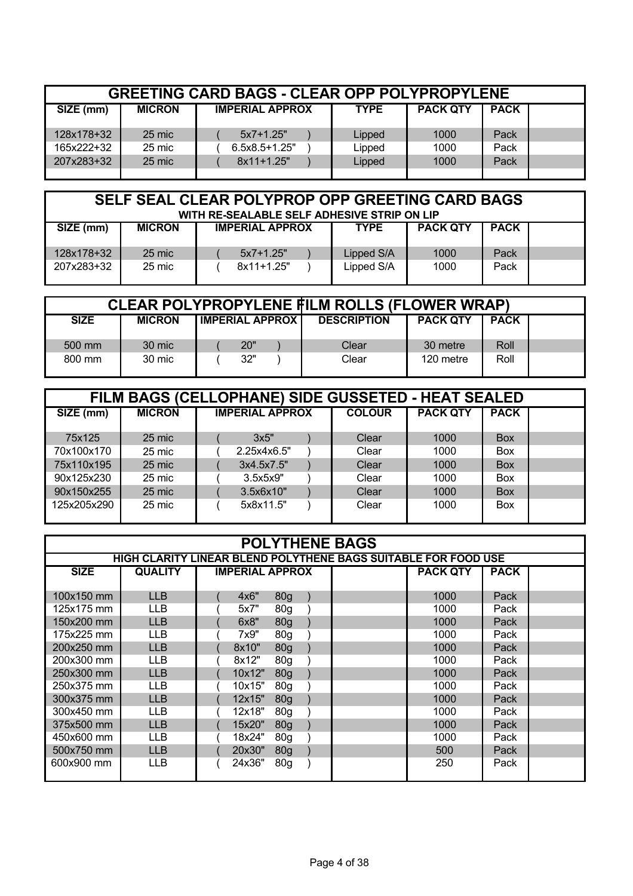|            | <b>GREETING CARD BAGS - CLEAR OPP POLYPROPYLENE</b> |                        |             |                 |             |  |  |  |  |  |  |  |  |
|------------|-----------------------------------------------------|------------------------|-------------|-----------------|-------------|--|--|--|--|--|--|--|--|
| SIZE (mm)  | <b>MICRON</b>                                       | <b>IMPERIAL APPROX</b> | <b>TYPE</b> | <b>PACK QTY</b> | <b>PACK</b> |  |  |  |  |  |  |  |  |
| 128x178+32 | 25 mic                                              | $5x7+1.25"$            | Lipped      | 1000            | Pack        |  |  |  |  |  |  |  |  |
| 165x222+32 | 25 mic                                              | $6.5x8.5+1.25"$        | Lipped      | 1000            | Pack        |  |  |  |  |  |  |  |  |
| 207x283+32 | 25 mic                                              | $8x11+1.25"$           | Lipped      | 1000            | Pack        |  |  |  |  |  |  |  |  |
|            |                                                     |                        |             |                 |             |  |  |  |  |  |  |  |  |

## **SELF SEAL CLEAR POLYPROP OPP GREETING CARD BAGS WITH RE-SEALABLE SELF ADHESIVE STRIP ON LIP**

| SIZE (mm)  | <b>MICRON</b> | <b>IMPERIAL APPROX</b> | TYPE       | <b>PACK QTY</b> | <b>PACK</b> |  |
|------------|---------------|------------------------|------------|-----------------|-------------|--|
| 128x178+32 | 25 mic        | $5x7+1.25"$            | Lipped S/A | 1000            | Pack        |  |
| 207x283+32 | 25 mic        | $8x11+1.25"$           | Lipped S/A | 1000            | Pack        |  |

| <b>CLEAR POLYPROPYLENE FILM ROLLS (FLOWER WRAP)</b> |               |                         |  |                    |                 |             |  |  |  |  |  |  |
|-----------------------------------------------------|---------------|-------------------------|--|--------------------|-----------------|-------------|--|--|--|--|--|--|
| <b>SIZE</b>                                         | <b>MICRON</b> | <b>IMPERIAL APPROXI</b> |  | <b>DESCRIPTION</b> | <b>PACK QTY</b> | <b>PACK</b> |  |  |  |  |  |  |
| 500 mm                                              | 30 mic        | 20"                     |  | Clear              | 30 metre        | Roll        |  |  |  |  |  |  |
| 800 mm                                              | 30 mic        | 32"                     |  | Clear              | 120 metre       | Roll        |  |  |  |  |  |  |

| FILM BAGS (CELLOPHANE) SIDE GUSSETED - HEAT SEALED<br>SIZE (mm) |             |               |                                 |             |            |  |  |  |  |  |  |  |
|-----------------------------------------------------------------|-------------|---------------|---------------------------------|-------------|------------|--|--|--|--|--|--|--|
| <b>MICRON</b>                                                   |             | <b>COLOUR</b> | <b>PACK QTY</b>                 | <b>PACK</b> |            |  |  |  |  |  |  |  |
|                                                                 |             |               |                                 |             |            |  |  |  |  |  |  |  |
|                                                                 |             |               |                                 |             |            |  |  |  |  |  |  |  |
| 25 mic                                                          | 2.25x4x6.5" | Clear         | 1000                            | <b>Box</b>  |            |  |  |  |  |  |  |  |
| 25 mic                                                          | 3x4.5x7.5"  | Clear         | 1000                            | <b>Box</b>  |            |  |  |  |  |  |  |  |
| 25 mic                                                          | 3.5x5x9"    | Clear         | 1000                            | <b>Box</b>  |            |  |  |  |  |  |  |  |
| 25 mic                                                          | 3.5x6x10"   | Clear         | 1000                            | <b>Box</b>  |            |  |  |  |  |  |  |  |
| 25 mic                                                          | 5x8x11.5"   | Clear         | 1000                            | <b>Box</b>  |            |  |  |  |  |  |  |  |
|                                                                 | 25 mic      | 3x5"          | <b>IMPERIAL APPROX</b><br>Clear | 1000        | <b>Box</b> |  |  |  |  |  |  |  |

| <b>POLYTHENE BAGS</b> |                                                                |  |                        |                 |  |  |                 |             |  |  |  |
|-----------------------|----------------------------------------------------------------|--|------------------------|-----------------|--|--|-----------------|-------------|--|--|--|
|                       | HIGH CLARITY LINEAR BLEND POLYTHENE BAGS SUITABLE FOR FOOD USE |  |                        |                 |  |  |                 |             |  |  |  |
| <b>SIZE</b>           | <b>QUALITY</b>                                                 |  | <b>IMPERIAL APPROX</b> |                 |  |  | <b>PACK QTY</b> | <b>PACK</b> |  |  |  |
|                       |                                                                |  |                        |                 |  |  |                 |             |  |  |  |
| 100x150 mm            | <b>LLB</b>                                                     |  | 4x6"                   | 80 <sub>g</sub> |  |  | 1000            | Pack        |  |  |  |
| 125x175 mm            | <b>LLB</b>                                                     |  | 5x7"                   | 80 <sub>g</sub> |  |  | 1000            | Pack        |  |  |  |
| 150x200 mm            | <b>LLB</b>                                                     |  | 6x8"                   | 80 <sub>g</sub> |  |  | 1000            | Pack        |  |  |  |
| 175x225 mm            | <b>LLB</b>                                                     |  | 7x9"                   | 80 <sub>g</sub> |  |  | 1000            | Pack        |  |  |  |
| 200x250 mm            | <b>LLB</b>                                                     |  | 8x10"                  | 80 <sub>g</sub> |  |  | 1000            | Pack        |  |  |  |
| 200x300 mm            | <b>LLB</b>                                                     |  | 8x12"                  | 80 <sub>g</sub> |  |  | 1000            | Pack        |  |  |  |
| 250x300 mm            | <b>LLB</b>                                                     |  | 10x12"                 | 80 <sub>g</sub> |  |  | 1000            | Pack        |  |  |  |
| 250x375 mm            | <b>LLB</b>                                                     |  | 10x15"                 | 80 <sub>g</sub> |  |  | 1000            | Pack        |  |  |  |
| 300x375 mm            | <b>LLB</b>                                                     |  | 12x15"                 | 80 <sub>g</sub> |  |  | 1000            | Pack        |  |  |  |
| 300x450 mm            | <b>LLB</b>                                                     |  | 12x18"                 | 80 <sub>g</sub> |  |  | 1000            | Pack        |  |  |  |
| 375x500 mm            | <b>LLB</b>                                                     |  | 15x20"                 | 80 <sub>g</sub> |  |  | 1000            | Pack        |  |  |  |
| 450x600 mm            | <b>LLB</b>                                                     |  | 18x24"                 | 80 <sub>g</sub> |  |  | 1000            | Pack        |  |  |  |
| 500x750 mm            | <b>LLB</b>                                                     |  | 20x30"                 | 80 <sub>g</sub> |  |  | 500             | Pack        |  |  |  |
| 600x900 mm            | LLB                                                            |  | 24x36"                 | 80g             |  |  | 250             | Pack        |  |  |  |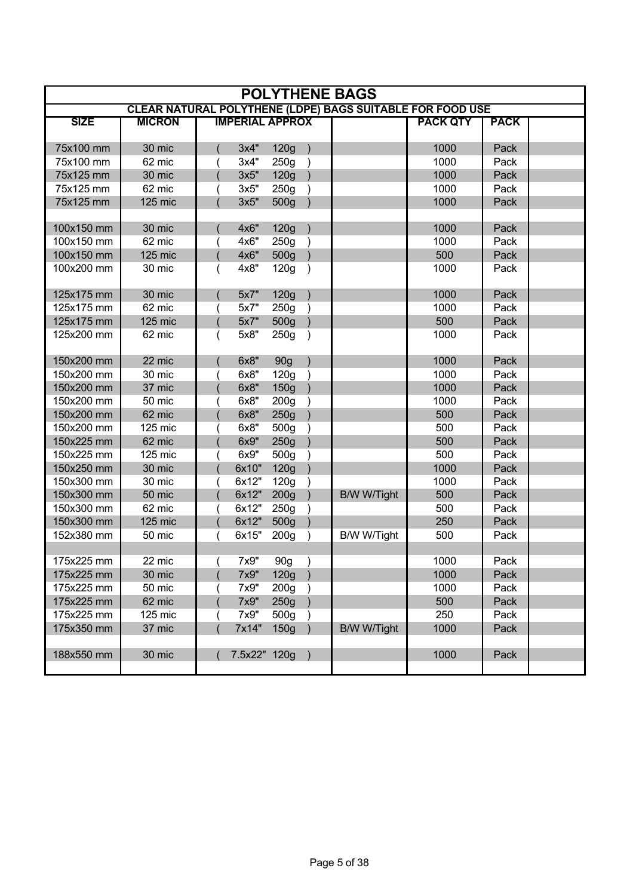| <b>POLYTHENE BAGS</b> |               |            |                        |                  |               |                                                           |                 |             |  |  |  |
|-----------------------|---------------|------------|------------------------|------------------|---------------|-----------------------------------------------------------|-----------------|-------------|--|--|--|
|                       |               |            |                        |                  |               | CLEAR NATURAL POLYTHENE (LDPE) BAGS SUITABLE FOR FOOD USE |                 |             |  |  |  |
| <b>SIZE</b>           | <b>MICRON</b> |            | <b>IMPERIAL APPROX</b> |                  |               |                                                           | <b>PACK QTY</b> | <b>PACK</b> |  |  |  |
| 75x100 mm             | 30 mic        |            | 3x4"                   | 120g             |               |                                                           | 1000            | Pack        |  |  |  |
| 75x100 mm             | 62 mic        |            | 3x4"                   | 250g             | $\rightarrow$ |                                                           | 1000            | Pack        |  |  |  |
| 75x125 mm             | 30 mic        |            | 3x5"                   | 120g             |               |                                                           | 1000            | Pack        |  |  |  |
| 75x125 mm             | 62 mic        |            | 3x5"                   | 250g             |               |                                                           | 1000            | Pack        |  |  |  |
| 75x125 mm             | 125 mic       |            | 3x5"                   | 500g             |               |                                                           | 1000            | Pack        |  |  |  |
|                       |               |            |                        |                  |               |                                                           |                 |             |  |  |  |
| 100x150 mm            | 30 mic        |            | 4x6"                   | 120g             |               |                                                           | 1000            | Pack        |  |  |  |
| 100x150 mm            | 62 mic        |            | 4x6"                   | 250g             |               |                                                           | 1000            | Pack        |  |  |  |
| 100x150 mm            | 125 mic       |            | 4x6"                   | 500g             |               |                                                           | 500             | Pack        |  |  |  |
| 100x200 mm            | 30 mic        |            | 4x8"                   | 120g             |               |                                                           | 1000            | Pack        |  |  |  |
| 125x175 mm            | 30 mic        |            | 5x7"                   | 120g             |               |                                                           | 1000            | Pack        |  |  |  |
| 125x175 mm            | 62 mic        |            | 5x7"                   | 250g             |               |                                                           | 1000            | Pack        |  |  |  |
| 125x175 mm            | 125 mic       |            | 5x7"                   | 500g             |               |                                                           | 500             | Pack        |  |  |  |
| 125x200 mm            | 62 mic        |            | 5x8"                   | 250g             | $\lambda$     |                                                           | 1000            | Pack        |  |  |  |
| 150x200 mm            | 22 mic        |            | 6x8"                   | 90g              |               |                                                           | 1000            | Pack        |  |  |  |
| 150x200 mm            | 30 mic        |            | 6x8"                   | 120g             |               |                                                           | 1000            | Pack        |  |  |  |
| 150x200 mm            | 37 mic        |            | 6x8"                   | 150g             |               |                                                           | 1000            | Pack        |  |  |  |
| 150x200 mm            | 50 mic        |            | 6x8"                   | 200 <sub>g</sub> |               |                                                           | 1000            | Pack        |  |  |  |
| 150x200 mm            | 62 mic        |            | 6x8"                   | 250g             |               |                                                           | 500             | Pack        |  |  |  |
| 150x200 mm            | 125 mic       |            | 6x8"                   | 500g             |               |                                                           | 500             | Pack        |  |  |  |
| 150x225 mm            | 62 mic        |            | 6x9"                   | 250g             |               |                                                           | 500             | Pack        |  |  |  |
| 150x225 mm            | 125 mic       |            | 6x9"                   | 500g             |               |                                                           | 500             | Pack        |  |  |  |
| 150x250 mm            | 30 mic        |            | 6x10"                  | 120g             |               |                                                           | 1000            | Pack        |  |  |  |
| 150x300 mm            | 30 mic        |            | 6x12"                  | 120g             |               |                                                           | 1000            | Pack        |  |  |  |
| 150x300 mm            | 50 mic        |            | 6x12"                  | 200 <sub>g</sub> |               | <b>B/W W/Tight</b>                                        | 500             | Pack        |  |  |  |
| 150x300 mm            | 62 mic        |            | 6x12"                  | 250g             |               |                                                           | 500             | Pack        |  |  |  |
| 150x300 mm            | 125 mic       |            | 6x12"                  | 500g             |               |                                                           | 250             | Pack        |  |  |  |
| 152x380 mm            | 50 mic        |            | 6x15"                  | 200 <sub>g</sub> |               | B/W W/Tight                                               | 500             | Pack        |  |  |  |
|                       |               |            |                        |                  |               |                                                           |                 |             |  |  |  |
| 175x225 mm            | 22 mic        | $\sqrt{2}$ | 7x9" 90g               |                  |               |                                                           | 1000            | Pack        |  |  |  |
| 175x225 mm            | 30 mic        |            | 7x9"                   | 120g             |               |                                                           | 1000            | Pack        |  |  |  |
| 175x225 mm            | 50 mic        |            | 7x9"                   | 200 <sub>g</sub> |               |                                                           | 1000            | Pack        |  |  |  |
| 175x225 mm            | 62 mic        |            | 7x9"                   | 250g             |               |                                                           | 500             | Pack        |  |  |  |
| 175x225 mm            | 125 mic       |            | 7x9"                   | 500g             |               |                                                           | 250             | Pack        |  |  |  |
| 175x350 mm            | 37 mic        |            | 7x14"                  | 150g             |               | <b>B/W W/Tight</b>                                        | 1000            | Pack        |  |  |  |
|                       |               |            |                        |                  |               |                                                           |                 |             |  |  |  |
| 188x550 mm            | 30 mic        |            | 7.5x22" 120g           |                  |               |                                                           | 1000            | Pack        |  |  |  |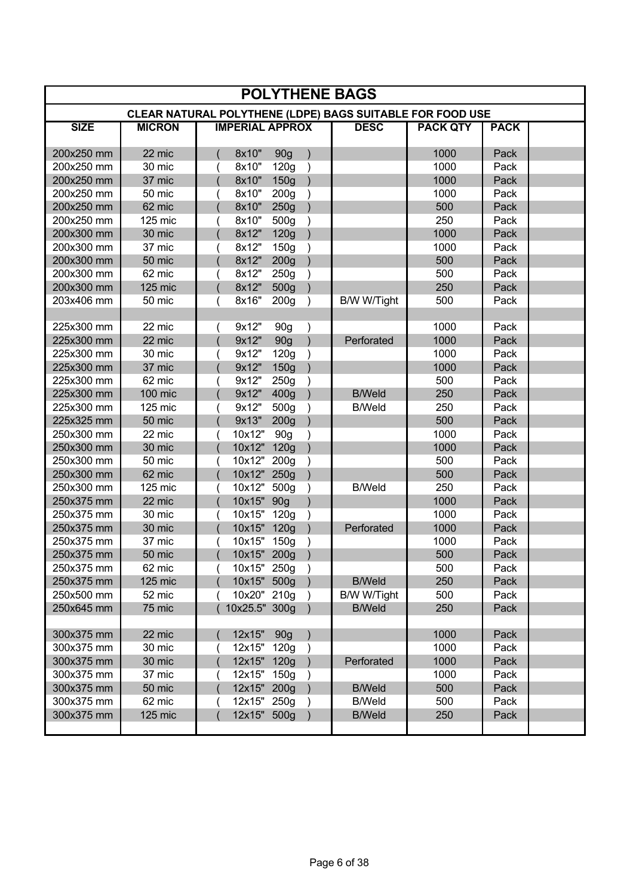| <b>POLYTHENE BAGS</b> |               |  |                        |                  |               |                                                           |                 |             |  |  |  |
|-----------------------|---------------|--|------------------------|------------------|---------------|-----------------------------------------------------------|-----------------|-------------|--|--|--|
|                       |               |  |                        |                  |               | CLEAR NATURAL POLYTHENE (LDPE) BAGS SUITABLE FOR FOOD USE |                 |             |  |  |  |
| <b>SIZE</b>           | <b>MICRON</b> |  | <b>IMPERIAL APPROX</b> |                  |               | <b>DESC</b>                                               | <b>PACK QTY</b> | <b>PACK</b> |  |  |  |
| 200x250 mm            | 22 mic        |  | 8x10"                  | 90g              |               |                                                           | 1000            | Pack        |  |  |  |
| 200x250 mm            | 30 mic        |  | 8x10"                  | 120g             | $\lambda$     |                                                           | 1000            | Pack        |  |  |  |
| 200x250 mm            | 37 mic        |  | 8x10"                  | 150g             |               |                                                           | 1000            | Pack        |  |  |  |
| 200x250 mm            | 50 mic        |  | 8x10"                  | 200 <sub>g</sub> |               |                                                           | 1000            | Pack        |  |  |  |
| 200x250 mm            | 62 mic        |  | 8x10"                  | 250g             |               |                                                           | 500             | Pack        |  |  |  |
| 200x250 mm            | 125 mic       |  | 8x10"                  | 500g             |               |                                                           | 250             | Pack        |  |  |  |
| 200x300 mm            | 30 mic        |  | 8x12"                  | 120g             |               |                                                           | 1000            | Pack        |  |  |  |
| 200x300 mm            | 37 mic        |  | 8x12"                  | 150g             |               |                                                           | 1000            | Pack        |  |  |  |
| 200x300 mm            | 50 mic        |  | 8x12"                  | 200 <sub>g</sub> |               |                                                           | 500             | Pack        |  |  |  |
| 200x300 mm            | 62 mic        |  | 8x12"                  | 250g             |               |                                                           | 500             | Pack        |  |  |  |
| 200x300 mm            | 125 mic       |  | 8x12"                  | 500g             |               |                                                           | 250             | Pack        |  |  |  |
| 203x406 mm            | 50 mic        |  | 8x16"                  | 200 <sub>g</sub> | $\lambda$     | B/W W/Tight                                               | 500             | Pack        |  |  |  |
|                       |               |  |                        |                  |               |                                                           |                 |             |  |  |  |
| 225x300 mm            | 22 mic        |  | 9x12"                  | 90g              | $\mathcal{E}$ |                                                           | 1000            | Pack        |  |  |  |
| 225x300 mm            | 22 mic        |  | 9x12"                  | 90g              |               | Perforated                                                | 1000            | Pack        |  |  |  |
| 225x300 mm            | 30 mic        |  | 9x12"                  | 120g             |               |                                                           | 1000            | Pack        |  |  |  |
| 225x300 mm            | 37 mic        |  | 9x12"                  | 150g             |               |                                                           | 1000            | Pack        |  |  |  |
| 225x300 mm            | 62 mic        |  | 9x12"                  | 250g             |               |                                                           | 500             | Pack        |  |  |  |
| 225x300 mm            | 100 mic       |  | 9x12"                  | 400g             |               | <b>B/Weld</b>                                             | 250             | Pack        |  |  |  |
| 225x300 mm            | 125 mic       |  | 9x12"                  | 500g             |               | <b>B/Weld</b>                                             | 250             | Pack        |  |  |  |
| 225x325 mm            | 50 mic        |  | 9x13"                  | 200 <sub>g</sub> |               |                                                           | 500             | Pack        |  |  |  |
| 250x300 mm            | 22 mic        |  | 10x12"                 | 90 <sub>g</sub>  |               |                                                           | 1000            | Pack        |  |  |  |
| 250x300 mm            | 30 mic        |  | 10x12"                 | 120g             |               |                                                           | 1000            | Pack        |  |  |  |
| 250x300 mm            | 50 mic        |  | 10x12"                 | 200 <sub>g</sub> |               |                                                           | 500             | Pack        |  |  |  |
| 250x300 mm            | 62 mic        |  | 10x12" 250g            |                  |               |                                                           | 500             | Pack        |  |  |  |
| 250x300 mm            | 125 mic       |  | 10x12"                 | 500g             |               | <b>B/Weld</b>                                             | 250             | Pack        |  |  |  |
| 250x375 mm            | 22 mic        |  | 10x15"                 | 90 <sub>g</sub>  |               |                                                           | 1000            | Pack        |  |  |  |
| 250x375 mm            | 30 mic        |  | 10x15"                 | 120g             |               |                                                           | 1000            | Pack        |  |  |  |
| 250x375 mm            | 30 mic        |  | 10x15"                 | 120g             |               | Perforated                                                | 1000            | Pack        |  |  |  |
| 250x375 mm            | 37 mic        |  | 10x15"                 | 150g             |               |                                                           | 1000            | Pack        |  |  |  |
| 250x375 mm            | 50 mic        |  | 10x15" 200g            |                  |               |                                                           | 500             | Pack        |  |  |  |
| 250x375 mm            | 62 mic        |  | 10x15" 250g            |                  |               |                                                           | 500             | Pack        |  |  |  |
| 250x375 mm            | 125 mic       |  | 10x15" 500g            |                  |               | <b>B/Weld</b>                                             | 250             | Pack        |  |  |  |
| 250x500 mm            | 52 mic        |  | 10x20" 210g            |                  |               | B/W W/Tight                                               | 500             | Pack        |  |  |  |
| 250x645 mm            | 75 mic        |  | 10x25.5" 300g          |                  |               | <b>B/Weld</b>                                             | 250             | Pack        |  |  |  |
|                       |               |  |                        |                  |               |                                                           |                 |             |  |  |  |
| 300x375 mm            | 22 mic        |  | 12x15" 90g             |                  |               |                                                           | 1000            | Pack        |  |  |  |
| 300x375 mm            | 30 mic        |  | 12x15" 120g            |                  |               |                                                           | 1000            | Pack        |  |  |  |
| 300x375 mm            | 30 mic        |  | 12x15" 120g            |                  |               | Perforated                                                | 1000            | Pack        |  |  |  |
| 300x375 mm            | 37 mic        |  | 12x15" 150g            |                  |               |                                                           | 1000            | Pack        |  |  |  |
| 300x375 mm            | 50 mic        |  | 12x15" 200g            |                  |               | <b>B/Weld</b>                                             | 500             | Pack        |  |  |  |
| 300x375 mm            | 62 mic        |  | 12x15" 250g            |                  |               | <b>B/Weld</b>                                             | 500             | Pack        |  |  |  |
| 300x375 mm            | 125 mic       |  | 12x15" 500g            |                  |               | <b>B/Weld</b>                                             | 250             | Pack        |  |  |  |
|                       |               |  |                        |                  |               |                                                           |                 |             |  |  |  |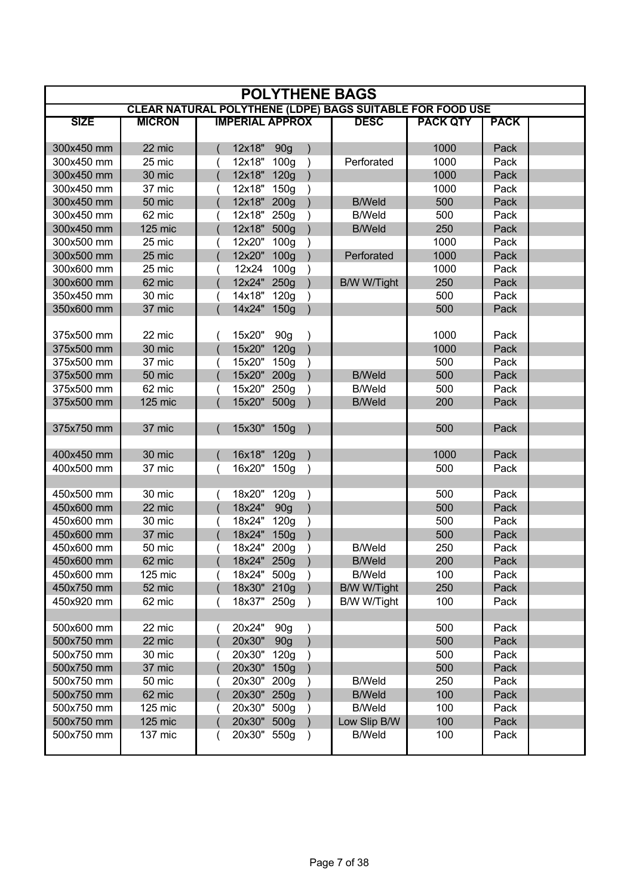| <b>POLYTHENE BAGS</b> |               |  |                        |                  |               |                                                                  |                 |             |  |  |  |  |
|-----------------------|---------------|--|------------------------|------------------|---------------|------------------------------------------------------------------|-----------------|-------------|--|--|--|--|
|                       |               |  |                        |                  |               | <b>CLEAR NATURAL POLYTHENE (LDPE) BAGS SUITABLE FOR FOOD USE</b> |                 |             |  |  |  |  |
| <b>SIZE</b>           | <b>MICRON</b> |  | <b>IMPERIAL APPROX</b> |                  |               | <b>DESC</b>                                                      | <b>PACK QTY</b> | <b>PACK</b> |  |  |  |  |
| 300x450 mm            | 22 mic        |  | 12x18"                 | 90 <sub>g</sub>  |               |                                                                  | 1000            | Pack        |  |  |  |  |
| 300x450 mm            | 25 mic        |  | 12x18"                 | 100q             |               | Perforated                                                       | 1000            | Pack        |  |  |  |  |
| 300x450 mm            | 30 mic        |  | 12x18"                 | 120g             |               |                                                                  | 1000            | Pack        |  |  |  |  |
| 300x450 mm            | 37 mic        |  | 12x18"                 | 150g             |               |                                                                  | 1000            | Pack        |  |  |  |  |
| 300x450 mm            | 50 mic        |  | 12x18" 200g            |                  |               | <b>B/Weld</b>                                                    | 500             | Pack        |  |  |  |  |
| 300x450 mm            | 62 mic        |  | 12x18"                 | 250g             |               | <b>B/Weld</b>                                                    | 500             | Pack        |  |  |  |  |
| 300x450 mm            | 125 mic       |  | 12x18"                 | 500g             |               | <b>B/Weld</b>                                                    | 250             | Pack        |  |  |  |  |
| 300x500 mm            | 25 mic        |  | 12x20"                 | 100 <sub>g</sub> |               |                                                                  | 1000            | Pack        |  |  |  |  |
| 300x500 mm            | 25 mic        |  | 12x20" 100g            |                  |               | Perforated                                                       | 1000            | Pack        |  |  |  |  |
| 300x600 mm            | 25 mic        |  | 12x24                  | 100 <sub>g</sub> |               |                                                                  | 1000            | Pack        |  |  |  |  |
| 300x600 mm            | 62 mic        |  | 12x24"                 | 250g             |               | <b>B/W W/Tight</b>                                               | 250             | Pack        |  |  |  |  |
| 350x450 mm            | 30 mic        |  | 14x18"                 | 120g             |               |                                                                  | 500             | Pack        |  |  |  |  |
| 350x600 mm            | 37 mic        |  | 14x24" 150g            |                  |               |                                                                  | 500             | Pack        |  |  |  |  |
|                       |               |  |                        |                  |               |                                                                  |                 |             |  |  |  |  |
| 375x500 mm            | 22 mic        |  | 15x20"                 | 90 <sub>g</sub>  |               |                                                                  | 1000            | Pack        |  |  |  |  |
| 375x500 mm            | 30 mic        |  | 15x20"                 | 120g             |               |                                                                  | 1000            | Pack        |  |  |  |  |
| 375x500 mm            | 37 mic        |  | 15x20" 150g            |                  |               |                                                                  | 500             | Pack        |  |  |  |  |
| 375x500 mm            | 50 mic        |  | 15x20" 200g            |                  |               | <b>B/Weld</b>                                                    | 500             | Pack        |  |  |  |  |
| 375x500 mm            | 62 mic        |  | 15x20" 250g            |                  |               | <b>B/Weld</b>                                                    | 500             | Pack        |  |  |  |  |
| 375x500 mm            | 125 mic       |  | 15x20" 500g            |                  |               | <b>B/Weld</b>                                                    | 200             | Pack        |  |  |  |  |
|                       |               |  |                        |                  |               |                                                                  |                 |             |  |  |  |  |
| 375x750 mm            | 37 mic        |  | 15x30" 150g            |                  |               |                                                                  | 500             | Pack        |  |  |  |  |
|                       |               |  |                        |                  |               |                                                                  |                 |             |  |  |  |  |
| 400x450 mm            | 30 mic        |  | 16x18" 120g            |                  |               |                                                                  | 1000            | Pack        |  |  |  |  |
| 400x500 mm            | 37 mic        |  | 16x20" 150g            |                  | $\rightarrow$ |                                                                  | 500             | Pack        |  |  |  |  |
|                       |               |  |                        |                  |               |                                                                  |                 |             |  |  |  |  |
| 450x500 mm            | 30 mic        |  | 18x20"                 | 120g             | $\big)$       |                                                                  | 500             | Pack        |  |  |  |  |
| 450x600 mm            | 22 mic        |  | 18x24"                 | 90 <sub>g</sub>  |               |                                                                  | 500             | Pack        |  |  |  |  |
| 450x600 mm            | 30 mic        |  | 18x24"                 | 120g             |               |                                                                  | 500             | Pack        |  |  |  |  |
| 450x600 mm            | 37 mic        |  | 18x24" 150g            |                  |               |                                                                  | 500             | Pack        |  |  |  |  |
| 450x600 mm            | 50 mic        |  | 18x24" 200g            |                  |               | <b>B/Weld</b>                                                    | 250             | Pack        |  |  |  |  |
| 450x600 mm            | 62 mic        |  | 18x24" 250g )          |                  |               | <b>B/Weld</b>                                                    | 200             | Pack        |  |  |  |  |
| 450x600 mm            | 125 mic       |  | 18x24" 500g            |                  |               | <b>B/Weld</b>                                                    | 100             | Pack        |  |  |  |  |
| 450x750 mm            | 52 mic        |  | 18x30" 210g            |                  |               | <b>B/W W/Tight</b>                                               | 250             | Pack        |  |  |  |  |
| 450x920 mm            | 62 mic        |  | 18x37" 250g            |                  |               | B/W W/Tight                                                      | 100             | Pack        |  |  |  |  |
|                       |               |  |                        |                  |               |                                                                  |                 |             |  |  |  |  |
| 500x600 mm            | 22 mic        |  | 20x24"                 | 90g              |               |                                                                  | 500             | Pack        |  |  |  |  |
| 500x750 mm            | 22 mic        |  | 20x30"                 | 90 <sub>g</sub>  |               |                                                                  | 500             | Pack        |  |  |  |  |
| 500x750 mm            | 30 mic        |  | 20x30"                 | 120g             |               |                                                                  | 500             | Pack        |  |  |  |  |
| 500x750 mm            | 37 mic        |  | 20x30"                 | 150g             |               |                                                                  | 500             | Pack        |  |  |  |  |
| 500x750 mm            | 50 mic        |  | 20x30"                 | 200 <sub>g</sub> |               | <b>B/Weld</b>                                                    | 250             | Pack        |  |  |  |  |
| 500x750 mm            | 62 mic        |  | 20x30" 250g            |                  |               | <b>B/Weld</b>                                                    | 100             | Pack        |  |  |  |  |
| 500x750 mm            | 125 mic       |  | 20x30" 500g            |                  |               | <b>B/Weld</b>                                                    | 100             | Pack        |  |  |  |  |
| 500x750 mm            | 125 mic       |  | 20x30" 500g            |                  |               | Low Slip B/W                                                     | 100             | Pack        |  |  |  |  |
| 500x750 mm            | 137 mic       |  | 20x30" 550g            |                  |               | <b>B/Weld</b>                                                    | 100             | Pack        |  |  |  |  |
|                       |               |  |                        |                  |               |                                                                  |                 |             |  |  |  |  |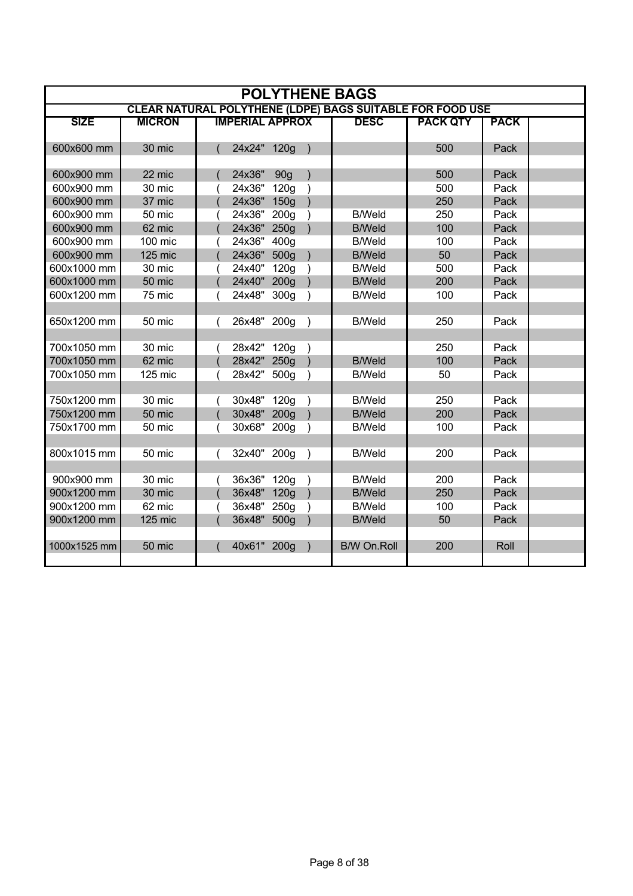| <b>POLYTHENE BAGS</b> |               |  |                        |                  |               |                    |                                                                  |             |  |  |  |
|-----------------------|---------------|--|------------------------|------------------|---------------|--------------------|------------------------------------------------------------------|-------------|--|--|--|
|                       |               |  |                        |                  |               |                    | <b>CLEAR NATURAL POLYTHENE (LDPE) BAGS SUITABLE FOR FOOD USE</b> |             |  |  |  |
| <b>SIZE</b>           | <b>MICRON</b> |  | <b>IMPERIAL APPROX</b> |                  |               | <b>DESC</b>        | <b>PACK QTY</b>                                                  | <b>PACK</b> |  |  |  |
|                       |               |  |                        |                  |               |                    |                                                                  |             |  |  |  |
| 600x600 mm            | 30 mic        |  | 24x24" 120g            |                  | $\rightarrow$ |                    | 500                                                              | Pack        |  |  |  |
|                       |               |  |                        |                  |               |                    |                                                                  |             |  |  |  |
| 600x900 mm            | 22 mic        |  | 24x36"                 | 90 <sub>g</sub>  |               |                    | 500                                                              | Pack        |  |  |  |
| 600x900 mm            | 30 mic        |  | 24x36"                 | 120 <sub>g</sub> |               |                    | 500                                                              | Pack        |  |  |  |
| 600x900 mm            | 37 mic        |  | 24x36" 150g            |                  |               |                    | 250                                                              | Pack        |  |  |  |
| 600x900 mm            | 50 mic        |  | 24x36" 200g            |                  |               | <b>B/Weld</b>      | 250                                                              | Pack        |  |  |  |
| 600x900 mm            | 62 mic        |  | 24x36" 250g            |                  |               | <b>B/Weld</b>      | 100                                                              | Pack        |  |  |  |
| 600x900 mm            | 100 mic       |  | 24x36" 400g            |                  |               | <b>B/Weld</b>      | 100                                                              | Pack        |  |  |  |
| 600x900 mm            | 125 mic       |  | 24x36" 500g            |                  |               | <b>B/Weld</b>      | 50                                                               | Pack        |  |  |  |
| 600x1000 mm           | 30 mic        |  | 24x40"                 | 120g             |               | <b>B/Weld</b>      | 500                                                              | Pack        |  |  |  |
| 600x1000 mm           | 50 mic        |  | 24x40" 200g            |                  |               | <b>B/Weld</b>      | 200                                                              | Pack        |  |  |  |
| 600x1200 mm           | 75 mic        |  | 24x48" 300g            |                  |               | <b>B/Weld</b>      | 100                                                              | Pack        |  |  |  |
|                       |               |  |                        |                  |               |                    |                                                                  |             |  |  |  |
| 650x1200 mm           | 50 mic        |  | 26x48" 200g            |                  | $\rightarrow$ | <b>B/Weld</b>      | 250                                                              | Pack        |  |  |  |
|                       |               |  |                        |                  |               |                    |                                                                  |             |  |  |  |
| 700x1050 mm           | 30 mic        |  | 28x42" 120g            |                  |               |                    | 250                                                              | Pack        |  |  |  |
| 700x1050 mm           | 62 mic        |  | 28x42" 250g            |                  |               | <b>B/Weld</b>      | 100                                                              | Pack        |  |  |  |
| 700x1050 mm           | 125 mic       |  | 28x42" 500g            |                  |               | <b>B/Weld</b>      | 50                                                               | Pack        |  |  |  |
|                       |               |  |                        |                  |               |                    |                                                                  |             |  |  |  |
| 750x1200 mm           | 30 mic        |  | 30x48" 120g            |                  |               | <b>B/Weld</b>      | 250                                                              | Pack        |  |  |  |
| 750x1200 mm           | 50 mic        |  | 30x48" 200g            |                  |               | <b>B/Weld</b>      | 200                                                              | Pack        |  |  |  |
| 750x1700 mm           | 50 mic        |  | 30x68" 200g            |                  |               | <b>B/Weld</b>      | 100                                                              | Pack        |  |  |  |
|                       |               |  |                        |                  |               |                    |                                                                  |             |  |  |  |
| 800x1015 mm           | 50 mic        |  | 32x40" 200g            |                  | $\rightarrow$ | <b>B/Weld</b>      | 200                                                              | Pack        |  |  |  |
|                       |               |  |                        |                  |               |                    |                                                                  |             |  |  |  |
| 900x900 mm            | 30 mic        |  | 36x36" 120g            |                  |               | <b>B/Weld</b>      | 200                                                              | Pack        |  |  |  |
| 900x1200 mm           | 30 mic        |  | 36x48" 120g            |                  |               | <b>B/Weld</b>      | 250                                                              | Pack        |  |  |  |
| 900x1200 mm           | 62 mic        |  | 36x48" 250g            |                  | $\lambda$     | <b>B/Weld</b>      | 100                                                              | Pack        |  |  |  |
| 900x1200 mm           | 125 mic       |  | 36x48" 500g            |                  |               | <b>B/Weld</b>      | 50                                                               | Pack        |  |  |  |
|                       |               |  |                        |                  |               |                    |                                                                  |             |  |  |  |
| 1000x1525 mm          | 50 mic        |  | 40x61" 200g            |                  |               | <b>B/W On.Roll</b> | 200                                                              | Roll        |  |  |  |
|                       |               |  |                        |                  |               |                    |                                                                  |             |  |  |  |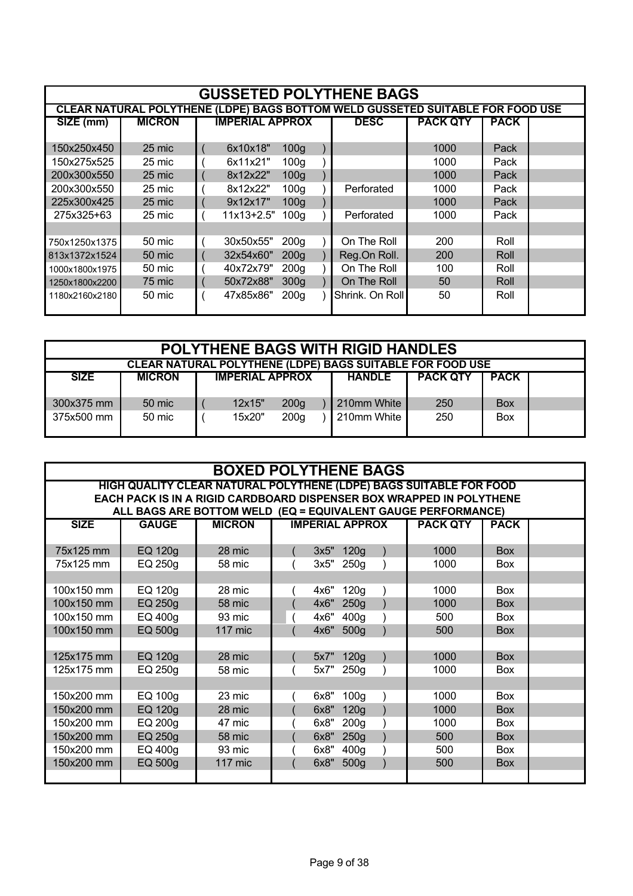| <b>GUSSETED POLYTHENE BAGS</b> |               |             |                        |                  |  |                                                                                |      |      |  |  |  |  |
|--------------------------------|---------------|-------------|------------------------|------------------|--|--------------------------------------------------------------------------------|------|------|--|--|--|--|
|                                |               |             | <b>IMPERIAL APPROX</b> |                  |  | CLEAR NATURAL POLYTHENE (LDPE) BAGS BOTTOM WELD GUSSETED SUITABLE FOR FOOD USE |      |      |  |  |  |  |
| $\overline{SIZE}$ (mm)         | <b>MICRON</b> | <b>DESC</b> | <b>PACK QTY</b>        | <b>PACK</b>      |  |                                                                                |      |      |  |  |  |  |
|                                |               |             |                        |                  |  |                                                                                |      |      |  |  |  |  |
| 150x250x450                    | 25 mic        |             | 6x10x18"               | 100 <sub>g</sub> |  |                                                                                | 1000 | Pack |  |  |  |  |
| 150x275x525                    | 25 mic        |             | 6x11x21"               | 100 <sub>q</sub> |  |                                                                                | 1000 | Pack |  |  |  |  |
| 200x300x550                    | 25 mic        |             | 8x12x22"               | 100 <sub>g</sub> |  |                                                                                | 1000 | Pack |  |  |  |  |
| 200x300x550                    | 25 mic        |             | 8x12x22"               | 100 <sub>g</sub> |  | Perforated                                                                     | 1000 | Pack |  |  |  |  |
| 225x300x425                    | 25 mic        |             | 9x12x17"               | 100 <sub>g</sub> |  |                                                                                | 1000 | Pack |  |  |  |  |
| 275x325+63                     | 25 mic        |             | $11x13+2.5"$           | 100 <sub>g</sub> |  | Perforated                                                                     | 1000 | Pack |  |  |  |  |
|                                |               |             |                        |                  |  |                                                                                |      |      |  |  |  |  |
| 750x1250x1375                  | 50 mic        |             | 30x50x55"              | 200 <sub>g</sub> |  | On The Roll                                                                    | 200  | Roll |  |  |  |  |
| 813x1372x1524                  | 50 mic        |             | 32x54x60"              | 200 <sub>g</sub> |  | Reg.On Roll.                                                                   | 200  | Roll |  |  |  |  |
| 1000x1800x1975                 | 50 mic        |             | 40x72x79"              | 200 <sub>g</sub> |  | On The Roll                                                                    | 100  | Roll |  |  |  |  |
| 1250x1800x2200                 | 75 mic        |             | 50x72x88"              | 300 <sub>g</sub> |  | On The Roll                                                                    | 50   | Roll |  |  |  |  |
| 1180x2160x2180                 | 50 mic        |             | 47x85x86"              | 200 <sub>q</sub> |  | Shrink. On Roll                                                                | 50   | Roll |  |  |  |  |
|                                |               |             |                        |                  |  |                                                                                |      |      |  |  |  |  |

|                                                                                                           | <b>POLYTHENE BAGS WITH RIGID HANDLES</b>                  |  |        |                  |  |             |     |            |  |  |  |  |
|-----------------------------------------------------------------------------------------------------------|-----------------------------------------------------------|--|--------|------------------|--|-------------|-----|------------|--|--|--|--|
|                                                                                                           | CLEAR NATURAL POLYTHENE (LDPE) BAGS SUITABLE FOR FOOD USE |  |        |                  |  |             |     |            |  |  |  |  |
| <b>PACK QTY</b><br><b>PACK</b><br><b>SIZE</b><br><b>IMPERIAL APPROX</b><br><b>MICRON</b><br><b>HANDLE</b> |                                                           |  |        |                  |  |             |     |            |  |  |  |  |
|                                                                                                           |                                                           |  |        |                  |  |             |     |            |  |  |  |  |
| 300x375 mm                                                                                                | 50 mic                                                    |  | 12x15" | 200 <sub>q</sub> |  | 210mm White | 250 | <b>Box</b> |  |  |  |  |
| 375x500 mm                                                                                                | 50 mic                                                    |  | 15x20" | 200 <sub>g</sub> |  | 210mm White | 250 | <b>Box</b> |  |  |  |  |
|                                                                                                           |                                                           |  |        |                  |  |             |     |            |  |  |  |  |

| <b>BOXED POLYTHENE BAGS</b> |              |                                                                                                                                      |  |      |                        |  |                 |             |  |  |  |
|-----------------------------|--------------|--------------------------------------------------------------------------------------------------------------------------------------|--|------|------------------------|--|-----------------|-------------|--|--|--|
|                             |              | HIGH QUALITY CLEAR NATURAL POLYTHENE (LDPE) BAGS SUITABLE FOR FOOD                                                                   |  |      |                        |  |                 |             |  |  |  |
|                             |              | EACH PACK IS IN A RIGID CARDBOARD DISPENSER BOX WRAPPED IN POLYTHENE<br>ALL BAGS ARE BOTTOM WELD (EQ = EQUIVALENT GAUGE PERFORMANCE) |  |      |                        |  |                 |             |  |  |  |
| <b>SIZE</b>                 | <b>GAUGE</b> | <b>MICRON</b>                                                                                                                        |  |      | <b>IMPERIAL APPROX</b> |  | <b>PACK QTY</b> | <b>PACK</b> |  |  |  |
|                             |              |                                                                                                                                      |  |      |                        |  |                 |             |  |  |  |
| 75x125 mm                   | EQ 120g      | 28 mic                                                                                                                               |  |      | 3x5" 120g              |  | 1000            | Box         |  |  |  |
| 75x125 mm                   | EQ 250g      | 58 mic                                                                                                                               |  | 3x5" | 250g                   |  | 1000            | <b>Box</b>  |  |  |  |
|                             |              |                                                                                                                                      |  |      |                        |  |                 |             |  |  |  |
| 100x150 mm                  | EQ 120g      | 28 mic                                                                                                                               |  | 4x6" | 120g                   |  | 1000            | Box         |  |  |  |
| 100x150 mm                  | EQ 250g      | 58 mic                                                                                                                               |  | 4x6" | 250g                   |  | 1000            | <b>Box</b>  |  |  |  |
| 100x150 mm                  | EQ 400g      | 93 mic                                                                                                                               |  | 4x6" | 400 <sub>g</sub>       |  | 500             | <b>Box</b>  |  |  |  |
| 100x150 mm                  | EQ 500g      | <b>117 mic</b>                                                                                                                       |  | 4x6" | 500 <sub>g</sub>       |  | 500             | <b>Box</b>  |  |  |  |
|                             |              |                                                                                                                                      |  |      |                        |  |                 |             |  |  |  |
| 125x175 mm                  | EQ 120g      | 28 mic                                                                                                                               |  |      | 5x7" 120g              |  | 1000            | <b>Box</b>  |  |  |  |
| 125x175 mm                  | EQ 250g      | 58 mic                                                                                                                               |  | 5x7" | 250 <sub>g</sub>       |  | 1000            | <b>Box</b>  |  |  |  |
|                             |              |                                                                                                                                      |  |      |                        |  |                 |             |  |  |  |
| 150x200 mm                  | EQ 100g      | 23 mic                                                                                                                               |  | 6x8" | 100 <sub>g</sub>       |  | 1000            | Box         |  |  |  |
| 150x200 mm                  | EQ 120g      | 28 mic                                                                                                                               |  | 6x8" | 120g                   |  | 1000            | <b>Box</b>  |  |  |  |
| 150x200 mm                  | EQ 200g      | 47 mic                                                                                                                               |  | 6x8" | 200 <sub>g</sub>       |  | 1000            | Box         |  |  |  |
| 150x200 mm                  | EQ 250g      | 58 mic                                                                                                                               |  | 6x8" | 250g                   |  | 500             | <b>Box</b>  |  |  |  |
| 150x200 mm                  | EQ 400g      | 93 mic                                                                                                                               |  | 6x8" | 400 <sub>g</sub>       |  | 500             | Box         |  |  |  |
| 150x200 mm                  | EQ 500g      | 117 mic                                                                                                                              |  | 6x8" | 500g                   |  | 500             | <b>Box</b>  |  |  |  |
|                             |              |                                                                                                                                      |  |      |                        |  |                 |             |  |  |  |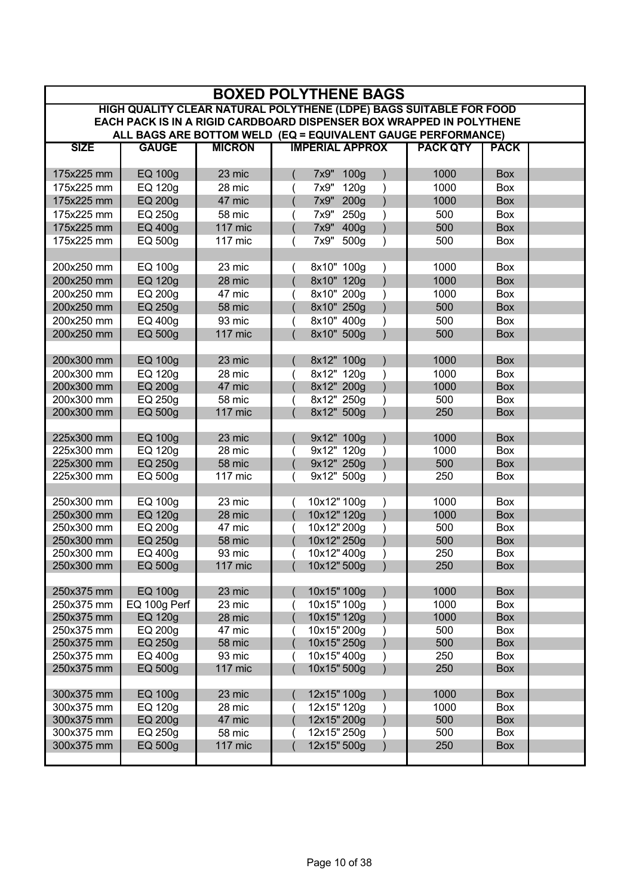| <b>BOXED POLYTHENE BAGS</b>                                                                                                          |                           |                  |                                                         |  |  |  |  |  |  |
|--------------------------------------------------------------------------------------------------------------------------------------|---------------------------|------------------|---------------------------------------------------------|--|--|--|--|--|--|
| HIGH QUALITY CLEAR NATURAL POLYTHENE (LDPE) BAGS SUITABLE FOR FOOD                                                                   |                           |                  |                                                         |  |  |  |  |  |  |
| EACH PACK IS IN A RIGID CARDBOARD DISPENSER BOX WRAPPED IN POLYTHENE<br>ALL BAGS ARE BOTTOM WELD (EQ = EQUIVALENT GAUGE PERFORMANCE) |                           |                  |                                                         |  |  |  |  |  |  |
|                                                                                                                                      |                           |                  | <b>IMPERIAL APPROX</b>                                  |  |  |  |  |  |  |
| <b>SIZE</b>                                                                                                                          | <b>GAUGE</b>              | <b>MICRON</b>    | <b>PACK QTY</b><br><b>PACK</b>                          |  |  |  |  |  |  |
| 175x225 mm                                                                                                                           | <b>EQ 100g</b>            | 23 mic           | 1000<br><b>Box</b><br>7x9" 100g                         |  |  |  |  |  |  |
| 175x225 mm                                                                                                                           | EQ 120g                   | 28 mic           | 1000<br>120g<br>7x9"<br><b>Box</b>                      |  |  |  |  |  |  |
| 175x225 mm                                                                                                                           | <b>EQ 200g</b>            | 47 mic           | 1000<br>7x9"<br>200 <sub>g</sub><br><b>Box</b>          |  |  |  |  |  |  |
| 175x225 mm                                                                                                                           | EQ 250g                   | 58 mic           | 7x9"<br>500<br>250 <sub>g</sub><br>Box                  |  |  |  |  |  |  |
| 175x225 mm                                                                                                                           | <b>EQ 400g</b>            | <b>117 mic</b>   | 500<br>7x9"<br>400 <sub>g</sub><br><b>Box</b>           |  |  |  |  |  |  |
| 175x225 mm                                                                                                                           | EQ 500g                   | 117 mic          | 7x9"<br>500<br>Box<br>500g                              |  |  |  |  |  |  |
|                                                                                                                                      |                           |                  |                                                         |  |  |  |  |  |  |
| 200x250 mm                                                                                                                           | EQ 100g                   | 23 mic           | 1000<br>8x10" 100g<br>Box                               |  |  |  |  |  |  |
| 200x250 mm                                                                                                                           | <b>EQ 120g</b>            | 28 mic           | 8x10" 120g<br>1000<br><b>Box</b>                        |  |  |  |  |  |  |
| 200x250 mm                                                                                                                           | EQ 200g                   | 47 mic           | 1000<br>8x10" 200g<br>Box                               |  |  |  |  |  |  |
| 200x250 mm                                                                                                                           | EQ 250g                   | 58 mic           | 500<br>8x10" 250g<br><b>Box</b>                         |  |  |  |  |  |  |
| 200x250 mm                                                                                                                           | EQ 400g                   | 93 mic           | 500<br>8x10" 400g<br>Box                                |  |  |  |  |  |  |
| 200x250 mm                                                                                                                           | EQ 500g                   | 117 mic          | 8x10" 500g<br>500<br><b>Box</b>                         |  |  |  |  |  |  |
|                                                                                                                                      |                           |                  |                                                         |  |  |  |  |  |  |
| 200x300 mm                                                                                                                           | <b>EQ 100g</b>            | 23 mic           | 1000<br>8x12" 100g<br><b>Box</b>                        |  |  |  |  |  |  |
| 200x300 mm                                                                                                                           | EQ 120g                   | 28 mic           | 1000<br>8x12" 120g<br><b>Box</b>                        |  |  |  |  |  |  |
| 200x300 mm                                                                                                                           | <b>EQ 200g</b>            | 47 mic           | 8x12" 200g<br>1000<br><b>Box</b>                        |  |  |  |  |  |  |
| 200x300 mm                                                                                                                           | EQ 250g                   | 58 mic           | 8x12" 250g<br>500<br><b>Box</b>                         |  |  |  |  |  |  |
| 200x300 mm                                                                                                                           | EQ 500g                   | 117 mic          | 8x12" 500g<br>250<br><b>Box</b>                         |  |  |  |  |  |  |
|                                                                                                                                      |                           |                  |                                                         |  |  |  |  |  |  |
| 225x300 mm                                                                                                                           | <b>EQ 100g</b>            | 23 mic           | 9x12" 100g<br>1000<br><b>Box</b>                        |  |  |  |  |  |  |
| 225x300 mm                                                                                                                           | EQ 120g                   | 28 mic           | 9x12" 120g<br>1000<br><b>Box</b>                        |  |  |  |  |  |  |
| 225x300 mm                                                                                                                           | EQ 250g                   | 58 mic           | 9x12" 250g<br>500<br><b>Box</b>                         |  |  |  |  |  |  |
| 225x300 mm                                                                                                                           | EQ 500g                   | 117 mic          | 9x12" 500g<br>250<br>Box                                |  |  |  |  |  |  |
| 250x300 mm                                                                                                                           | EQ 100g                   | 23 mic           | 10x12" 100g<br>1000<br>Box                              |  |  |  |  |  |  |
| 250x300 mm                                                                                                                           | <b>EQ 120g</b>            | 28 mic           | 10x12" 120g<br>1000<br><b>Box</b>                       |  |  |  |  |  |  |
| 250x300 mm                                                                                                                           | EQ 200g                   | 47 mic           | 10x12" 200g<br>500<br>Box                               |  |  |  |  |  |  |
| 250x300 mm                                                                                                                           | EQ 250g                   | 58 mic           | 10x12" 250g<br>500<br>Box                               |  |  |  |  |  |  |
| 250x300 mm                                                                                                                           | EQ 400g                   | 93 mic           | 10x12" 400g<br>250<br>Box                               |  |  |  |  |  |  |
| 250x300 mm                                                                                                                           | EQ 500g                   | 117 mic          | 10x12" 500g<br>250<br>Box                               |  |  |  |  |  |  |
|                                                                                                                                      |                           |                  |                                                         |  |  |  |  |  |  |
| 250x375 mm                                                                                                                           | <b>EQ 100g</b>            | 23 mic           | 1000<br>10x15" 100g<br><b>Box</b>                       |  |  |  |  |  |  |
| 250x375 mm                                                                                                                           | EQ 100g Perf              | 23 mic           | 10x15" 100g<br>1000<br>Box                              |  |  |  |  |  |  |
| 250x375 mm                                                                                                                           | <b>EQ 120g</b>            | 28 mic           | 10x15" 120g<br>1000<br><b>Box</b>                       |  |  |  |  |  |  |
| 250x375 mm                                                                                                                           | EQ 200g                   | 47 mic           | 10x15" 200g<br>500<br>Box                               |  |  |  |  |  |  |
| 250x375 mm                                                                                                                           | EQ 250g                   | 58 mic           | 10x15" 250g<br>500<br><b>Box</b>                        |  |  |  |  |  |  |
| 250x375 mm                                                                                                                           | EQ 400g                   | 93 mic           | 10x15" 400g<br>250<br>Box                               |  |  |  |  |  |  |
| 250x375 mm                                                                                                                           | EQ 500g                   | 117 mic          | 10x15" 500g<br>250<br><b>Box</b>                        |  |  |  |  |  |  |
|                                                                                                                                      |                           |                  | 1000                                                    |  |  |  |  |  |  |
| 300x375 mm<br>300x375 mm                                                                                                             | <b>EQ 100g</b><br>EQ 120g | 23 mic<br>28 mic | 12x15" 100g<br><b>Box</b><br>12x15" 120g<br>1000<br>Box |  |  |  |  |  |  |
| 300x375 mm                                                                                                                           | EQ 200g                   | 47 mic           | 12x15" 200g<br>500<br><b>Box</b>                        |  |  |  |  |  |  |
| 300x375 mm                                                                                                                           | EQ 250g                   | 58 mic           | 12x15" 250g<br>500<br>Box                               |  |  |  |  |  |  |
| 300x375 mm                                                                                                                           | EQ 500g                   | 117 mic          | 12x15" 500g<br>250<br><b>Box</b>                        |  |  |  |  |  |  |
|                                                                                                                                      |                           |                  |                                                         |  |  |  |  |  |  |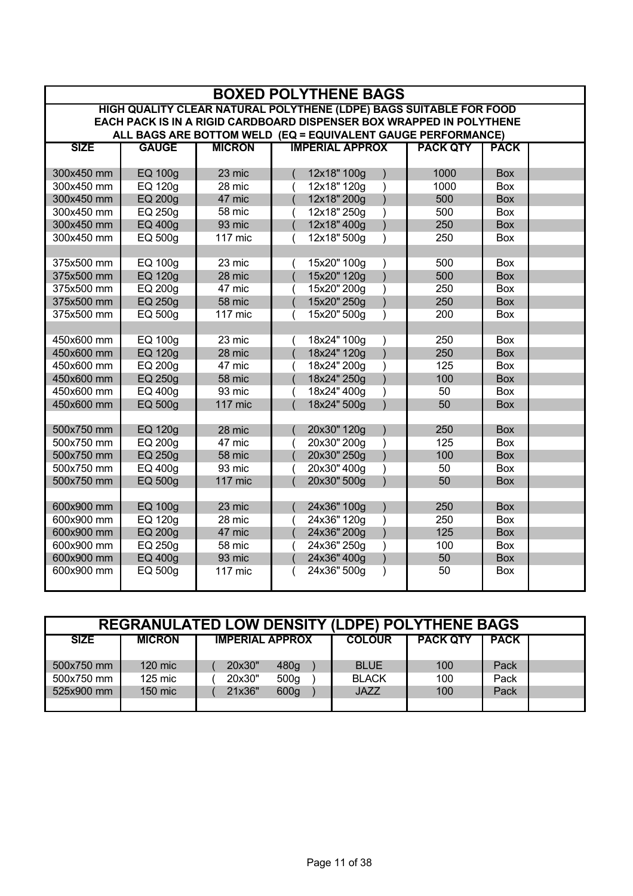|                          | <b>BOXED POLYTHENE BAGS</b>                                        |                  |                                                                      |  |  |  |  |  |  |
|--------------------------|--------------------------------------------------------------------|------------------|----------------------------------------------------------------------|--|--|--|--|--|--|
|                          | HIGH QUALITY CLEAR NATURAL POLYTHENE (LDPE) BAGS SUITABLE FOR FOOD |                  |                                                                      |  |  |  |  |  |  |
|                          |                                                                    |                  | EACH PACK IS IN A RIGID CARDBOARD DISPENSER BOX WRAPPED IN POLYTHENE |  |  |  |  |  |  |
|                          |                                                                    |                  | ALL BAGS ARE BOTTOM WELD (EQ = EQUIVALENT GAUGE PERFORMANCE)         |  |  |  |  |  |  |
| <b>SIZE</b>              | <b>GAUGE</b>                                                       | <b>MICRON</b>    | <b>IMPERIAL APPROX</b><br><b>PACK QTY</b><br><b>PACK</b>             |  |  |  |  |  |  |
| 300x450 mm               | <b>EQ 100g</b>                                                     | 23 mic           | 12x18" 100g<br>1000<br><b>Box</b>                                    |  |  |  |  |  |  |
| 300x450 mm               | <b>EQ 120g</b>                                                     | 28 mic           | 1000<br>12x18" 120g<br><b>Box</b>                                    |  |  |  |  |  |  |
| 300x450 mm               | EQ 200g                                                            | 47 mic           | 12x18" 200g<br>500<br><b>Box</b>                                     |  |  |  |  |  |  |
| 300x450 mm               | EQ 250g                                                            | 58 mic           | 12x18" 250g<br>500<br><b>Box</b>                                     |  |  |  |  |  |  |
| 300x450 mm               | EQ 400g                                                            | 93 mic           | 12x18" 400g<br>250<br><b>Box</b>                                     |  |  |  |  |  |  |
| 300x450 mm               | EQ 500g                                                            | 117 mic          | 250<br>12x18" 500g<br><b>Box</b>                                     |  |  |  |  |  |  |
|                          |                                                                    |                  |                                                                      |  |  |  |  |  |  |
| 375x500 mm               | <b>EQ 100g</b>                                                     | 23 mic           | 500<br>15x20" 100g<br><b>Box</b>                                     |  |  |  |  |  |  |
| 375x500 mm               | <b>EQ 120g</b>                                                     | 28 mic           | 500<br>15x20" 120g<br><b>Box</b>                                     |  |  |  |  |  |  |
| 375x500 mm               | <b>EQ 200g</b>                                                     | 47 mic           | 15x20" 200g<br>250<br><b>Box</b><br>$\lambda$                        |  |  |  |  |  |  |
| 375x500 mm               | <b>EQ 250g</b>                                                     | 58 mic           | 250<br><b>Box</b><br>15x20" 250g                                     |  |  |  |  |  |  |
| 375x500 mm               | EQ 500g                                                            | 117 mic          | 200<br><b>Box</b><br>15x20" 500g                                     |  |  |  |  |  |  |
|                          |                                                                    |                  |                                                                      |  |  |  |  |  |  |
| 450x600 mm               | EQ 100g                                                            | 23 mic           | 250<br>18x24" 100g<br>Box                                            |  |  |  |  |  |  |
| 450x600 mm               | <b>EQ 120g</b>                                                     | 28 mic           | 18x24" 120g<br>250<br><b>Box</b><br>$\mathcal{E}$                    |  |  |  |  |  |  |
| 450x600 mm               | <b>EQ 200g</b>                                                     | 47 mic           | 18x24" 200g<br>125<br><b>Box</b>                                     |  |  |  |  |  |  |
| 450x600 mm               | EQ 250g                                                            | 58 mic           | 100<br>18x24" 250g<br><b>Box</b>                                     |  |  |  |  |  |  |
| 450x600 mm               | EQ 400g                                                            | 93 mic           | 50<br>18x24" 400g<br>Box                                             |  |  |  |  |  |  |
| 450x600 mm               | EQ 500g                                                            | 117 mic          | 50<br>18x24" 500g<br><b>Box</b>                                      |  |  |  |  |  |  |
|                          |                                                                    |                  |                                                                      |  |  |  |  |  |  |
| 500x750 mm               | <b>EQ 120g</b>                                                     | 28 mic           | 20x30" 120g<br>250<br><b>Box</b>                                     |  |  |  |  |  |  |
| 500x750 mm               | EQ 200g                                                            | 47 mic           | 20x30" 200g<br>125<br>$\lambda$<br>Box                               |  |  |  |  |  |  |
| 500x750 mm               | EQ 250g                                                            | 58 mic           | 20x30" 250g<br>100<br><b>Box</b>                                     |  |  |  |  |  |  |
| 500x750 mm               | <b>EQ 400g</b>                                                     | 93 mic           | 20x30" 400g<br>50<br>Box                                             |  |  |  |  |  |  |
| 500x750 mm               | EQ 500g                                                            | 117 mic          | 20x30" 500g<br>50<br><b>Box</b>                                      |  |  |  |  |  |  |
|                          |                                                                    |                  |                                                                      |  |  |  |  |  |  |
| 600x900 mm               | <b>EQ 100g</b>                                                     | 23 mic           | 250<br>24x36" 100g<br><b>Box</b>                                     |  |  |  |  |  |  |
| 600x900 mm               | <b>EQ 120g</b>                                                     | 28 mic           | 250<br>24x36" 120g<br>Box<br>125                                     |  |  |  |  |  |  |
| 600x900 mm<br>600x900 mm | EQ 200g<br><b>EQ 250g</b>                                          | 47 mic<br>58 mic | 24x36" 200g<br><b>Box</b><br>24x36" 250g<br>100<br>Box               |  |  |  |  |  |  |
| 600x900 mm               | EQ 400g                                                            | 93 mic           | 24x36" 400g<br>50<br><b>Box</b>                                      |  |  |  |  |  |  |
| 600x900 mm               | EQ 500g                                                            | 117 mic          | 24x36" 500g<br>50<br>Box                                             |  |  |  |  |  |  |
|                          |                                                                    |                  |                                                                      |  |  |  |  |  |  |
|                          |                                                                    |                  |                                                                      |  |  |  |  |  |  |

| <b>REGRANULATED LOW DENSITY (LDPE) POLYTHENE BAGS</b> |               |                            |               |                 |             |  |  |  |  |
|-------------------------------------------------------|---------------|----------------------------|---------------|-----------------|-------------|--|--|--|--|
| <b>SIZE</b>                                           | <b>MICRON</b> | <b>IMPERIAL APPROX</b>     | <b>COLOUR</b> | <b>PACK QTY</b> | <b>PACK</b> |  |  |  |  |
| 500x750 mm                                            | $120$ mic     | 480g<br>20x30"             | <b>BLUE</b>   | 100             | Pack        |  |  |  |  |
| 500x750 mm                                            | $125$ mic     | 20x30"<br>500 <sub>g</sub> | <b>BLACK</b>  | 100             | Pack        |  |  |  |  |
| 525x900 mm                                            | 150 mic       | 600 <sub>g</sub><br>21x36" | <b>JAZZ</b>   | 100             | Pack        |  |  |  |  |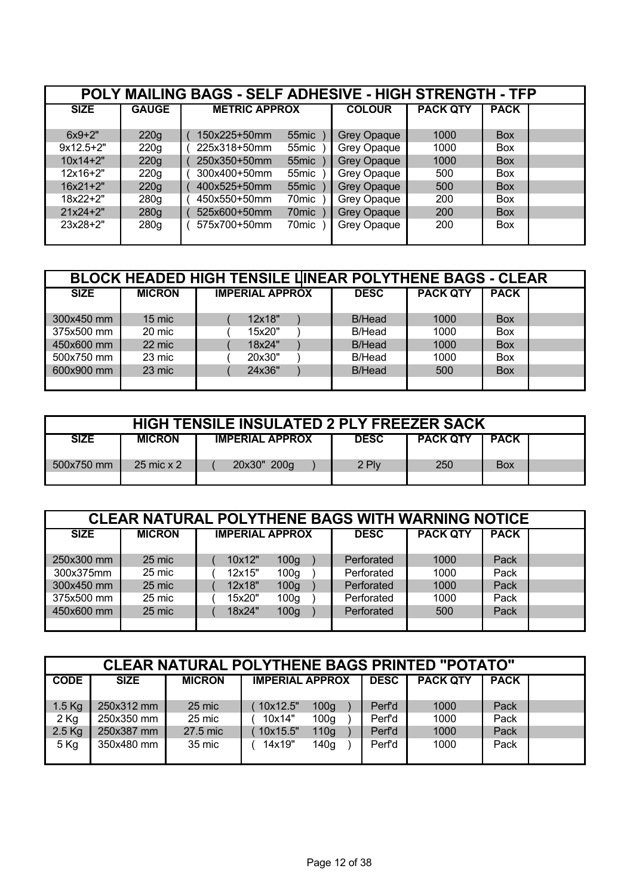| POLY MAILING BAGS - SELF ADHESIVE - HIGH STRENGTH - TFP |              |                                   |                    |                 |             |  |  |  |  |  |
|---------------------------------------------------------|--------------|-----------------------------------|--------------------|-----------------|-------------|--|--|--|--|--|
| <b>SIZE</b>                                             | <b>GAUGE</b> | <b>METRIC APPROX</b>              | <b>COLOUR</b>      | <b>PACK QTY</b> | <b>PACK</b> |  |  |  |  |  |
|                                                         |              |                                   |                    |                 |             |  |  |  |  |  |
| $6x9+2"$                                                | 220g         | 150x225+50mm<br>55 <sub>mic</sub> | <b>Grey Opaque</b> | 1000            | <b>Box</b>  |  |  |  |  |  |
| $9x12.5+2"$                                             | 220g         | 225x318+50mm<br>55mic             | Grey Opaque        | 1000            | <b>Box</b>  |  |  |  |  |  |
| $10x14+2"$                                              | 220g         | 55mic<br>250x350+50mm             | <b>Grey Opaque</b> | 1000            | <b>Box</b>  |  |  |  |  |  |
| $12x16+2"$                                              | 220g         | 300x400+50mm<br>55mic             | Grey Opaque        | 500             | <b>Box</b>  |  |  |  |  |  |
| $16x21+2"$                                              | 220g         | 55mic<br>400x525+50mm             | <b>Grey Opaque</b> | 500             | <b>Box</b>  |  |  |  |  |  |
| $18x22+2"$                                              | 280g         | 450x550+50mm<br>70mic             | Grey Opaque        | 200             | <b>Box</b>  |  |  |  |  |  |
| $21x24+2"$                                              | 280g         | 525x600+50mm<br>70 <sub>mic</sub> | <b>Grey Opaque</b> | 200             | <b>Box</b>  |  |  |  |  |  |
| $23x28+2"$                                              | 280g         | 575x700+50mm<br>70mic             | Grey Opaque        | 200             | <b>Box</b>  |  |  |  |  |  |

| <b>BLOCK HEADED HIGH TENSILE LINEAR POLYTHENE BAGS - CLEAR</b> |               |                        |             |                 |             |  |  |  |  |
|----------------------------------------------------------------|---------------|------------------------|-------------|-----------------|-------------|--|--|--|--|
| <b>SIZE</b>                                                    | <b>MICRON</b> | <b>IMPERIAL APPROX</b> | <b>DESC</b> | <b>PACK QTY</b> | <b>PACK</b> |  |  |  |  |
|                                                                |               |                        |             |                 |             |  |  |  |  |
| 300x450 mm                                                     | 15 mic        | 12x18"                 | B/Head      | 1000            | <b>Box</b>  |  |  |  |  |
| 375x500 mm                                                     | 20 mic        | 15x20"                 | B/Head      | 1000            | <b>Box</b>  |  |  |  |  |
| 450x600 mm                                                     | 22 mic        | 18x24"                 | B/Head      | 1000            | <b>Box</b>  |  |  |  |  |
| 500x750 mm                                                     | 23 mic        | 20x30"                 | B/Head      | 1000            | <b>Box</b>  |  |  |  |  |
| 600x900 mm                                                     | 23 mic        | 24x36"                 | B/Head      | 500             | <b>Box</b>  |  |  |  |  |
|                                                                |               |                        |             |                 |             |  |  |  |  |

| <b>HIGH TENSILE INSULATED 2 PLY FREEZER SACK</b> |               |                        |             |                 |             |  |  |  |
|--------------------------------------------------|---------------|------------------------|-------------|-----------------|-------------|--|--|--|
| <b>SIZE</b>                                      | <b>MICRON</b> | <b>IMPERIAL APPROX</b> | <b>DESC</b> | <b>PACK QTY</b> | <b>PACK</b> |  |  |  |
| 500x750 mm                                       | 25 mic x 2    | 20x30" 200g            | 2 Plv       | 250             | <b>Box</b>  |  |  |  |

| <b>CLEAR NATURAL POLYTHENE BAGS WITH WARNING NOTICE</b> |               |                            |             |                 |             |  |  |  |  |
|---------------------------------------------------------|---------------|----------------------------|-------------|-----------------|-------------|--|--|--|--|
| <b>SIZE</b>                                             | <b>MICRON</b> | <b>IMPERIAL APPROX</b>     | <b>DESC</b> | <b>PACK QTY</b> | <b>PACK</b> |  |  |  |  |
|                                                         |               |                            |             |                 |             |  |  |  |  |
| 250x300 mm                                              | 25 mic        | 10x12"<br>100 <sub>g</sub> | Perforated  | 1000            | Pack        |  |  |  |  |
| 300x375mm                                               | 25 mic        | 12x15"<br>100 <sub>g</sub> | Perforated  | 1000            | Pack        |  |  |  |  |
| 300x450 mm                                              | 25 mic        | 12x18"<br>100 <sub>g</sub> | Perforated  | 1000            | Pack        |  |  |  |  |
| 375x500 mm                                              | 25 mic        | 100 <sub>g</sub><br>15x20" | Perforated  | 1000            | Pack        |  |  |  |  |
| 450x600 mm                                              | 25 mic        | 18x24"<br>100 <sub>g</sub> | Perforated  | 500             | Pack        |  |  |  |  |
|                                                         |               |                            |             |                 |             |  |  |  |  |

| <b>CLEAR NATURAL POLYTHENE BAGS PRINTED "POTATO"</b> |             |               |                              |                    |                 |             |  |  |  |
|------------------------------------------------------|-------------|---------------|------------------------------|--------------------|-----------------|-------------|--|--|--|
| <b>CODE</b>                                          | <b>SIZE</b> | <b>MICRON</b> | <b>IMPERIAL APPROX</b>       | <b>DESC</b>        | <b>PACK QTY</b> | <b>PACK</b> |  |  |  |
|                                                      |             |               |                              |                    |                 |             |  |  |  |
| $1.5$ Kg                                             | 250x312 mm  | 25 mic        | 10x12.5"<br>100 <sub>g</sub> | Perf'd             | 1000            | Pack        |  |  |  |
| $2$ Kg                                               | 250x350 mm  | 25 mic        | 10x14"<br>100 <sub>q</sub>   | Perf'd             | 1000            | Pack        |  |  |  |
| $2.5$ Kg                                             | 250x387 mm  | 27.5 mic      | 10x15.5"<br>110 <sub>g</sub> | Per <sup>r</sup> d | 1000            | Pack        |  |  |  |
| $5$ Kg                                               | 350x480 mm  | 35 mic        | 14x19"<br>140 <sub>g</sub>   | Perf'd             | 1000            | Pack        |  |  |  |
|                                                      |             |               |                              |                    |                 |             |  |  |  |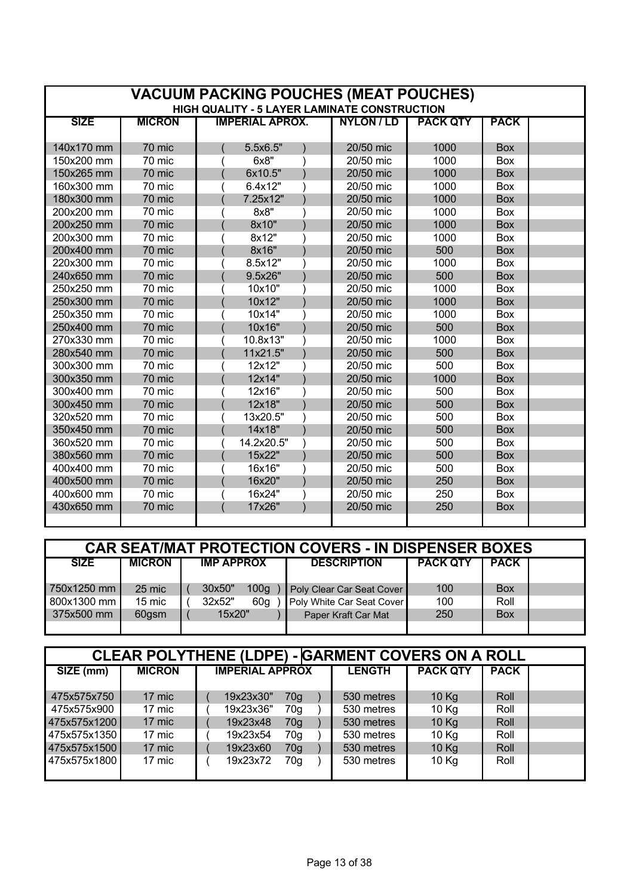| <b>VACUUM PACKING POUCHES (MEAT POUCHES)</b> |               |                                                     |                   |                 |             |  |  |  |  |
|----------------------------------------------|---------------|-----------------------------------------------------|-------------------|-----------------|-------------|--|--|--|--|
|                                              |               | <b>HIGH QUALITY - 5 LAYER LAMINATE CONSTRUCTION</b> |                   |                 |             |  |  |  |  |
| <b>SIZE</b>                                  | <b>MICRON</b> | <b>IMPERIAL APROX.</b>                              | <b>NYLON / LD</b> | <b>PACK QTY</b> | <b>PACK</b> |  |  |  |  |
|                                              |               |                                                     |                   |                 |             |  |  |  |  |
| 140x170 mm                                   | 70 mic        | 5.5x6.5"                                            | 20/50 mic         | 1000            | <b>Box</b>  |  |  |  |  |
| 150x200 mm                                   | 70 mic        | 6x8"                                                | 20/50 mic         | 1000            | Box         |  |  |  |  |
| 150x265 mm                                   | 70 mic        | 6x10.5"                                             | 20/50 mic         | 1000            | <b>Box</b>  |  |  |  |  |
| 160x300 mm                                   | 70 mic        | 6.4x12"                                             | 20/50 mic         | 1000            | Box         |  |  |  |  |
| 180x300 mm                                   | 70 mic        | 7.25x12"                                            | 20/50 mic         | 1000            | <b>Box</b>  |  |  |  |  |
| 200x200 mm                                   | 70 mic        | 8x8"                                                | 20/50 mic         | 1000            | Box         |  |  |  |  |
| 200x250 mm                                   | 70 mic        | 8x10"                                               | 20/50 mic         | 1000            | <b>Box</b>  |  |  |  |  |
| 200x300 mm                                   | 70 mic        | 8x12"                                               | 20/50 mic         | 1000            | Box         |  |  |  |  |
| 200x400 mm                                   | 70 mic        | 8x16"                                               | 20/50 mic         | 500             | Box         |  |  |  |  |
| 220x300 mm                                   | 70 mic        | 8.5x12"                                             | 20/50 mic         | 1000            | <b>Box</b>  |  |  |  |  |
| 240x650 mm                                   | 70 mic        | 9.5x26"                                             | 20/50 mic         | 500             | Box         |  |  |  |  |
| 250x250 mm                                   | 70 mic        | 10x10"                                              | 20/50 mic         | 1000            | Box         |  |  |  |  |
| 250x300 mm                                   | 70 mic        | 10x12"                                              | 20/50 mic         | 1000            | <b>Box</b>  |  |  |  |  |
| 250x350 mm                                   | 70 mic        | 10x14"                                              | 20/50 mic         | 1000            | Box         |  |  |  |  |
| 250x400 mm                                   | 70 mic        | 10x16"                                              | 20/50 mic         | 500             | <b>Box</b>  |  |  |  |  |
| 270x330 mm                                   | 70 mic        | 10.8x13"                                            | 20/50 mic         | 1000            | Box         |  |  |  |  |
| 280x540 mm                                   | 70 mic        | 11x21.5"                                            | 20/50 mic         | 500             | <b>Box</b>  |  |  |  |  |
| 300x300 mm                                   | 70 mic        | 12x12"                                              | 20/50 mic         | 500             | Box         |  |  |  |  |
| 300x350 mm                                   | 70 mic        | 12x14"                                              | 20/50 mic         | 1000            | <b>Box</b>  |  |  |  |  |
| 300x400 mm                                   | 70 mic        | 12x16"                                              | 20/50 mic         | 500             | <b>Box</b>  |  |  |  |  |
| 300x450 mm                                   | 70 mic        | 12x18"                                              | 20/50 mic         | 500             | <b>Box</b>  |  |  |  |  |
| 320x520 mm                                   | 70 mic        | 13x20.5"                                            | 20/50 mic         | 500             | Box         |  |  |  |  |
| 350x450 mm                                   | 70 mic        | 14x18"                                              | 20/50 mic         | 500             | <b>Box</b>  |  |  |  |  |
| 360x520 mm                                   | 70 mic        | 14.2x20.5"                                          | 20/50 mic         | 500             | Box         |  |  |  |  |
| 380x560 mm                                   | 70 mic        | 15x22"                                              | 20/50 mic         | 500             | <b>Box</b>  |  |  |  |  |
| 400x400 mm                                   | 70 mic        | 16x16"                                              | 20/50 mic         | 500             | Box         |  |  |  |  |
| 400x500 mm                                   | 70 mic        | 16x20"                                              | 20/50 mic         | 250             | <b>Box</b>  |  |  |  |  |
| 400x600 mm                                   | 70 mic        | 16x24"                                              | 20/50 mic         | 250             | Box         |  |  |  |  |
| 430x650 mm                                   | 70 mic        | 17x26"                                              | 20/50 mic         | 250             | <b>Box</b>  |  |  |  |  |
|                                              |               |                                                     |                   |                 |             |  |  |  |  |

| <b>CAR SEAT/MAT PROTECTION COVERS - IN DISPENSER BOXES</b> |               |  |                   |                  |                           |                 |             |  |
|------------------------------------------------------------|---------------|--|-------------------|------------------|---------------------------|-----------------|-------------|--|
| <b>SIZE</b>                                                | <b>MICRON</b> |  | <b>IMP APPROX</b> |                  | <b>DESCRIPTION</b>        | <b>PACK QTY</b> | <b>PACK</b> |  |
| 1750x1250 mm                                               | 25 mic        |  | 30x50"            | 100 <sub>g</sub> | Poly Clear Car Seat Cover | 100             | <b>Box</b>  |  |
| 800x1300 mm                                                | 15 mic        |  | 32x52"            | 60 <sub>g</sub>  | Poly White Car Seat Cover | 100             | Roll        |  |
| 375x500 mm                                                 | 60gsm         |  | 15x20"            |                  | Paper Kraft Car Mat       | 250             | <b>Box</b>  |  |
|                                                            |               |  |                   |                  |                           |                 |             |  |

| <b>CLEAR POLYTHENE (LDPE) - GARMENT COVERS ON A ROLL</b> |               |                             |               |                 |             |  |  |  |  |
|----------------------------------------------------------|---------------|-----------------------------|---------------|-----------------|-------------|--|--|--|--|
| SIZE (mm)                                                | <b>MICRON</b> | <b>IMPERIAL APPROX</b>      | <b>LENGTH</b> | <b>PACK QTY</b> | <b>PACK</b> |  |  |  |  |
|                                                          |               |                             |               |                 |             |  |  |  |  |
| 475x575x750                                              | 17 mic        | 19x23x30"<br>70g            | 530 metres    | 10 Kg           | Roll        |  |  |  |  |
| 475x575x900                                              | 17 mic        | 19x23x36"<br>70q            | 530 metres    | 10 Kg           | Roll        |  |  |  |  |
| 475x575x1200                                             | 17 mic        | 19x23x48<br>70 <sub>q</sub> | 530 metres    | 10 Kg           | Roll        |  |  |  |  |
| 475x575x1350                                             | 17 mic        | 19x23x54<br>70 <sub>q</sub> | 530 metres    | 10 Kg           | Roll        |  |  |  |  |
| 475x575x1500                                             | 17 mic        | 19x23x60<br>70 <sub>q</sub> | 530 metres    | 10 Kg           | Roll        |  |  |  |  |
| 475x575x1800                                             | 17 mic        | 19x23x72<br>70g             | 530 metres    | 10 Kg           | Roll        |  |  |  |  |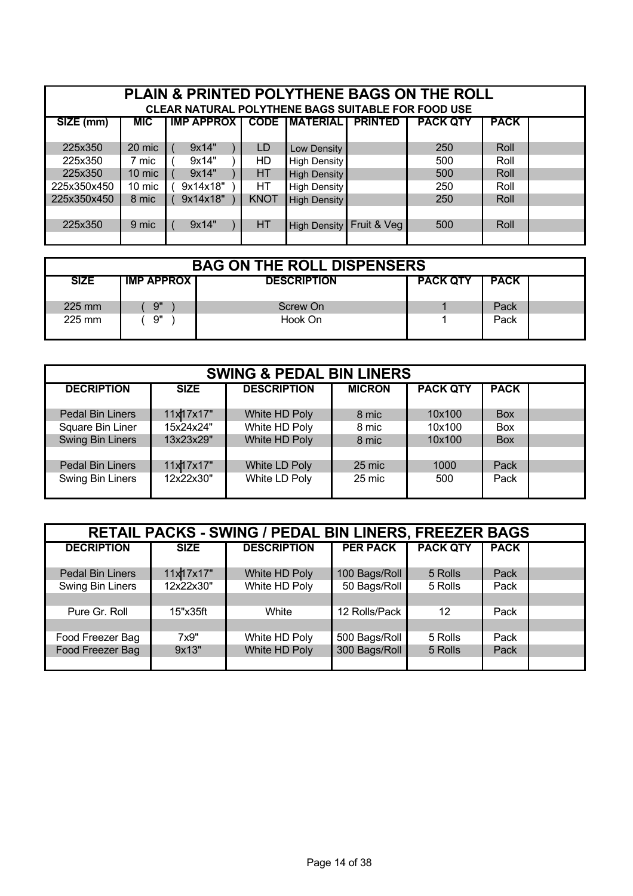| <b>PLAIN &amp; PRINTED POLYTHENE BAGS ON THE ROLL</b><br><b>CLEAR NATURAL POLYTHENE BAGS SUITABLE FOR FOOD USE</b> |                                                                                                                 |          |             |                     |             |     |      |  |  |
|--------------------------------------------------------------------------------------------------------------------|-----------------------------------------------------------------------------------------------------------------|----------|-------------|---------------------|-------------|-----|------|--|--|
| SIZE (mm)                                                                                                          | <b>CODE IMATERIALI</b><br><b>IMP APPROX I</b><br><b>PRINTED</b><br><b>PACK QTY</b><br><b>PACK</b><br><b>MIC</b> |          |             |                     |             |     |      |  |  |
|                                                                                                                    |                                                                                                                 |          |             |                     |             |     |      |  |  |
| 225x350                                                                                                            | 20 mic                                                                                                          | 9x14"    | LD          | Low Density         |             | 250 | Roll |  |  |
| 225x350                                                                                                            | 7 mic                                                                                                           | 9x14"    | HD.         | High Density        |             | 500 | Roll |  |  |
| 225x350                                                                                                            | 10 mic                                                                                                          | 9x14"    | НT          | High Density        |             | 500 | Roll |  |  |
| 225x350x450                                                                                                        | 10 mic                                                                                                          | 9x14x18" | НT          | High Density        |             | 250 | Roll |  |  |
| 225x350x450                                                                                                        | 8 mic                                                                                                           | 9x14x18" | <b>KNOT</b> | <b>High Density</b> |             | 250 | Roll |  |  |
|                                                                                                                    |                                                                                                                 |          |             |                     |             |     |      |  |  |
| 225x350                                                                                                            | 9 mic                                                                                                           | 9x14"    | HT          | High Density        | Fruit & Vea | 500 | Roll |  |  |
|                                                                                                                    |                                                                                                                 |          |             |                     |             |     |      |  |  |

| <b>BAG ON THE ROLL DISPENSERS</b> |                     |                    |                 |             |  |  |  |  |
|-----------------------------------|---------------------|--------------------|-----------------|-------------|--|--|--|--|
| <b>SIZE</b>                       | <b>IMP APPROX I</b> | <b>DESCRIPTION</b> | <b>PACK QTY</b> | <b>PACK</b> |  |  |  |  |
| $225 \text{ mm}$                  | 9"                  | Screw On           |                 | Pack        |  |  |  |  |
| $225 \text{ mm}$                  | 9"                  | Hook On            |                 | Pack        |  |  |  |  |

| <b>SWING &amp; PEDAL BIN LINERS</b> |             |                    |               |                 |             |  |  |  |
|-------------------------------------|-------------|--------------------|---------------|-----------------|-------------|--|--|--|
| <b>DECRIPTION</b>                   | <b>SIZE</b> | <b>DESCRIPTION</b> | <b>MICRON</b> | <b>PACK QTY</b> | <b>PACK</b> |  |  |  |
|                                     |             |                    |               |                 |             |  |  |  |
| Pedal Bin Liners                    | 11x17x17"   | White HD Poly      | 8 mic         | 10x100          | <b>Box</b>  |  |  |  |
| Square Bin Liner                    | 15x24x24"   | White HD Poly      | 8 mic         | 10x100          | Box         |  |  |  |
| Swing Bin Liners                    | 13x23x29"   | White HD Poly      | 8 mic         | 10x100          | <b>Box</b>  |  |  |  |
|                                     |             |                    |               |                 |             |  |  |  |
| <b>Pedal Bin Liners</b>             | 11x17x17"   | White LD Poly      | 25 mic        | 1000            | Pack        |  |  |  |
| Swing Bin Liners                    | 12x22x30"   | White LD Poly      | 25 mic        | 500             | Pack        |  |  |  |
|                                     |             |                    |               |                 |             |  |  |  |

| <b>RETAIL PACKS - SWING / PEDAL BIN LINERS, FREEZER BAGS</b> |             |                    |                 |                 |             |  |  |  |
|--------------------------------------------------------------|-------------|--------------------|-----------------|-----------------|-------------|--|--|--|
| <b>DECRIPTION</b>                                            | <b>SIZE</b> | <b>DESCRIPTION</b> | <b>PER PACK</b> | <b>PACK QTY</b> | <b>PACK</b> |  |  |  |
| <b>Pedal Bin Liners</b>                                      | 11x17x17"   | White HD Poly      | 100 Bags/Roll   | 5 Rolls         | Pack        |  |  |  |
| Swing Bin Liners                                             | 12x22x30"   | White HD Poly      | 50 Bags/Roll    | 5 Rolls         | Pack        |  |  |  |
|                                                              |             |                    |                 |                 |             |  |  |  |
| Pure Gr. Roll                                                | 15"x35ft    | White              | 12 Rolls/Pack   | 12              | Pack        |  |  |  |
|                                                              |             |                    |                 |                 |             |  |  |  |
| Food Freezer Bag                                             | 7x9"        | White HD Poly      | 500 Bags/Roll   | 5 Rolls         | Pack        |  |  |  |
| Food Freezer Bag                                             | 9x13"       | White HD Poly      | 300 Bags/Roll   | 5 Rolls         | Pack        |  |  |  |
|                                                              |             |                    |                 |                 |             |  |  |  |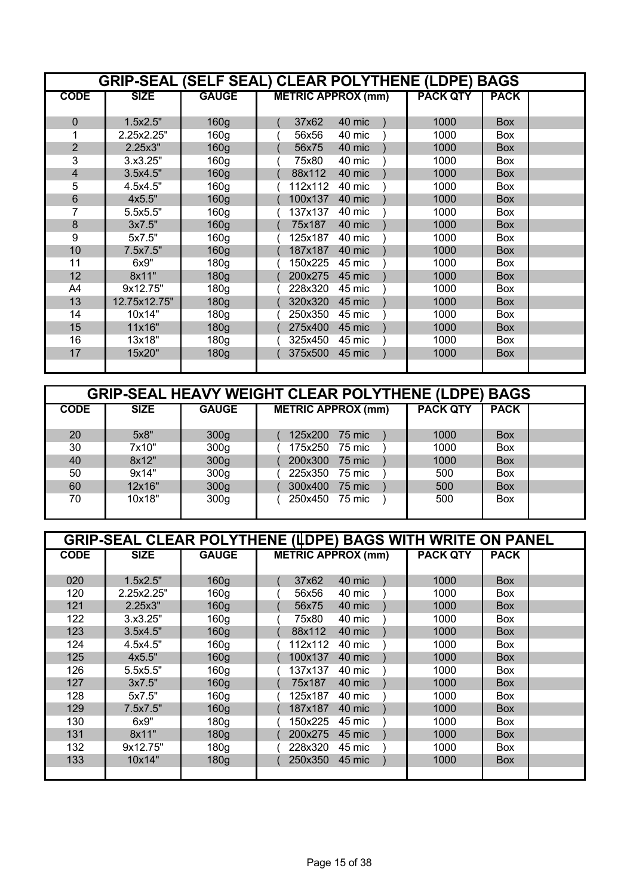|                | <b>GRIP-SEAL (SELF SEAL) CLEAR POLYTHENE (LDPE) BAGS</b> |                  |                           |                 |             |  |  |  |  |  |
|----------------|----------------------------------------------------------|------------------|---------------------------|-----------------|-------------|--|--|--|--|--|
| <b>CODE</b>    | <b>SIZE</b>                                              | <b>GAUGE</b>     | <b>METRIC APPROX (mm)</b> | <b>PACK QTY</b> | <b>PACK</b> |  |  |  |  |  |
|                |                                                          |                  |                           |                 |             |  |  |  |  |  |
| $\mathbf 0$    | 1.5x2.5"                                                 | 160 <sub>g</sub> | 37x62<br>40 mic           | 1000            | <b>Box</b>  |  |  |  |  |  |
|                | 2.25x2.25"                                               | 160 <sub>g</sub> | 56x56<br>40 mic           | 1000            | Box         |  |  |  |  |  |
| $\overline{2}$ | 2.25x3"                                                  | 160 <sub>g</sub> | 56x75<br>40 mic           | 1000            | <b>Box</b>  |  |  |  |  |  |
| 3              | 3.x3.25"                                                 | 160 <sub>g</sub> | 40 mic<br>75x80           | 1000            | <b>Box</b>  |  |  |  |  |  |
| $\overline{4}$ | 3.5x4.5"                                                 | 160 <sub>g</sub> | 88x112<br>40 mic          | 1000            | <b>Box</b>  |  |  |  |  |  |
| 5              | 4.5x4.5"                                                 | 160 <sub>q</sub> | 112x112<br>40 mic         | 1000            | <b>Box</b>  |  |  |  |  |  |
| 6              | 4x5.5"                                                   | 160 <sub>g</sub> | 100x137<br>40 mic         | 1000            | <b>Box</b>  |  |  |  |  |  |
| 7              | 5.5x5.5"                                                 | 160 <sub>g</sub> | 40 mic<br>137x137         | 1000            | <b>Box</b>  |  |  |  |  |  |
| 8              | 3x7.5"                                                   | 160 <sub>g</sub> | 75x187<br>40 mic          | 1000            | <b>Box</b>  |  |  |  |  |  |
| 9              | 5x7.5"                                                   | 160 <sub>q</sub> | 125x187<br>40 mic         | 1000            | <b>Box</b>  |  |  |  |  |  |
| 10             | 7.5x7.5"                                                 | 160 <sub>g</sub> | 187x187<br>40 mic         | 1000            | <b>Box</b>  |  |  |  |  |  |
| 11             | 6x9"                                                     | 180 <sub>g</sub> | 150x225<br>45 mic         | 1000            | <b>Box</b>  |  |  |  |  |  |
| 12             | 8x11"                                                    | 180g             | 200x275<br>45 mic         | 1000            | <b>Box</b>  |  |  |  |  |  |
| A4             | 9x12.75"                                                 | 180 <sub>g</sub> | 45 mic<br>228x320         | 1000            | <b>Box</b>  |  |  |  |  |  |
| 13             | 12.75x12.75"                                             | 180 <sub>g</sub> | 320x320<br>45 mic         | 1000            | <b>Box</b>  |  |  |  |  |  |
| 14             | 10x14"                                                   | 180 <sub>q</sub> | 45 mic<br>250x350         | 1000            | Box         |  |  |  |  |  |
| 15             | 11x16"                                                   | 180 <sub>g</sub> | 275x400<br>45 mic         | 1000            | <b>Box</b>  |  |  |  |  |  |
| 16             | 13x18"                                                   | 180 <sub>g</sub> | 325x450<br>45 mic         | 1000            | <b>Box</b>  |  |  |  |  |  |
| 17             | 15x20"                                                   | 180 <sub>g</sub> | 45 mic<br>375x500         | 1000            | <b>Box</b>  |  |  |  |  |  |
|                |                                                          |                  |                           |                 |             |  |  |  |  |  |

|             | <b>GRIP-SEAL HEAVY WEIGHT CLEAR POLYTHENE (LDPE) BAGS</b> |                  |                           |                 |             |  |  |  |  |  |
|-------------|-----------------------------------------------------------|------------------|---------------------------|-----------------|-------------|--|--|--|--|--|
| <b>CODE</b> | <b>SIZE</b>                                               | <b>GAUGE</b>     | <b>METRIC APPROX (mm)</b> | <b>PACK QTY</b> | <b>PACK</b> |  |  |  |  |  |
|             |                                                           |                  |                           |                 |             |  |  |  |  |  |
| 20          | 5x8"                                                      | 300 <sub>g</sub> | 125x200<br>75 mic         | 1000            | <b>Box</b>  |  |  |  |  |  |
| 30          | 7x10"                                                     | 300 <sub>g</sub> | 175x250<br>75 mic         | 1000            | <b>Box</b>  |  |  |  |  |  |
| 40          | 8x12"                                                     | 300 <sub>g</sub> | 200x300<br>75 mic         | 1000            | <b>Box</b>  |  |  |  |  |  |
| 50          | 9x14"                                                     | 300 <sub>g</sub> | 225x350<br>75 mic         | 500             | <b>Box</b>  |  |  |  |  |  |
| 60          | 12x16"                                                    | 300 <sub>g</sub> | 300x400<br>75 mic         | 500             | <b>Box</b>  |  |  |  |  |  |
| 70          | 10x18"                                                    | 300 <sub>g</sub> | 250x450 75 mic            | 500             | <b>Box</b>  |  |  |  |  |  |
|             |                                                           |                  |                           |                 |             |  |  |  |  |  |

|             | <b>GRIP-SEAL CLEAR POLYTHENE (IDPE) BAGS WITH WRITE ON PANEL</b> |                  |                           |                 |             |  |  |  |  |
|-------------|------------------------------------------------------------------|------------------|---------------------------|-----------------|-------------|--|--|--|--|
| <b>CODE</b> | <b>SIZE</b>                                                      | <b>GAUGE</b>     | <b>METRIC APPROX (mm)</b> | <b>PACK QTY</b> | <b>PACK</b> |  |  |  |  |
|             |                                                                  |                  |                           |                 |             |  |  |  |  |
| 020         | 1.5x2.5"                                                         | 160 <sub>g</sub> | 40 mic<br>37x62           | 1000            | <b>Box</b>  |  |  |  |  |
| 120         | 2.25x2.25"                                                       | 160 <sub>q</sub> | 56x56<br>40 mic           | 1000            | <b>Box</b>  |  |  |  |  |
| 121         | 2.25x3"                                                          | 160 <sub>g</sub> | 40 mic<br>56x75           | 1000            | <b>Box</b>  |  |  |  |  |
| 122         | 3.x3.25"                                                         | 160 <sub>q</sub> | 75x80<br>40 mic           | 1000            | <b>Box</b>  |  |  |  |  |
| 123         | 3.5x4.5"                                                         | 160 <sub>g</sub> | 40 mic<br>88x112          | 1000            | <b>Box</b>  |  |  |  |  |
| 124         | 4.5x4.5"                                                         | 160 <sub>g</sub> | 112x112<br>40 mic         | 1000            | <b>Box</b>  |  |  |  |  |
| 125         | 4x5.5"                                                           | 160 <sub>g</sub> | 100x137<br>40 mic         | 1000            | <b>Box</b>  |  |  |  |  |
| 126         | 5.5x5.5"                                                         | 160 <sub>g</sub> | 137x137<br>40 mic         | 1000            | <b>Box</b>  |  |  |  |  |
| 127         | 3x7.5"                                                           | 160 <sub>g</sub> | 75x187<br>40 mic          | 1000            | <b>Box</b>  |  |  |  |  |
| 128         | 5x7.5"                                                           | 160 <sub>q</sub> | 125x187<br>40 mic         | 1000            | <b>Box</b>  |  |  |  |  |
| 129         | 7.5x7.5"                                                         | 160 <sub>g</sub> | 187x187<br>40 mic         | 1000            | <b>Box</b>  |  |  |  |  |
| 130         | 6x9"                                                             | 180 <sub>g</sub> | 45 mic<br>150x225         | 1000            | <b>Box</b>  |  |  |  |  |
| 131         | 8x11"                                                            | 180 <sub>g</sub> | 200x275<br>45 mic         | 1000            | <b>Box</b>  |  |  |  |  |
| 132         | 9x12.75"                                                         | 180 <sub>g</sub> | 45 mic<br>228x320         | 1000            | <b>Box</b>  |  |  |  |  |
| 133         | 10x14"                                                           | 180 <sub>g</sub> | 250x350<br>45 mic         | 1000            | <b>Box</b>  |  |  |  |  |
|             |                                                                  |                  |                           |                 |             |  |  |  |  |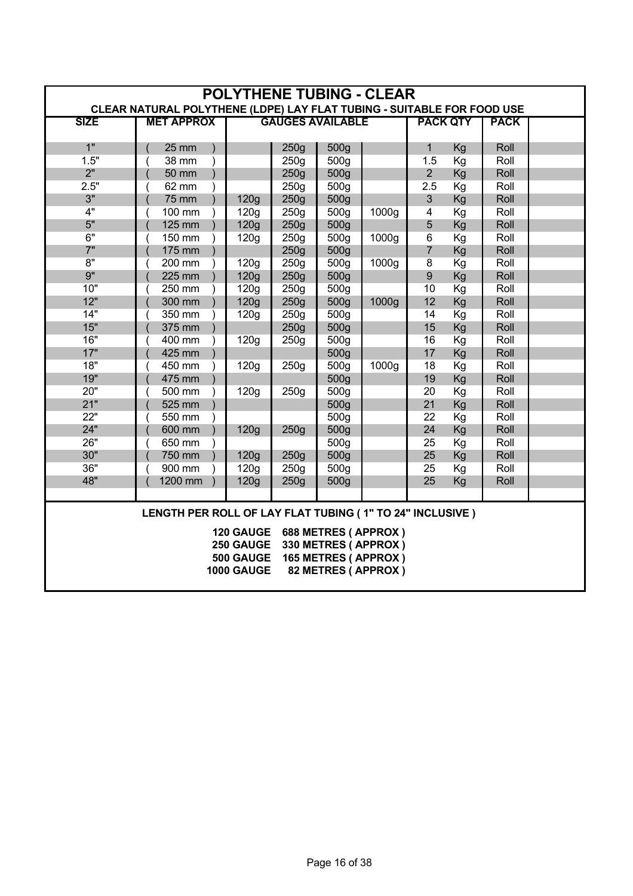| <b>POLYTHENE TUBING - CLEAR</b><br>CLEAR NATURAL POLYTHENE (LDPE) LAY FLAT TUBING - SUITABLE FOR FOOD USE |                    |                   |                  |                         |                     |                         |                 |             |  |
|-----------------------------------------------------------------------------------------------------------|--------------------|-------------------|------------------|-------------------------|---------------------|-------------------------|-----------------|-------------|--|
| <b>SIZE</b>                                                                                               | <b>MET APPROX</b>  |                   |                  | <b>GAUGES AVAILABLE</b> |                     |                         | <b>PACK QTY</b> | <b>PACK</b> |  |
|                                                                                                           |                    |                   |                  |                         |                     |                         |                 |             |  |
| 1"                                                                                                        | <b>25 mm</b>       |                   | 250 <sub>g</sub> | 500g                    |                     | $\mathbf{1}$            | Kg              | Roll        |  |
| 1.5"                                                                                                      | 38 mm<br>$\lambda$ |                   | 250 <sub>q</sub> | 500 <sub>q</sub>        |                     | $1.\overline{5}$        | Kg              | Roll        |  |
| 2"                                                                                                        | 50 mm              |                   | 250g             | 500g                    |                     | 2 <sup>1</sup>          | Kg              | Roll        |  |
| 2.5"                                                                                                      | 62 mm              |                   | 250g             | 500 <sub>g</sub>        |                     | 2.5                     | Kg              | Roll        |  |
| 3"                                                                                                        | <b>75 mm</b>       | 120g              | 250g             | 500g                    |                     | $\overline{3}$          | Kg              | Roll        |  |
| 4"                                                                                                        | 100 mm             | 120g              | 250g             | 500 <sub>g</sub>        | 1000g               | $\overline{\mathbf{4}}$ | Kg              | Roll        |  |
| 5"                                                                                                        | 125 mm             | 120g              | 250g             | 500g                    |                     | $\overline{5}$          | Kg              | Roll        |  |
| $\overline{6"}$                                                                                           | 150 mm             | 120g              | 250g             | 500g                    | 1000g               | $6\overline{6}$         | Kg              | Roll        |  |
| 7"                                                                                                        | 175 mm             |                   | 250g             | 500g                    |                     | $\overline{7}$          | Kg              | Roll        |  |
| 8"                                                                                                        | $200$ mm           | 120g              | 250g             | 500 <sub>g</sub>        | 1000g               | $\overline{8}$          | Kg              | Roll        |  |
| 9"                                                                                                        | 225 mm             | 120g              | 250g             | 500g                    |                     | $9\,$                   | Kg              | Roll        |  |
| 10"                                                                                                       | 250 mm             | 120g              | 250g             | 500g                    |                     | 10                      | Kg              | Roll        |  |
| 12"                                                                                                       | 300 mm             | 120 <sub>g</sub>  | 250g             | 500g                    | 1000g               | 12                      | Kg              | Roll        |  |
| 14"                                                                                                       | 350 mm             | 120g              | 250g             | 500g                    |                     | 14                      | Kg              | Roll        |  |
| 15"                                                                                                       | 375 mm             |                   | 250g             | 500g                    |                     | 15                      | Kg              | Roll        |  |
| 16"                                                                                                       | 400 mm             | 120g              | 250 <sub>g</sub> | 500g                    |                     | 16                      | Kg              | Roll        |  |
| 17"                                                                                                       | 425 mm             |                   |                  | 500g                    |                     | 17                      | Kg              | Roll        |  |
| 18"                                                                                                       | 450 mm             | 120g              | 250g             | 500g                    | 1000g               | 18                      | Kg              | Roll        |  |
| 19"                                                                                                       | 475 mm             |                   |                  | 500g                    |                     | 19                      | Kg              | Roll        |  |
| 20"                                                                                                       | 500 mm             | 120g              | 250g             | 500g                    |                     | 20                      | Kg              | Roll        |  |
| 21"                                                                                                       | 525 mm             |                   |                  | 500g                    |                     | 21                      | Kg              | Roll        |  |
| 22"                                                                                                       | 550 mm             |                   |                  | 500g                    |                     | 22                      | Kg              | Roll        |  |
| 24"                                                                                                       | 600 mm             | 120g              | 250g             | 500g                    |                     | 24                      | Kg              | Roll        |  |
| 26"                                                                                                       | 650 mm             |                   |                  | 500g                    |                     | 25                      | Kg              | Roll        |  |
| 30"                                                                                                       | 750 mm             | 120g              | 250g             | 500g                    |                     | 25                      | Kg              | Roll        |  |
| 36"                                                                                                       | 900 mm             | 120g              | 250g             | 500g                    |                     | 25                      | Kg              | Roll        |  |
| 48"                                                                                                       | 1200 mm            | 120g              | 250 <sub>g</sub> | 500g                    |                     | 25                      | Kg              | Roll        |  |
|                                                                                                           |                    |                   |                  |                         |                     |                         |                 |             |  |
| LENGTH PER ROLL OF LAY FLAT TUBING (1" TO 24" INCLUSIVE )                                                 |                    |                   |                  |                         |                     |                         |                 |             |  |
|                                                                                                           |                    | <b>120 GAUGE</b>  |                  |                         | 688 METRES (APPROX) |                         |                 |             |  |
|                                                                                                           |                    | 250 GAUGE         |                  | 330 METRES (APPROX)     |                     |                         |                 |             |  |
|                                                                                                           |                    | 500 GAUGE         |                  | 165 METRES (APPROX)     |                     |                         |                 |             |  |
|                                                                                                           |                    | <b>1000 GAUGE</b> |                  |                         | 82 METRES (APPROX)  |                         |                 |             |  |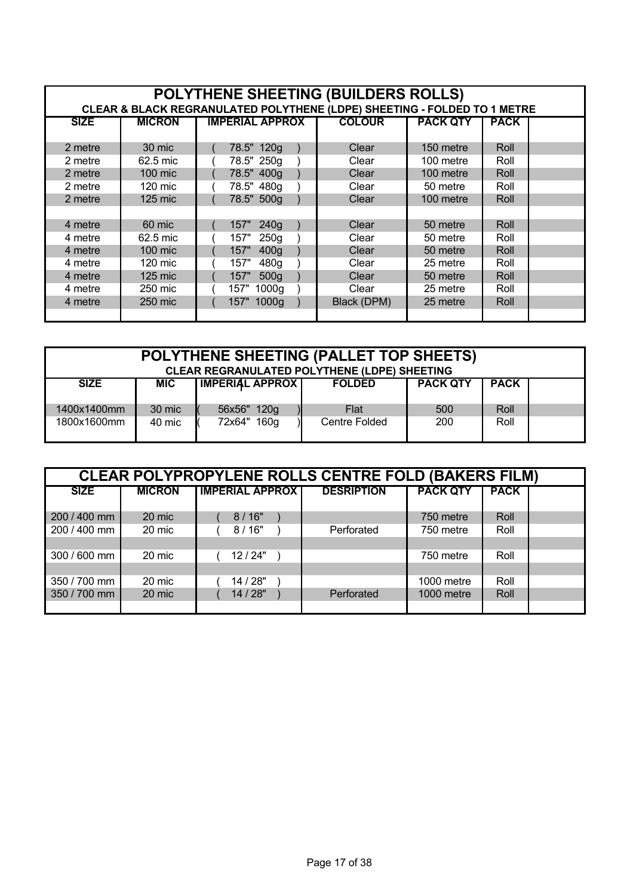| POLYTHENE SHEETING (BUILDERS ROLLS)                                      |               |                          |               |                 |             |  |  |  |  |
|--------------------------------------------------------------------------|---------------|--------------------------|---------------|-----------------|-------------|--|--|--|--|
| CLEAR & BLACK REGRANULATED POLYTHENE (LDPE) SHEETING - FOLDED TO 1 METRE |               |                          |               |                 |             |  |  |  |  |
| <b>SIZE</b>                                                              | <b>MICRON</b> | <b>IMPERIAL APPROX</b>   | <b>COLOUR</b> | <b>PACK QTY</b> | <b>PACK</b> |  |  |  |  |
|                                                                          |               |                          |               |                 |             |  |  |  |  |
| 2 metre                                                                  | 30 mic        | 78.5" 120g               | Clear         | 150 metre       | Roll        |  |  |  |  |
| 2 metre                                                                  | 62.5 mic      | 78.5" 250g               | Clear         | 100 metre       | Roll        |  |  |  |  |
| 2 metre                                                                  | 100 mic       | 78.5" 400g               | Clear         | 100 metre       | Roll        |  |  |  |  |
| 2 metre                                                                  | 120 mic       | 78.5" 480g               | Clear         | 50 metre        | Roll        |  |  |  |  |
| 2 metre                                                                  | $125$ mic     | 78.5" 500g               | Clear         | 100 metre       | Roll        |  |  |  |  |
|                                                                          |               |                          |               |                 |             |  |  |  |  |
| 4 metre                                                                  | 60 mic        | 240 <sub>a</sub><br>157" | Clear         | 50 metre        | Roll        |  |  |  |  |
| 4 metre                                                                  | 62.5 mic      | 250 <sub>g</sub><br>157" | Clear         | 50 metre        | Roll        |  |  |  |  |
| 4 metre                                                                  | 100 mic       | 400 <sub>g</sub><br>157" | Clear         | 50 metre        | Roll        |  |  |  |  |
| 4 metre                                                                  | 120 mic       | 480g<br>157"             | Clear         | 25 metre        | Roll        |  |  |  |  |
| 4 metre                                                                  | 125 mic       | 157"<br>500 <sub>g</sub> | Clear         | 50 metre        | Roll        |  |  |  |  |
| 4 metre                                                                  | 250 mic       | 1000g<br>157"            | Clear         | 25 metre        | Roll        |  |  |  |  |
| 4 metre                                                                  | 250 mic       | 157" 1000g               | Black (DPM)   | 25 metre        | Roll        |  |  |  |  |
|                                                                          |               |                          |               |                 |             |  |  |  |  |

| POLYTHENE SHEETING (PALLET TOP SHEETS)<br><b>CLEAR REGRANULATED POLYTHENE (LDPE) SHEETING</b> |            |                        |               |                 |             |  |  |
|-----------------------------------------------------------------------------------------------|------------|------------------------|---------------|-----------------|-------------|--|--|
| <b>SIZE</b>                                                                                   | <b>MIC</b> | <b>IMPERIAL APPROX</b> | <b>FOLDED</b> | <b>PACK QTY</b> | <b>PACK</b> |  |  |
| 1400x1400mm                                                                                   | 30 mic     | 56x56" 120g            | Flat          | 500             | Roll        |  |  |
| 1800x1600mm                                                                                   | 40 mic     | 72x64" 160g            | Centre Folded | 200             | Roll        |  |  |

| <b>CLEAR POLYPROPYLENE ROLLS CENTRE FOLD (BAKERS FILM)</b> |               |                        |                   |                 |             |  |  |  |  |
|------------------------------------------------------------|---------------|------------------------|-------------------|-----------------|-------------|--|--|--|--|
| <b>SIZE</b>                                                | <b>MICRON</b> | <b>IMPERIAL APPROX</b> | <b>DESRIPTION</b> | <b>PACK QTY</b> | <b>PACK</b> |  |  |  |  |
| 200 / 400 mm                                               | 20 mic        | 8/16"                  |                   | 750 metre       | Roll        |  |  |  |  |
| 200 / 400 mm                                               | 20 mic        | 8/16"                  | Perforated        | 750 metre       | Roll        |  |  |  |  |
|                                                            |               |                        |                   |                 |             |  |  |  |  |
| 300 / 600 mm                                               | 20 mic        | 12/24"                 |                   | 750 metre       | Roll        |  |  |  |  |
|                                                            |               |                        |                   |                 |             |  |  |  |  |
| 350 / 700 mm                                               | 20 mic        | 14 / 28"               |                   | 1000 metre      | Roll        |  |  |  |  |
| 350 / 700 mm                                               | 20 mic        | 14 / 28"               | Perforated        | 1000 metre      | Roll        |  |  |  |  |
|                                                            |               |                        |                   |                 |             |  |  |  |  |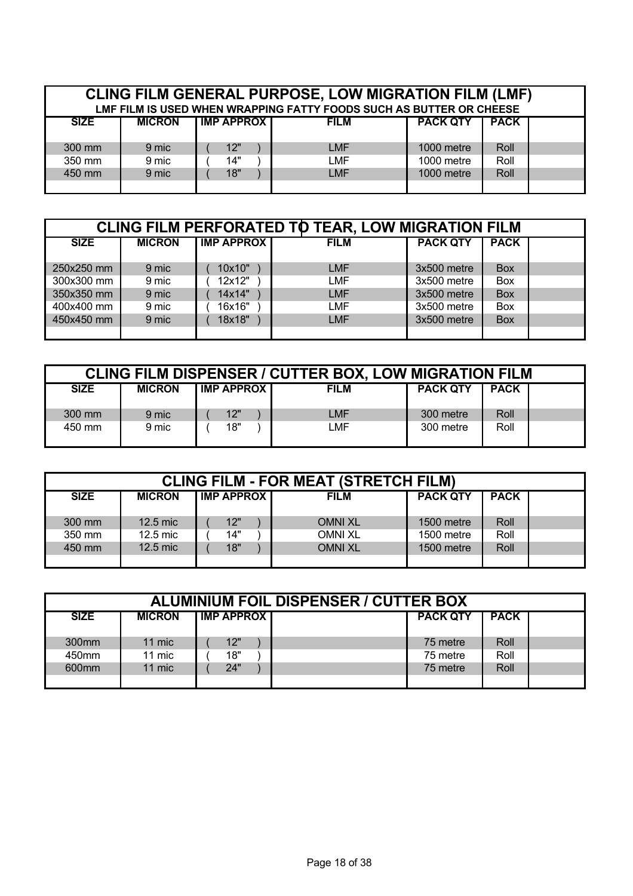| <b>CLING FILM GENERAL PURPOSE, LOW MIGRATION FILM (LMF)</b><br>LMF FILM IS USED WHEN WRAPPING FATTY FOODS SUCH AS BUTTER OR CHEESE |               |                   |             |                 |             |  |  |  |
|------------------------------------------------------------------------------------------------------------------------------------|---------------|-------------------|-------------|-----------------|-------------|--|--|--|
| <b>SIZE</b>                                                                                                                        | <b>MICRON</b> | <b>IMP APPROX</b> | <b>FILM</b> | <b>PACK QTY</b> | <b>PACK</b> |  |  |  |
| 300 mm                                                                                                                             | 9 mic         | 12"               | <b>LMF</b>  | 1000 metre      | Roll        |  |  |  |
| 350 mm                                                                                                                             | 9 mic         | 14"               | LMF         | 1000 metre      | Roll        |  |  |  |
| 450 mm                                                                                                                             | 9 mic         | 18"               | <b>LMF</b>  | 1000 metre      | Roll        |  |  |  |

| <b>CLING FILM PERFORATED TO TEAR, LOW MIGRATION FILM</b> |               |                   |             |                 |             |  |  |  |
|----------------------------------------------------------|---------------|-------------------|-------------|-----------------|-------------|--|--|--|
| <b>SIZE</b>                                              | <b>MICRON</b> | <b>IMP APPROX</b> | <b>FILM</b> | <b>PACK QTY</b> | <b>PACK</b> |  |  |  |
|                                                          |               |                   |             |                 |             |  |  |  |
| 250x250 mm                                               | 9 mic         | 10x10"            | <b>LMF</b>  | 3x500 metre     | <b>Box</b>  |  |  |  |
| 300x300 mm                                               | 9 mic         | 12x12"            | <b>LMF</b>  | 3x500 metre     | Box         |  |  |  |
| 350x350 mm                                               | 9 mic         | 14x14"            | <b>LMF</b>  | 3x500 metre     | <b>Box</b>  |  |  |  |
| 400x400 mm                                               | 9 mic         | 16x16"            | <b>LMF</b>  | 3x500 metre     | Box         |  |  |  |
| 450x450 mm                                               | 9 mic         | 18x18"            | <b>LMF</b>  | 3x500 metre     | <b>Box</b>  |  |  |  |
|                                                          |               |                   |             |                 |             |  |  |  |

| <b>CLING FILM DISPENSER / CUTTER BOX, LOW MIGRATION FILM</b> |               |                   |             |                 |             |  |  |  |  |
|--------------------------------------------------------------|---------------|-------------------|-------------|-----------------|-------------|--|--|--|--|
| <b>SIZE</b>                                                  | <b>MICRON</b> | <b>IMP APPROX</b> | <b>FILM</b> | <b>PACK QTY</b> | <b>PACK</b> |  |  |  |  |
| 300 mm                                                       | 9 mic         | 12"               | LMF         | 300 metre       | Roll        |  |  |  |  |
| 450 mm                                                       | 9 mic         | 18"               | LMF         | 300 metre       | Roll        |  |  |  |  |

| <b>CLING FILM - FOR MEAT (STRETCH FILM)</b> |               |                     |                |                 |             |  |  |  |  |  |
|---------------------------------------------|---------------|---------------------|----------------|-----------------|-------------|--|--|--|--|--|
| <b>SIZE</b>                                 | <b>MICRON</b> | <b>IMP APPROX I</b> | <b>FILM</b>    | <b>PACK QTY</b> | <b>PACK</b> |  |  |  |  |  |
| 300 mm                                      | 12.5 mic      | 12"                 | <b>OMNI XL</b> | 1500 metre      | Roll        |  |  |  |  |  |
| 350 mm                                      | 12.5 mic      | 14"                 | <b>OMNI XL</b> | 1500 metre      | Roll        |  |  |  |  |  |
| 450 mm                                      | 12.5 mic      | 18"                 | <b>OMNI XL</b> | 1500 metre      | Roll        |  |  |  |  |  |
|                                             |               |                     |                |                 |             |  |  |  |  |  |

| <b>ALUMINIUM FOIL DISPENSER / CUTTER BOX</b> |               |                   |  |                 |             |  |  |  |  |  |
|----------------------------------------------|---------------|-------------------|--|-----------------|-------------|--|--|--|--|--|
| <b>SIZE</b>                                  | <b>MICRON</b> | <b>IMP APPROX</b> |  | <b>PACK QTY</b> | <b>PACK</b> |  |  |  |  |  |
| 300 <sub>mm</sub>                            | 11 mic        | 12"               |  | 75 metre        | Roll        |  |  |  |  |  |
| 450mm                                        | 11 mic        | 18"               |  | 75 metre        | Roll        |  |  |  |  |  |
| 600 <sub>mm</sub>                            | 11 mic        | 24"               |  | 75 metre        | Roll        |  |  |  |  |  |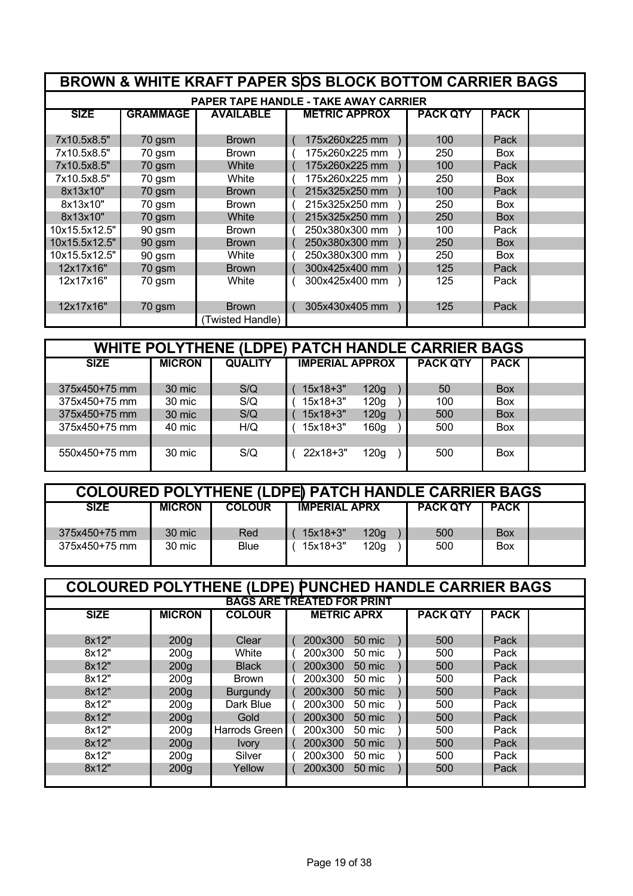|                                              |                 |                  | BROWN & WHITE KRAFT PAPER SOS BLOCK BOTTOM CARRIER BAGS |                 |             |  |  |  |  |  |  |
|----------------------------------------------|-----------------|------------------|---------------------------------------------------------|-----------------|-------------|--|--|--|--|--|--|
| <b>PAPER TAPE HANDLE - TAKE AWAY CARRIER</b> |                 |                  |                                                         |                 |             |  |  |  |  |  |  |
| <b>SIZE</b>                                  | <b>GRAMMAGE</b> | <b>AVAILABLE</b> | <b>METRIC APPROX</b>                                    | <b>PACK QTY</b> | <b>PACK</b> |  |  |  |  |  |  |
| 7x10.5x8.5"                                  | 70 gsm          | <b>Brown</b>     | 175x260x225 mm                                          | 100             | Pack        |  |  |  |  |  |  |
| 7x10.5x8.5"                                  | 70 gsm          | <b>Brown</b>     | 175x260x225 mm                                          | 250             | <b>Box</b>  |  |  |  |  |  |  |
| 7x10.5x8.5"                                  | 70 gsm          | White            | 175x260x225 mm                                          | 100             | Pack        |  |  |  |  |  |  |
| 7x10.5x8.5"                                  | 70 gsm          | White            | 175x260x225 mm                                          | 250             | <b>Box</b>  |  |  |  |  |  |  |
| 8x13x10"                                     | 70 gsm          | <b>Brown</b>     | 215x325x250 mm                                          | 100             | Pack        |  |  |  |  |  |  |
| 8x13x10"                                     | 70 gsm          | <b>Brown</b>     | 215x325x250 mm                                          | 250             | <b>Box</b>  |  |  |  |  |  |  |
| 8x13x10"                                     | 70 gsm          | White            | 215x325x250 mm                                          | 250             | <b>Box</b>  |  |  |  |  |  |  |
| 10x15.5x12.5"                                | 90 gsm          | <b>Brown</b>     | 250x380x300 mm                                          | 100             | Pack        |  |  |  |  |  |  |
| 10x15.5x12.5"                                | 90 gsm          | <b>Brown</b>     | 250x380x300 mm                                          | 250             | <b>Box</b>  |  |  |  |  |  |  |
| 10x15.5x12.5"                                | 90 gsm          | White            | 250x380x300 mm                                          | 250             | <b>Box</b>  |  |  |  |  |  |  |
| 12x17x16"                                    | 70 gsm          | <b>Brown</b>     | 300x425x400 mm                                          | 125             | Pack        |  |  |  |  |  |  |
| 12x17x16"                                    | 70 gsm          | White            | 300x425x400 mm                                          | 125             | Pack        |  |  |  |  |  |  |
| 12x17x16"                                    | 70 gsm          | <b>Brown</b>     | 305x430x405 mm                                          | 125             | Pack        |  |  |  |  |  |  |
|                                              |                 | (Twisted Handle) |                                                         |                 |             |  |  |  |  |  |  |

| <b>WHITE POLYTHENE (LDPE) PATCH HANDLE CARRIER BAGS</b> |               |                |                        |                  |                 |             |  |  |  |
|---------------------------------------------------------|---------------|----------------|------------------------|------------------|-----------------|-------------|--|--|--|
| <b>SIZE</b>                                             | <b>MICRON</b> | <b>QUALITY</b> | <b>IMPERIAL APPROX</b> |                  | <b>PACK QTY</b> | <b>PACK</b> |  |  |  |
|                                                         |               |                |                        |                  |                 |             |  |  |  |
| 375x450+75 mm                                           | 30 mic        | S/Q            | $15x18+3"$             | 120g             | 50              | <b>Box</b>  |  |  |  |
| 375x450+75 mm                                           | 30 mic        | S/Q            | 15x18+3"               | 120g             | 100             | <b>Box</b>  |  |  |  |
| 375x450+75 mm                                           | 30 mic        | S/Q            | 15x18+3"               | 120g             | 500             | <b>Box</b>  |  |  |  |
| 375x450+75 mm                                           | 40 mic        | H/Q            | $15x18+3"$             | 160 <sub>g</sub> | 500             | <b>Box</b>  |  |  |  |
|                                                         |               |                |                        |                  |                 |             |  |  |  |
| 550x450+75 mm                                           | 30 mic        | S/Q            | 22x18+3"               | 120g             | 500             | <b>Box</b>  |  |  |  |
|                                                         |               |                |                        |                  |                 |             |  |  |  |

| <b>COLOURED POLYTHENE (LDPE) PATCH HANDLE CARRIER BAGS</b> |               |               |                      |                  |  |                 |             |  |  |
|------------------------------------------------------------|---------------|---------------|----------------------|------------------|--|-----------------|-------------|--|--|
| <b>SIZE</b>                                                | <b>MICRON</b> | <b>COLOUR</b> | <b>IMPERIAL APRX</b> |                  |  | <b>PACK QTY</b> | <b>PACK</b> |  |  |
|                                                            |               |               |                      |                  |  |                 |             |  |  |
| 375x450+75 mm                                              | 30 mic        | Red           | $15x18+3"$           | 120 <sub>g</sub> |  | 500             | Box         |  |  |
| 375x450+75 mm                                              | 30 mic        | Blue          | 15x18+3"             | 120g             |  | 500             | Box         |  |  |
|                                                            |               |               |                      |                  |  |                 |             |  |  |

|                                   | <b>COLOURED POLYTHENE (LDPE) PUNCHED HANDLE CARRIER BAGS</b> |                 |                                                      |  |  |  |  |  |  |  |
|-----------------------------------|--------------------------------------------------------------|-----------------|------------------------------------------------------|--|--|--|--|--|--|--|
| <b>BAGS ARE TREATED FOR PRINT</b> |                                                              |                 |                                                      |  |  |  |  |  |  |  |
| <b>SIZE</b>                       | <b>MICRON</b>                                                | <b>COLOUR</b>   | <b>PACK QTY</b><br><b>METRIC APRX</b><br><b>PACK</b> |  |  |  |  |  |  |  |
|                                   |                                                              |                 |                                                      |  |  |  |  |  |  |  |
| 8x12"                             | 200 <sub>g</sub>                                             | Clear           | 200x300<br>500<br>50 mic<br>Pack                     |  |  |  |  |  |  |  |
| 8x12"                             | 200 <sub>q</sub>                                             | White           | 50 mic<br>200x300<br>500<br>Pack                     |  |  |  |  |  |  |  |
| 8x12"                             | 200 <sub>g</sub>                                             | <b>Black</b>    | 200x300<br>50 mic<br>500<br>Pack                     |  |  |  |  |  |  |  |
| 8x12"                             | 200 <sub>g</sub>                                             | <b>Brown</b>    | 200x300<br>50 mic<br>500<br>Pack                     |  |  |  |  |  |  |  |
| 8x12"                             | 200 <sub>g</sub>                                             | <b>Burgundy</b> | 200x300<br>50 mic<br>500<br>Pack                     |  |  |  |  |  |  |  |
| 8x12"                             | 200 <sub>q</sub>                                             | Dark Blue       | 50 mic<br>200x300<br>500<br>Pack                     |  |  |  |  |  |  |  |
| 8x12"                             | 200 <sub>g</sub>                                             | Gold            | 200x300<br>50 mic<br>500<br>Pack                     |  |  |  |  |  |  |  |
| 8x12"                             | 200 <sub>q</sub>                                             | Harrods Green   | 200x300<br>500<br>50 mic<br>Pack                     |  |  |  |  |  |  |  |
| 8x12"                             | 200 <sub>g</sub>                                             | <b>Ivory</b>    | 500<br>200x300<br>50 mic<br>Pack                     |  |  |  |  |  |  |  |
| 8x12"                             | 200 <sub>q</sub>                                             | Silver          | 200x300<br>50 mic<br>500<br>Pack                     |  |  |  |  |  |  |  |
| 8x12"                             | 200 <sub>g</sub>                                             | Yellow          | Pack<br>200x300<br>50 mic<br>500                     |  |  |  |  |  |  |  |
|                                   |                                                              |                 |                                                      |  |  |  |  |  |  |  |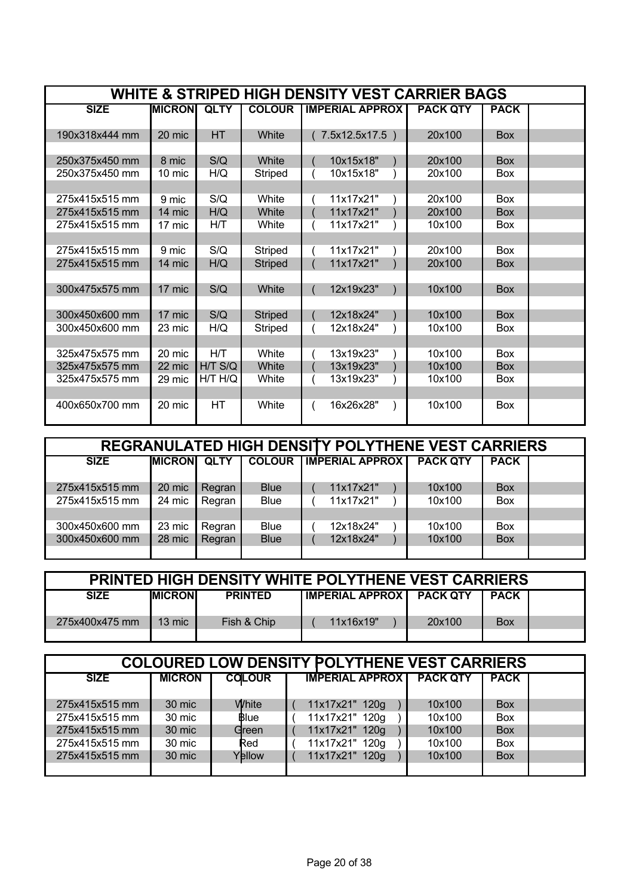|                                  | WHITE & STRIPED HIGH DENSITY VEST CARRIER BAGS |             |                |                        |                 |             |  |  |  |  |  |
|----------------------------------|------------------------------------------------|-------------|----------------|------------------------|-----------------|-------------|--|--|--|--|--|
| <b>SIZE</b>                      | <b>MICRON</b>                                  | <b>QLTY</b> | <b>COLOUR</b>  | <b>IMPERIAL APPROX</b> | <b>PACK QTY</b> | <b>PACK</b> |  |  |  |  |  |
|                                  |                                                |             |                |                        |                 |             |  |  |  |  |  |
| 190x318x444 mm                   | 20 mic                                         | <b>HT</b>   | White          | 7.5x12.5x17.5)         | 20x100          | <b>Box</b>  |  |  |  |  |  |
| 250x375x450 mm                   | 8 mic                                          | S/Q         | White          | 10x15x18"              | 20x100          | <b>Box</b>  |  |  |  |  |  |
| 250x375x450 mm                   | 10 mic                                         | H/Q         | Striped        | 10x15x18"              | 20x100          | Box         |  |  |  |  |  |
|                                  |                                                |             |                |                        |                 |             |  |  |  |  |  |
| 275x415x515 mm                   | 9 mic                                          | S/Q         | White          | 11x17x21"              | 20x100          | Box         |  |  |  |  |  |
| 275x415x515 mm                   | 14 mic                                         | H/Q         | White          | 11x17x21"              | 20x100          | <b>Box</b>  |  |  |  |  |  |
| 275x415x515 mm                   | 17 mic                                         | HЛ          | White          | 11x17x21"              | 10x100          | <b>Box</b>  |  |  |  |  |  |
|                                  |                                                |             |                |                        |                 |             |  |  |  |  |  |
| 275x415x515 mm                   | 9 mic                                          | S/Q         | Striped        | 11x17x21"              | 20x100          | <b>Box</b>  |  |  |  |  |  |
| 275x415x515 mm                   | 14 mic                                         | H/Q         | <b>Striped</b> | 11x17x21"              | 20x100          | <b>Box</b>  |  |  |  |  |  |
|                                  |                                                |             |                |                        |                 |             |  |  |  |  |  |
| 300x475x575 mm                   | 17 mic                                         | S/Q         | White          | 12x19x23"              | 10x100          | <b>Box</b>  |  |  |  |  |  |
|                                  | 17 mic                                         | S/Q         |                | 12x18x24"              | 10x100          | <b>Box</b>  |  |  |  |  |  |
| 300x450x600 mm<br>300x450x600 mm |                                                |             | <b>Striped</b> | 12x18x24"              | 10x100          | <b>Box</b>  |  |  |  |  |  |
|                                  | 23 mic                                         | H/Q         | Striped        |                        |                 |             |  |  |  |  |  |
| 325x475x575 mm                   | 20 mic                                         | H/T         | White          | 13x19x23"              | 10x100          | Box         |  |  |  |  |  |
| 325x475x575 mm                   | 22 mic                                         | $H/T$ S/Q   | White          | 13x19x23"              | 10x100          | <b>Box</b>  |  |  |  |  |  |
| 325x475x575 mm                   | 29 mic                                         | H/T H/Q     | White          | 13x19x23"              | 10x100          | <b>Box</b>  |  |  |  |  |  |
|                                  |                                                |             |                |                        |                 |             |  |  |  |  |  |
| 400x650x700 mm                   | 20 mic                                         | HT          | White          | 16x26x28"              | 10x100          | <b>Box</b>  |  |  |  |  |  |
|                                  |                                                |             |                |                        |                 |             |  |  |  |  |  |

| <b>REGRANULATED HIGH DENSITY POLYTHENE VEST CARRIERS</b> |                |             |               |                         |                 |             |  |  |  |  |
|----------------------------------------------------------|----------------|-------------|---------------|-------------------------|-----------------|-------------|--|--|--|--|
| <b>SIZE</b>                                              | <b>IMICRON</b> | <b>QLTY</b> | <b>COLOUR</b> | <b>TIMPERIAL APPROX</b> | <b>PACK QTY</b> | <b>PACK</b> |  |  |  |  |
|                                                          |                |             |               |                         |                 |             |  |  |  |  |
| 275x415x515 mm                                           | 20 mic         | Regran      | <b>Blue</b>   | 11x17x21"               | 10x100          | <b>Box</b>  |  |  |  |  |
| 275x415x515 mm                                           | 24 mic         | Regran      | <b>Blue</b>   | 11x17x21"               | 10x100          | <b>Box</b>  |  |  |  |  |
|                                                          |                |             |               |                         |                 |             |  |  |  |  |
| 300x450x600 mm                                           | 23 mic         | Regran      | <b>Blue</b>   | 12x18x24"               | 10x100          | <b>Box</b>  |  |  |  |  |
| 300x450x600 mm                                           | 28 mic         | Regran      | <b>Blue</b>   | 12x18x24"               | 10x100          | <b>Box</b>  |  |  |  |  |
|                                                          |                |             |               |                         |                 |             |  |  |  |  |

| <b>PRINTED HIGH DENSITY WHITE POLYTHENE VEST CARRIERS</b> |                 |                |                                   |        |             |  |  |  |  |
|-----------------------------------------------------------|-----------------|----------------|-----------------------------------|--------|-------------|--|--|--|--|
| <b>SIZE</b>                                               | <b>IMICRONI</b> | <b>PRINTED</b> | <b>IMPERIAL APPROX   PACK QTY</b> |        | <b>PACK</b> |  |  |  |  |
| 275x400x475 mm                                            | 13 mic          | Fish & Chip    | 11x16x19"                         | 20x100 | <b>Box</b>  |  |  |  |  |

| <b>COLOURED LOW DENSITY POLYTHENE VEST CARRIERS</b> |               |               |                        |                 |             |  |  |  |  |  |
|-----------------------------------------------------|---------------|---------------|------------------------|-----------------|-------------|--|--|--|--|--|
| <b>SIZE</b>                                         | <b>MICRON</b> | <b>COLOUR</b> | <b>IMPERIAL APPROX</b> | <b>PACK QTY</b> | <b>PACK</b> |  |  |  |  |  |
|                                                     |               |               |                        |                 |             |  |  |  |  |  |
| 275x415x515 mm                                      | 30 mic        | White         | 11x17x21" 120g         | 10x100          | <b>Box</b>  |  |  |  |  |  |
| 275x415x515 mm                                      | 30 mic        | Blue          | 11x17x21" 120g         | 10x100          | Box         |  |  |  |  |  |
| 275x415x515 mm                                      | 30 mic        | Green         | 11x17x21" 120g         | 10x100          | <b>Box</b>  |  |  |  |  |  |
| 275x415x515 mm                                      | 30 mic        | Red           | 11x17x21" 120g         | 10x100          | Box         |  |  |  |  |  |
| 275x415x515 mm                                      | 30 mic        | Yellow        | 11x17x21" 120g         | 10x100          | <b>Box</b>  |  |  |  |  |  |
|                                                     |               |               |                        |                 |             |  |  |  |  |  |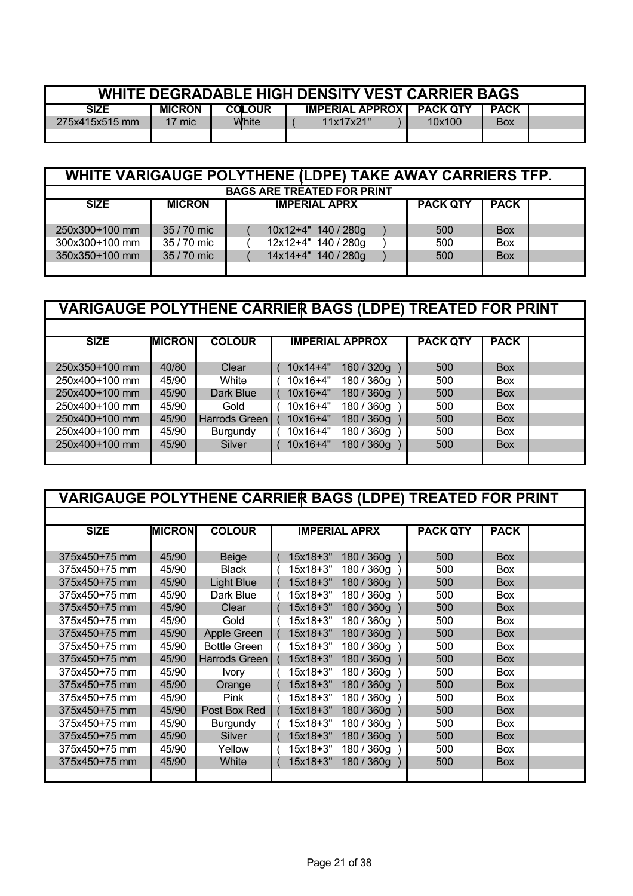| WHITE DEGRADABLE HIGH DENSITY VEST CARRIER BAGS |               |               |                            |        |             |  |  |  |
|-------------------------------------------------|---------------|---------------|----------------------------|--------|-------------|--|--|--|
| <b>SIZE</b>                                     | <b>MICRON</b> | <b>COLOUR</b> | IMPERIAL APPROX   PACK QTY |        | <b>PACK</b> |  |  |  |
| 275x415x515 mm                                  | 17 mic        | White         | 11x17x21"                  | 10x100 | <b>Box</b>  |  |  |  |
|                                                 |               |               |                            |        |             |  |  |  |

|                                   | WHITE VARIGAUGE POLYTHENE (LDPE) TAKE AWAY CARRIERS TFP.                |                     |     |            |  |  |  |  |  |  |  |  |
|-----------------------------------|-------------------------------------------------------------------------|---------------------|-----|------------|--|--|--|--|--|--|--|--|
| <b>BAGS ARE TREATED FOR PRINT</b> |                                                                         |                     |     |            |  |  |  |  |  |  |  |  |
| <b>SIZE</b>                       | <b>PACK QTY</b><br><b>PACK</b><br><b>MICRON</b><br><b>IMPERIAL APRX</b> |                     |     |            |  |  |  |  |  |  |  |  |
|                                   |                                                                         |                     |     |            |  |  |  |  |  |  |  |  |
| 250x300+100 mm                    | 35 / 70 mic                                                             | 10x12+4" 140 / 280g | 500 | <b>Box</b> |  |  |  |  |  |  |  |  |
| 300x300+100 mm                    | 35 / 70 mic                                                             | 12x12+4" 140 / 280g | 500 | Box        |  |  |  |  |  |  |  |  |
| 350x350+100 mm                    | 35 / 70 mic                                                             | 14x14+4" 140 / 280g | 500 | <b>Box</b> |  |  |  |  |  |  |  |  |
|                                   |                                                                         |                     |     |            |  |  |  |  |  |  |  |  |

|                | <b>VARIGAUGE POLYTHENE CARRIER BAGS (LDPE) TREATED FOR PRINT</b> |               |  |              |                        |                 |             |  |  |  |
|----------------|------------------------------------------------------------------|---------------|--|--------------|------------------------|-----------------|-------------|--|--|--|
|                |                                                                  |               |  |              |                        |                 |             |  |  |  |
| <b>SIZE</b>    | <b>MICRON</b>                                                    | <b>COLOUR</b> |  |              | <b>IMPERIAL APPROX</b> | <b>PACK QTY</b> | <b>PACK</b> |  |  |  |
|                |                                                                  |               |  |              |                        |                 |             |  |  |  |
| 250x350+100 mm | 40/80                                                            | Clear         |  | $10x14 + 4"$ | 160 / 320g             | 500             | <b>Box</b>  |  |  |  |
| 250x400+100 mm | 45/90                                                            | White         |  | $10x16+4"$   | 180 / 360g             | 500             | <b>Box</b>  |  |  |  |
| 250x400+100 mm | 45/90                                                            | Dark Blue     |  | $10x16+4"$   | 180 / 360g             | 500             | <b>Box</b>  |  |  |  |
| 250x400+100 mm | 45/90                                                            | Gold          |  | $10x16+4"$   | 180 / 360g             | 500             | <b>Box</b>  |  |  |  |
| 250x400+100 mm | 45/90                                                            | Harrods Green |  | $10x16+4"$   | 180 / 360g             | 500             | <b>Box</b>  |  |  |  |
| 250x400+100 mm | 45/90                                                            | Burgundy      |  | 10x16+4"     | 180 / 360g             | 500             | <b>Box</b>  |  |  |  |
| 250x400+100 mm | 45/90                                                            | Silver        |  | $10x16+4"$   | 180 / 360g             | 500             | <b>Box</b>  |  |  |  |
|                |                                                                  |               |  |              |                        |                 |             |  |  |  |

| <b>VARIGAUGE POLYTHENE CARRIER BAGS (LDPE) TREATED FOR PRINT</b> |               |                     |            |                      |                 |             |  |
|------------------------------------------------------------------|---------------|---------------------|------------|----------------------|-----------------|-------------|--|
|                                                                  |               |                     |            |                      |                 |             |  |
| <b>SIZE</b>                                                      | <b>MICRON</b> | <b>COLOUR</b>       |            | <b>IMPERIAL APRX</b> | <b>PACK QTY</b> | <b>PACK</b> |  |
|                                                                  |               |                     |            |                      |                 |             |  |
| 375x450+75 mm                                                    | 45/90         | <b>Beige</b>        | $15x18+3"$ | 180 / 360g           | 500             | <b>Box</b>  |  |
| 375x450+75 mm                                                    | 45/90         | <b>Black</b>        | 15x18+3"   | 180 / 360g           | 500             | Box         |  |
| 375x450+75 mm                                                    | 45/90         | <b>Light Blue</b>   | 15x18+3"   | 180 / 360g           | 500             | <b>Box</b>  |  |
| 375x450+75 mm                                                    | 45/90         | Dark Blue           | 15x18+3"   | 180 / 360g           | 500             | Box         |  |
| 375x450+75 mm                                                    | 45/90         | Clear               | $15x18+3"$ | 180 / 360g           | 500             | <b>Box</b>  |  |
| 375x450+75 mm                                                    | 45/90         | Gold                | 15x18+3"   | 180 / 360g           | 500             | Box         |  |
| 375x450+75 mm                                                    | 45/90         | Apple Green         | $15x18+3"$ | 180 / 360g           | 500             | <b>Box</b>  |  |
| 375x450+75 mm                                                    | 45/90         | <b>Bottle Green</b> | 15x18+3"   | 180 / 360g           | 500             | <b>Box</b>  |  |
| 375x450+75 mm                                                    | 45/90         | Harrods Green       | $15x18+3"$ | 180 / 360g           | 500             | <b>Box</b>  |  |
| 375x450+75 mm                                                    | 45/90         | <b>Ivory</b>        | 15x18+3"   | 180 / 360g           | 500             | Box         |  |
| 375x450+75 mm                                                    | 45/90         | Orange              | $15x18+3"$ | 180 / 360g           | 500             | <b>Box</b>  |  |
| 375x450+75 mm                                                    | 45/90         | Pink                | 15x18+3"   | 180 / 360g           | 500             | <b>Box</b>  |  |
| 375x450+75 mm                                                    | 45/90         | Post Box Red        | $15x18+3"$ | 180 / 360g           | 500             | <b>Box</b>  |  |
| 375x450+75 mm                                                    | 45/90         | Burgundy            | 15x18+3"   | 180 / 360g           | 500             | Box         |  |
| 375x450+75 mm                                                    | 45/90         | Silver              | $15x18+3"$ | 180 / 360g           | 500             | <b>Box</b>  |  |
| 375x450+75 mm                                                    | 45/90         | Yellow              | 15x18+3"   | 180 / 360g           | 500             | Box         |  |
| 375x450+75 mm                                                    | 45/90         | White               | 15x18+3"   | 180 / 360g           | 500             | <b>Box</b>  |  |
|                                                                  |               |                     |            |                      |                 |             |  |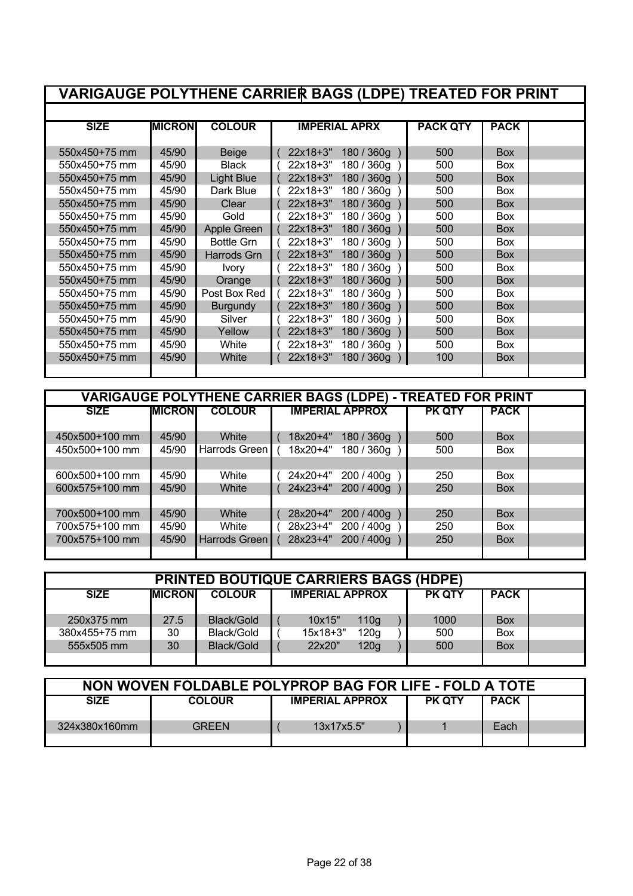| <b>VARIGAUGE POLYTHENE CARRIER BAGS (LDPE) TREATED FOR PRINT</b> |               |                   |            |                      |                 |             |  |
|------------------------------------------------------------------|---------------|-------------------|------------|----------------------|-----------------|-------------|--|
|                                                                  |               |                   |            |                      |                 |             |  |
| <b>SIZE</b>                                                      | <b>MICRON</b> | <b>COLOUR</b>     |            | <b>IMPERIAL APRX</b> | <b>PACK QTY</b> | <b>PACK</b> |  |
| 550x450+75 mm                                                    | 45/90         | Beige             | 22x18+3"   | 180 / 360g           | 500             | <b>Box</b>  |  |
| 550x450+75 mm                                                    | 45/90         | <b>Black</b>      | 22x18+3"   | 180 / 360g           | 500             | <b>Box</b>  |  |
| 550x450+75 mm                                                    | 45/90         | <b>Light Blue</b> | $22x18+3"$ | 180 / 360g           | 500             | <b>Box</b>  |  |
| 550x450+75 mm                                                    | 45/90         | Dark Blue         | 22x18+3"   | 180 / 360g           | 500             | <b>Box</b>  |  |
| 550x450+75 mm                                                    | 45/90         | Clear             | 22x18+3"   | 180 / 360g           | 500             | <b>Box</b>  |  |
| 550x450+75 mm                                                    | 45/90         | Gold              | $22x18+3"$ | 180 / 360g           | 500             | <b>Box</b>  |  |
| 550x450+75 mm                                                    | 45/90         | Apple Green       | 22x18+3"   | 180 / 360g           | 500             | Box         |  |
| 550x450+75 mm                                                    | 45/90         | <b>Bottle Grn</b> | 22x18+3"   | 180 / 360g           | 500             | <b>Box</b>  |  |
| 550x450+75 mm                                                    | 45/90         | Harrods Grn       | 22x18+3"   | 180 / 360g           | 500             | <b>Box</b>  |  |
| 550x450+75 mm                                                    | 45/90         | <b>Ivory</b>      | 22x18+3"   | 180 / 360g           | 500             | <b>Box</b>  |  |
| 550x450+75 mm                                                    | 45/90         | Orange            | 22x18+3"   | 180 / 360g           | 500             | <b>Box</b>  |  |
| 550x450+75 mm                                                    | 45/90         | Post Box Red      | 22x18+3"   | 180 / 360g           | 500             | <b>Box</b>  |  |
| 550x450+75 mm                                                    | 45/90         | <b>Burgundy</b>   | 22x18+3"   | 180 / 360g           | 500             | <b>Box</b>  |  |
| 550x450+75 mm                                                    | 45/90         | Silver            | 22x18+3"   | 180 / 360g           | 500             | Box         |  |
| 550x450+75 mm                                                    | 45/90         | Yellow            | 22x18+3"   | 180 / 360g           | 500             | <b>Box</b>  |  |
| 550x450+75 mm                                                    | 45/90         | White             | 22x18+3"   | 180 / 360g           | 500             | <b>Box</b>  |  |
| 550x450+75 mm                                                    | 45/90         | White             | 22x18+3"   | 180 / 360g           | 100             | <b>Box</b>  |  |
|                                                                  |               |                   |            |                      |                 |             |  |

| <b>VARIGAUGE POLYTHENE CARRIER BAGS (LDPE) - TREATED FOR PRINT</b> |                 |               |  |          |                        |               |             |  |  |  |
|--------------------------------------------------------------------|-----------------|---------------|--|----------|------------------------|---------------|-------------|--|--|--|
| <b>SIZE</b>                                                        | <b>IMICRONI</b> | <b>COLOUR</b> |  |          | <b>IMPERIAL APPROX</b> | <b>PK QTY</b> | <b>PACK</b> |  |  |  |
|                                                                    |                 |               |  |          |                        |               |             |  |  |  |
| 450x500+100 mm                                                     | 45/90           | White         |  | 18x20+4" | 180 / 360g             | 500           | <b>Box</b>  |  |  |  |
| 450x500+100 mm                                                     | 45/90           | Harrods Green |  | 18x20+4" | 180 / 360g             | 500           | <b>Box</b>  |  |  |  |
|                                                                    |                 |               |  |          |                        |               |             |  |  |  |
| 600x500+100 mm                                                     | 45/90           | White         |  | 24x20+4" | 200 / 400g             | 250           | <b>Box</b>  |  |  |  |
| 600x575+100 mm                                                     | 45/90           | White         |  | 24x23+4" | 200 / 400g             | 250           | <b>Box</b>  |  |  |  |
|                                                                    |                 |               |  |          |                        |               |             |  |  |  |
| 700x500+100 mm                                                     | 45/90           | White         |  | 28x20+4" | 200 / 400g             | 250           | <b>Box</b>  |  |  |  |
| 700x575+100 mm                                                     | 45/90           | White         |  | 28x23+4" | 200 / 400g             | 250           | <b>Box</b>  |  |  |  |
| 700x575+100 mm                                                     | 45/90           | Harrods Green |  | 28x23+4" | 200 / 400g             | 250           | <b>Box</b>  |  |  |  |
|                                                                    |                 |               |  |          |                        |               |             |  |  |  |

| <b>PRINTED BOUTIQUE CARRIERS BAGS (HDPE)</b> |                 |               |  |                        |                  |  |               |             |  |
|----------------------------------------------|-----------------|---------------|--|------------------------|------------------|--|---------------|-------------|--|
| <b>SIZE</b>                                  | <b>IMICRONI</b> | <b>COLOUR</b> |  | <b>IMPERIAL APPROX</b> |                  |  | <b>PK QTY</b> | <b>PACK</b> |  |
| 250x375 mm                                   | 27.5            | Black/Gold    |  | 10x15"                 | 110 <sub>g</sub> |  | 1000          | <b>Box</b>  |  |
| 380x455+75 mm                                | 30              | Black/Gold    |  | $15x18+3"$             | 120 <sub>q</sub> |  | 500           | <b>Box</b>  |  |
| 555x505 mm                                   | 30              | Black/Gold    |  | 22x20"                 | 120g             |  | 500           | <b>Box</b>  |  |
|                                              |                 |               |  |                        |                  |  |               |             |  |

| NON WOVEN FOLDABLE POLYPROP BAG FOR LIFE - FOLD A TOTE |               |                        |               |             |  |  |  |  |  |
|--------------------------------------------------------|---------------|------------------------|---------------|-------------|--|--|--|--|--|
| <b>SIZE</b>                                            | <b>COLOUR</b> | <b>IMPERIAL APPROX</b> | <b>PK QTY</b> | <b>PACK</b> |  |  |  |  |  |
| 324x380x160mm                                          | GREEN         | 13x17x5.5"             |               | Each        |  |  |  |  |  |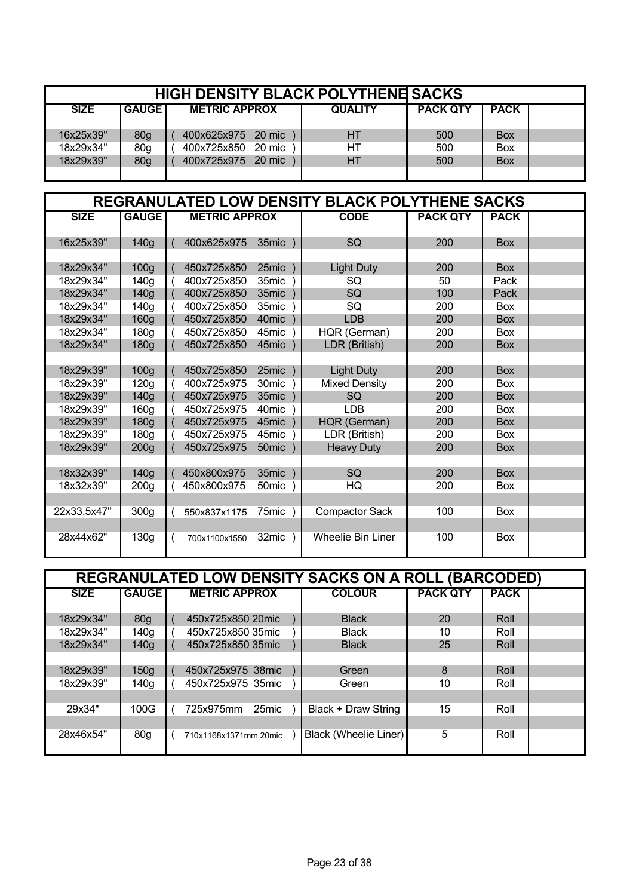|             | <b>HIGH DENSITY BLACK POLYTHENE SACKS</b> |                      |                |                 |             |  |  |  |  |  |
|-------------|-------------------------------------------|----------------------|----------------|-----------------|-------------|--|--|--|--|--|
| <b>SIZE</b> | <b>GAUGE</b>                              | <b>METRIC APPROX</b> | <b>QUALITY</b> | <b>PACK QTY</b> | <b>PACK</b> |  |  |  |  |  |
| 16x25x39"   | 80 <sub>g</sub>                           | 400x625x975 20 mic   | HТ             | 500             | <b>Box</b>  |  |  |  |  |  |
| 18x29x34"   | 80g                                       | 400x725x850 20 mic   | HТ             | 500             | <b>Box</b>  |  |  |  |  |  |
| 18x29x39"   | 80g                                       | 400x725x975 20 mic   | HT             | 500             | <b>Box</b>  |  |  |  |  |  |
|             |                                           |                      |                |                 |             |  |  |  |  |  |

|             |                  |                      |                   | REGRANULATED LOW DENSITY BLACK POLYTHENE SACKS |                 |             |  |
|-------------|------------------|----------------------|-------------------|------------------------------------------------|-----------------|-------------|--|
| <b>SIZE</b> | <b>GAUGE</b>     | <b>METRIC APPROX</b> |                   | <b>CODE</b>                                    | <b>PACK QTY</b> | <b>PACK</b> |  |
| 16x25x39"   | 140g             | 400x625x975          | 35mic             | SQ                                             | 200             | <b>Box</b>  |  |
|             |                  |                      |                   |                                                |                 |             |  |
| 18x29x34"   | 100 <sub>g</sub> | 450x725x850          | 25mic             | <b>Light Duty</b>                              | 200             | <b>Box</b>  |  |
| 18x29x34"   | 140 <sub>g</sub> | 400x725x850          | 35mic             | <b>SQ</b>                                      | 50              | Pack        |  |
| 18x29x34"   | 140g             | 400x725x850          | 35mic             | <b>SQ</b>                                      | 100             | Pack        |  |
| 18x29x34"   | 140q             | 400x725x850          | 35mic             | SQ                                             | 200             | <b>Box</b>  |  |
| 18x29x34"   | 160 <sub>g</sub> | 450x725x850          | 40mic             | <b>LDB</b>                                     | 200             | <b>Box</b>  |  |
| 18x29x34"   | 180g             | 450x725x850          | 45mic             | HQR (German)                                   | 200             | <b>Box</b>  |  |
| 18x29x34"   | 180g             | 450x725x850          | 45mic             | LDR (British)                                  | 200             | <b>Box</b>  |  |
|             |                  |                      |                   |                                                |                 |             |  |
| 18x29x39"   | 100 <sub>g</sub> | 450x725x850          | 25mic             | <b>Light Duty</b>                              | 200             | <b>Box</b>  |  |
| 18x29x39"   | 120g             | 400x725x975          | 30 <sub>mic</sub> | <b>Mixed Density</b>                           | 200             | <b>Box</b>  |  |
| 18x29x39"   | 140g             | 450x725x975          | 35mic             | SQ                                             | 200             | <b>Box</b>  |  |
| 18x29x39"   | 160g             | 450x725x975          | 40 <sub>mic</sub> | <b>LDB</b>                                     | 200             | <b>Box</b>  |  |
| 18x29x39"   | 180 <sub>g</sub> | 450x725x975          | 45mic             | HQR (German)                                   | 200             | <b>Box</b>  |  |
| 18x29x39"   | 180 <sub>g</sub> | 450x725x975          | 45mic             | LDR (British)                                  | 200             | <b>Box</b>  |  |
| 18x29x39"   | 200 <sub>g</sub> | 450x725x975          | 50 <sub>mic</sub> | <b>Heavy Duty</b>                              | 200             | <b>Box</b>  |  |
|             |                  |                      |                   |                                                |                 |             |  |
| 18x32x39"   | 140g             | 450x800x975          | 35mic             | SQ                                             | 200             | <b>Box</b>  |  |
| 18x32x39"   | 200 <sub>g</sub> | 450x800x975          | 50mic             | HQ                                             | 200             | <b>Box</b>  |  |
|             |                  |                      |                   |                                                |                 |             |  |
| 22x33.5x47" | 300 <sub>g</sub> | 550x837x1175         | $75$ mic $)$      | <b>Compactor Sack</b>                          | 100             | Box         |  |
|             |                  |                      |                   |                                                |                 |             |  |
| 28x44x62"   | 130g             | 700x1100x1550        | $32$ mic $)$      | <b>Wheelie Bin Liner</b>                       | 100             | Box         |  |

|             | <b>REGRANULATED LOW DENSITY SACKS ON A ROLL (BARCODED)</b> |  |                       |  |                       |                 |             |  |  |  |  |
|-------------|------------------------------------------------------------|--|-----------------------|--|-----------------------|-----------------|-------------|--|--|--|--|
| <b>SIZE</b> | <b>GAUGE</b>                                               |  | <b>METRIC APPROX</b>  |  | <b>COLOUR</b>         | <b>PACK QTY</b> | <b>PACK</b> |  |  |  |  |
| 18x29x34"   | 80 <sub>q</sub>                                            |  | 450x725x850 20mic     |  | <b>Black</b>          | 20              | Roll        |  |  |  |  |
| 18x29x34"   | 140g                                                       |  | 450x725x850 35mic     |  | <b>Black</b>          | 10              | Roll        |  |  |  |  |
| 18x29x34"   | 140 <sub>g</sub>                                           |  | 450x725x850 35mic     |  | <b>Black</b>          | 25              | Roll        |  |  |  |  |
|             |                                                            |  |                       |  |                       |                 |             |  |  |  |  |
| 18x29x39"   | 150 <sub>q</sub>                                           |  | 450x725x975 38mic     |  | Green                 | 8               | Roll        |  |  |  |  |
| 18x29x39"   | 140g                                                       |  | 450x725x975 35mic     |  | Green                 | 10              | Roll        |  |  |  |  |
|             |                                                            |  |                       |  |                       |                 |             |  |  |  |  |
| 29x34"      | 100G                                                       |  | 725x975mm<br>25mic    |  | Black + Draw String   | 15              | Roll        |  |  |  |  |
|             |                                                            |  |                       |  |                       |                 |             |  |  |  |  |
| 28x46x54"   | 80 <sub>q</sub>                                            |  | 710x1168x1371mm 20mic |  | Black (Wheelie Liner) | 5               | Roll        |  |  |  |  |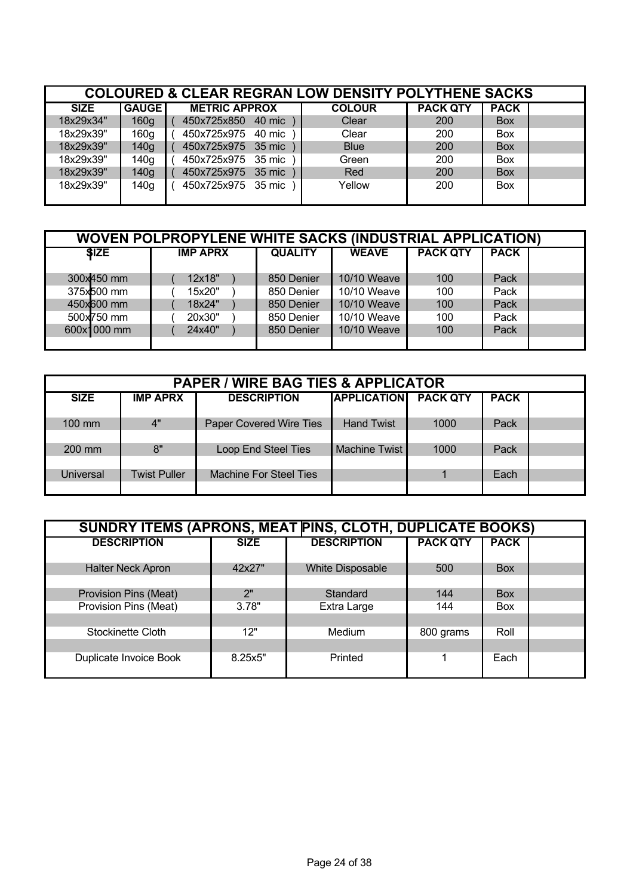|             | <b>COLOURED &amp; CLEAR REGRAN LOW DENSITY POLYTHENE SACKS</b> |                      |               |                 |             |  |  |  |  |  |
|-------------|----------------------------------------------------------------|----------------------|---------------|-----------------|-------------|--|--|--|--|--|
| <b>SIZE</b> | <b>GAUGE</b>                                                   | <b>METRIC APPROX</b> | <b>COLOUR</b> | <b>PACK QTY</b> | <b>PACK</b> |  |  |  |  |  |
| 18x29x34"   | 160g                                                           | 450x725x850 40 mic   | Clear         | <b>200</b>      | <b>Box</b>  |  |  |  |  |  |
| 18x29x39"   | 160g                                                           | 450x725x975 40 mic   | Clear         | 200             | Box         |  |  |  |  |  |
| 18x29x39"   | 140g                                                           | 450x725x975 35 mic   | <b>Blue</b>   | 200             | <b>Box</b>  |  |  |  |  |  |
| 18x29x39"   | 140g                                                           | 450x725x975 35 mic   | Green         | 200             | Box         |  |  |  |  |  |
| 18x29x39"   | 140g                                                           | 450x725x975 35 mic   | Red           | 200             | Box         |  |  |  |  |  |
| 18x29x39"   | 140g                                                           | 450x725x975 35 mic   | Yellow        | 200             | <b>Box</b>  |  |  |  |  |  |

| <b>WOVEN POLPROPYLENE WHITE SACKS (INDUSTRIAL APPLICATION)</b> |                 |                |              |                 |             |  |  |  |  |  |
|----------------------------------------------------------------|-----------------|----------------|--------------|-----------------|-------------|--|--|--|--|--|
| \$IZE                                                          | <b>IMP APRX</b> | <b>QUALITY</b> | <b>WEAVE</b> | <b>PACK QTY</b> | <b>PACK</b> |  |  |  |  |  |
|                                                                |                 |                |              |                 |             |  |  |  |  |  |
| 300x450 mm                                                     | 12x18"          | 850 Denier     | 10/10 Weave  | 100             | Pack        |  |  |  |  |  |
| 375x500 mm                                                     | 15x20"          | 850 Denier     | 10/10 Weave  | 100             | Pack        |  |  |  |  |  |
| 450x600 mm                                                     | 18x24"          | 850 Denier     | 10/10 Weave  | 100             | Pack        |  |  |  |  |  |
| 500x750 mm                                                     | 20x30"          | 850 Denier     | 10/10 Weave  | 100             | Pack        |  |  |  |  |  |
| 600x1000 mm                                                    | 24x40"          | 850 Denier     | 10/10 Weave  | 100             | Pack        |  |  |  |  |  |
|                                                                |                 |                |              |                 |             |  |  |  |  |  |

| <b>PAPER / WIRE BAG TIES &amp; APPLICATOR</b> |                     |                               |                    |                 |             |  |  |  |  |
|-----------------------------------------------|---------------------|-------------------------------|--------------------|-----------------|-------------|--|--|--|--|
| <b>SIZE</b>                                   | <b>IMP APRX</b>     | <b>DESCRIPTION</b>            | <b>APPLICATION</b> | <b>PACK QTY</b> | <b>PACK</b> |  |  |  |  |
| 100 mm                                        | 4"                  | Paper Covered Wire Ties       | <b>Hand Twist</b>  | 1000            | Pack        |  |  |  |  |
|                                               |                     |                               |                    |                 |             |  |  |  |  |
| 200 mm                                        | 8"                  | Loop End Steel Ties           | Machine Twist      | 1000            | Pack        |  |  |  |  |
| Universal                                     | <b>Twist Puller</b> | <b>Machine For Steel Ties</b> |                    |                 | Each        |  |  |  |  |
|                                               |                     |                               |                    |                 |             |  |  |  |  |

| SUNDRY ITEMS (APRONS, MEAT PINS, CLOTH, DUPLICATE BOOKS) |             |                         |                 |             |  |  |  |  |  |
|----------------------------------------------------------|-------------|-------------------------|-----------------|-------------|--|--|--|--|--|
| <b>DESCRIPTION</b>                                       | <b>SIZE</b> | <b>DESCRIPTION</b>      | <b>PACK QTY</b> | <b>PACK</b> |  |  |  |  |  |
| <b>Halter Neck Apron</b>                                 | 42x27"      | <b>White Disposable</b> | 500             | <b>Box</b>  |  |  |  |  |  |
| Provision Pins (Meat)                                    | 2"          | Standard                | 144             | <b>Box</b>  |  |  |  |  |  |
| Provision Pins (Meat)                                    | 3.78"       | Extra Large             | 144             | <b>Box</b>  |  |  |  |  |  |
|                                                          |             |                         |                 |             |  |  |  |  |  |
| Stockinette Cloth                                        | 12"         | <b>Medium</b>           | 800 grams       | Roll        |  |  |  |  |  |
|                                                          |             |                         |                 |             |  |  |  |  |  |
| Duplicate Invoice Book                                   | 8.25x5"     | Printed                 |                 | Each        |  |  |  |  |  |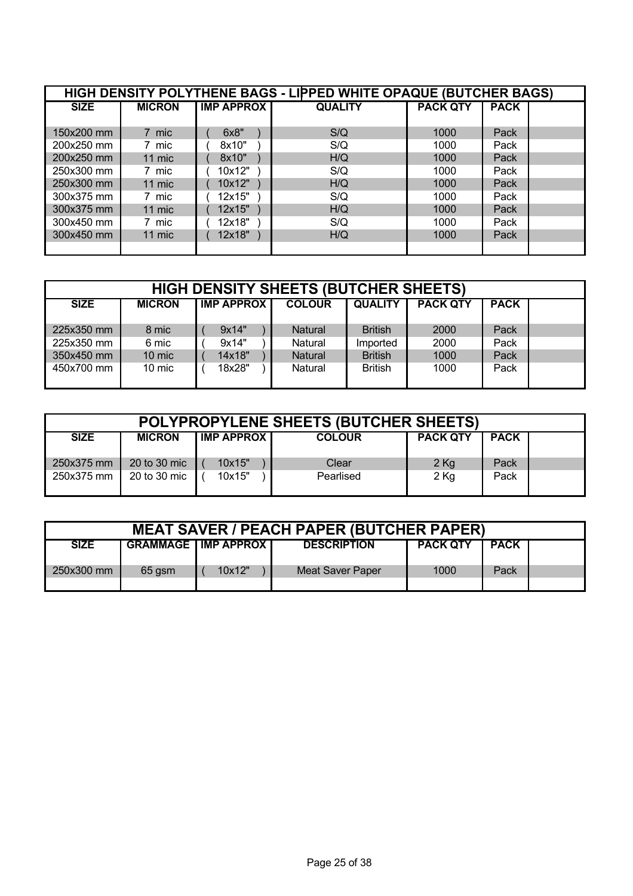| HIGH DENSITY POLYTHENE BAGS - LIPPED WHITE OPAQUE (BUTCHER BAGS) |               |                   |                |                 |             |  |  |  |  |
|------------------------------------------------------------------|---------------|-------------------|----------------|-----------------|-------------|--|--|--|--|
| <b>SIZE</b>                                                      | <b>MICRON</b> | <b>IMP APPROX</b> | <b>QUALITY</b> | <b>PACK QTY</b> | <b>PACK</b> |  |  |  |  |
|                                                                  |               |                   |                |                 |             |  |  |  |  |
| 150x200 mm                                                       | 7 mic         | 6x8"              | S/Q            | 1000            | Pack        |  |  |  |  |
| 200x250 mm                                                       | 7 mic         | 8x10"             | S/Q            | 1000            | Pack        |  |  |  |  |
| 200x250 mm                                                       | 11 mic        | 8x10"             | H/Q            | 1000            | Pack        |  |  |  |  |
| 250x300 mm                                                       | 7 mic         | 10x12"            | S/Q            | 1000            | Pack        |  |  |  |  |
| 250x300 mm                                                       | 11 mic        | 10x12"            | H/Q            | 1000            | Pack        |  |  |  |  |
| 300x375 mm                                                       | 7 mic         | 12x15"            | S/Q            | 1000            | Pack        |  |  |  |  |
| 300x375 mm                                                       | 11 mic        | 12x15"            | H/Q            | 1000            | Pack        |  |  |  |  |
| 300x450 mm                                                       | 7 mic         | 12x18"            | S/Q            | 1000            | Pack        |  |  |  |  |
| 300x450 mm                                                       | 11 mic        | 12x18"            | H/Q            | 1000            | Pack        |  |  |  |  |
|                                                                  |               |                   |                |                 |             |  |  |  |  |

| <b>HIGH DENSITY SHEETS (BUTCHER SHEETS)</b> |               |                   |  |                |                |                 |             |  |
|---------------------------------------------|---------------|-------------------|--|----------------|----------------|-----------------|-------------|--|
| <b>SIZE</b>                                 | <b>MICRON</b> | <b>IMP APPROX</b> |  | <b>COLOUR</b>  | <b>QUALITY</b> | <b>PACK QTY</b> | <b>PACK</b> |  |
| 225x350 mm                                  | 8 mic         | 9x14"             |  | <b>Natural</b> | <b>British</b> | 2000            | Pack        |  |
| 225x350 mm                                  | 6 mic         | 9x14"             |  | Natural        | Imported       | 2000            | Pack        |  |
| 350x450 mm                                  | 10 mic        | 14x18"            |  | <b>Natural</b> | <b>British</b> | 1000            | Pack        |  |
| 450x700 mm                                  | 10 mic        | 18x28"            |  | Natural        | <b>British</b> | 1000            | Pack        |  |

| POLYPROPYLENE SHEETS (BUTCHER SHEETS) |               |                   |               |                 |             |  |  |  |
|---------------------------------------|---------------|-------------------|---------------|-----------------|-------------|--|--|--|
| <b>SIZE</b>                           | <b>MICRON</b> | <b>IMP APPROX</b> | <b>COLOUR</b> | <b>PACK QTY</b> | <b>PACK</b> |  |  |  |
| 250x375 mm                            | 20 to 30 mic  | 10x15"            | Clear         | $2$ Kg          | Pack        |  |  |  |
| 250x375 mm                            | 20 to 30 mic  | 10x15"            | Pearlised     | $2$ Kg          | Pack        |  |  |  |

| <b>MEAT SAVER / PEACH PAPER (BUTCHER PAPER)</b> |        |                                |                    |                 |             |  |  |  |
|-------------------------------------------------|--------|--------------------------------|--------------------|-----------------|-------------|--|--|--|
| <b>SIZE</b>                                     |        | <b>GRAMMAGE   IMP APPROX  </b> | <b>DESCRIPTION</b> | <b>PACK QTY</b> | <b>PACK</b> |  |  |  |
| 250x300 mm                                      | 65 qsm | 10x12"                         | Meat Saver Paper   | 1000            | Pack        |  |  |  |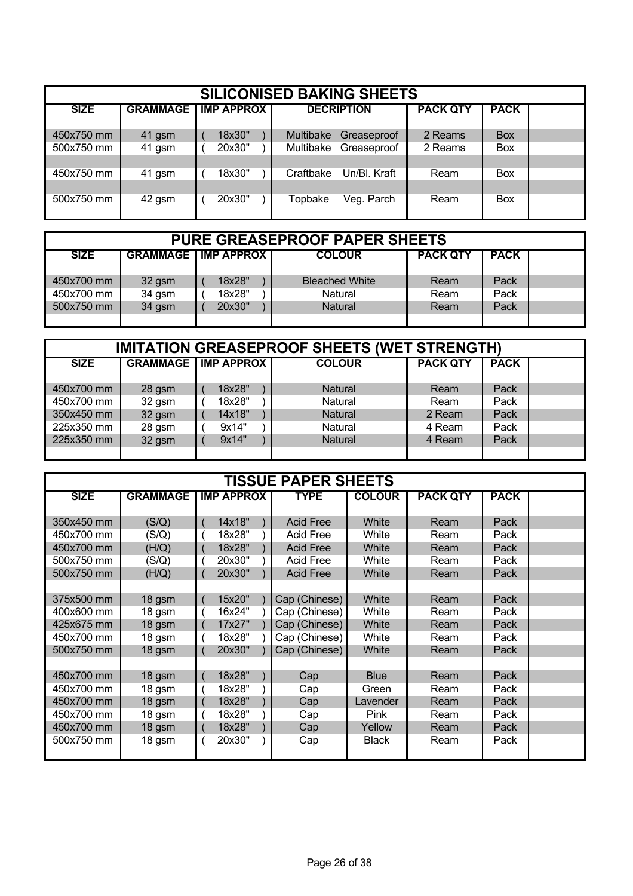| <b>SILICONISED BAKING SHEETS</b> |                 |  |                   |  |           |                   |                 |             |  |
|----------------------------------|-----------------|--|-------------------|--|-----------|-------------------|-----------------|-------------|--|
| <b>SIZE</b>                      | <b>GRAMMAGE</b> |  | <b>IMP APPROX</b> |  |           | <b>DECRIPTION</b> | <b>PACK QTY</b> | <b>PACK</b> |  |
| 450x750 mm                       | 41 gsm          |  | 18x30"            |  | Multibake | Greaseproof       | 2 Reams         | <b>Box</b>  |  |
| 500x750 mm                       | 41 gsm          |  | 20x30"            |  | Multibake | Greaseproof       | 2 Reams         | <b>Box</b>  |  |
|                                  |                 |  |                   |  |           |                   |                 |             |  |
| 450x750 mm                       | 41 gsm          |  | 18x30"            |  | Craftbake | Un/Bl. Kraft      | Ream            | <b>Box</b>  |  |
|                                  |                 |  |                   |  |           |                   |                 |             |  |
| 500x750 mm                       | 42 gsm          |  | 20x30"            |  | Topbake   | Veg. Parch        | Ream            | <b>Box</b>  |  |
|                                  |                 |  |                   |  |           |                   |                 |             |  |

| <b>PURE GREASEPROOF PAPER SHEETS</b> |        |                                |                       |                 |             |  |  |  |  |
|--------------------------------------|--------|--------------------------------|-----------------------|-----------------|-------------|--|--|--|--|
| <b>SIZE</b>                          |        | <b>GRAMMAGE   IMP APPROX  </b> | <b>COLOUR</b>         | <b>PACK QTY</b> | <b>PACK</b> |  |  |  |  |
| 450x700 mm                           | 32 gsm | 18x28"                         | <b>Bleached White</b> | Ream            | Pack        |  |  |  |  |
| 450x700 mm                           | 34 gsm | 18x28"                         | Natural               | Ream            | Pack        |  |  |  |  |
| 500x750 mm                           | 34 gsm | 20x30"                         | <b>Natural</b>        | Ream            | Pack        |  |  |  |  |
|                                      |        |                                |                       |                 |             |  |  |  |  |

| <b>IMITATION GREASEPROOF SHEETS (WET STRENGTH)</b> |        |                              |                |                 |             |  |  |  |  |
|----------------------------------------------------|--------|------------------------------|----------------|-----------------|-------------|--|--|--|--|
| <b>SIZE</b>                                        |        | <b>GRAMMAGE   IMP APPROX</b> | <b>COLOUR</b>  | <b>PACK QTY</b> | <b>PACK</b> |  |  |  |  |
|                                                    |        |                              |                |                 |             |  |  |  |  |
| 450x700 mm                                         | 28 gsm | 18x28"                       | <b>Natural</b> | Ream            | Pack        |  |  |  |  |
| 450x700 mm                                         | 32 gsm | 18x28"                       | Natural        | Ream            | Pack        |  |  |  |  |
| 350x450 mm                                         | 32 gsm | 14x18"                       | Natural        | 2 Ream          | Pack        |  |  |  |  |
| 225x350 mm                                         | 28 gsm | 9x14"                        | Natural        | 4 Ream          | Pack        |  |  |  |  |
| 225x350 mm                                         | 32 gsm | 9x14"                        | Natural        | 4 Ream          | Pack        |  |  |  |  |
|                                                    |        |                              |                |                 |             |  |  |  |  |

| <b>TISSUE PAPER SHEETS</b> |                 |  |                   |  |                  |               |                 |             |  |
|----------------------------|-----------------|--|-------------------|--|------------------|---------------|-----------------|-------------|--|
| <b>SIZE</b>                | <b>GRAMMAGE</b> |  | <b>IMP APPROX</b> |  | <b>TYPE</b>      | <b>COLOUR</b> | <b>PACK QTY</b> | <b>PACK</b> |  |
|                            |                 |  |                   |  |                  |               |                 |             |  |
| 350x450 mm                 | (S/Q)           |  | 14x18"            |  | <b>Acid Free</b> | White         | Ream            | Pack        |  |
| 450x700 mm                 | (S/Q)           |  | 18x28"            |  | <b>Acid Free</b> | White         | Ream            | Pack        |  |
| 450x700 mm                 | (H/Q)           |  | 18x28"            |  | <b>Acid Free</b> | White         | Ream            | Pack        |  |
| 500x750 mm                 | (S/Q)           |  | 20x30"            |  | <b>Acid Free</b> | White         | Ream            | Pack        |  |
| 500x750 mm                 | (H/Q)           |  | 20x30"            |  | <b>Acid Free</b> | White         | Ream            | Pack        |  |
|                            |                 |  |                   |  |                  |               |                 |             |  |
| 375x500 mm                 | 18 gsm          |  | 15x20"            |  | Cap (Chinese)    | White         | Ream            | Pack        |  |
| 400x600 mm                 | 18 gsm          |  | 16x24"            |  | Cap (Chinese)    | White         | Ream            | Pack        |  |
| 425x675 mm                 | 18 gsm          |  | 17x27"            |  | Cap (Chinese)    | White         | Ream            | Pack        |  |
| 450x700 mm                 | 18 gsm          |  | 18x28"            |  | Cap (Chinese)    | White         | Ream            | Pack        |  |
| 500x750 mm                 | 18 gsm          |  | 20x30"            |  | Cap (Chinese)    | White         | Ream            | Pack        |  |
|                            |                 |  |                   |  |                  |               |                 |             |  |
| 450x700 mm                 | 18 gsm          |  | 18x28"            |  | Cap              | <b>Blue</b>   | Ream            | Pack        |  |
| 450x700 mm                 | 18 gsm          |  | 18x28"            |  | Cap              | Green         | Ream            | Pack        |  |
| 450x700 mm                 | 18 gsm          |  | 18x28"            |  | Cap              | Lavender      | Ream            | Pack        |  |
| 450x700 mm                 | 18 gsm          |  | 18x28"            |  | Cap              | <b>Pink</b>   | Ream            | Pack        |  |
| 450x700 mm                 | 18 gsm          |  | 18x28"            |  | Cap              | Yellow        | Ream            | Pack        |  |
| 500x750 mm                 | 18 gsm          |  | 20x30"            |  | Cap              | <b>Black</b>  | Ream            | Pack        |  |
|                            |                 |  |                   |  |                  |               |                 |             |  |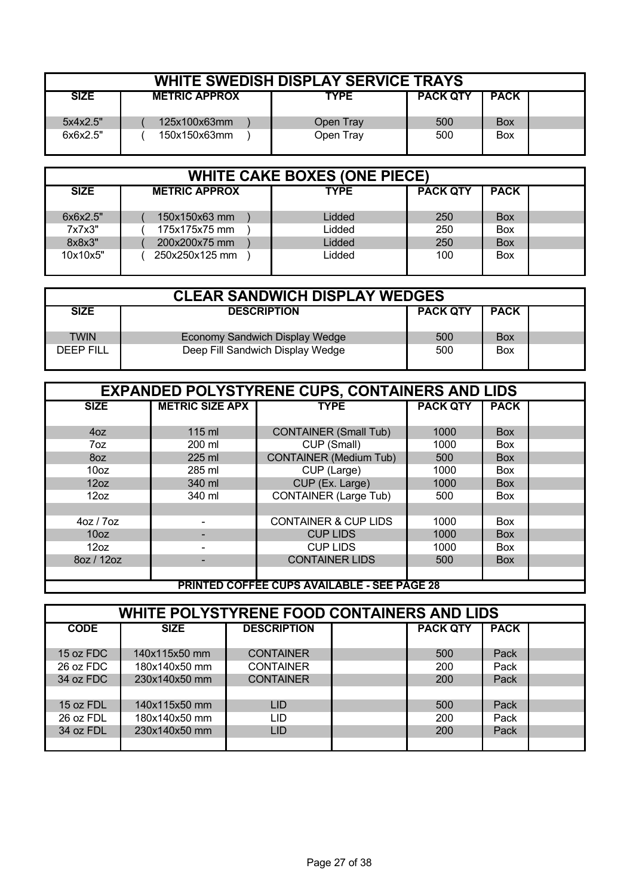| <b>WHITE SWEDISH DISPLAY SERVICE TRAYS</b> |                      |             |                 |             |  |  |  |  |  |
|--------------------------------------------|----------------------|-------------|-----------------|-------------|--|--|--|--|--|
| <b>SIZE</b>                                | <b>METRIC APPROX</b> | <b>TYPE</b> | <b>PACK QTY</b> | <b>PACK</b> |  |  |  |  |  |
| 5x4x2.5"                                   | 125x100x63mm         | Open Tray   | 500             | <b>Box</b>  |  |  |  |  |  |
| 6x6x2.5"                                   | 150x150x63mm         | Open Tray   | 500             | <b>Box</b>  |  |  |  |  |  |

| <b>WHITE CAKE BOXES (ONE PIECE)</b> |                      |             |                 |             |  |  |  |  |  |
|-------------------------------------|----------------------|-------------|-----------------|-------------|--|--|--|--|--|
| <b>SIZE</b>                         | <b>METRIC APPROX</b> | <b>TYPE</b> | <b>PACK QTY</b> | <b>PACK</b> |  |  |  |  |  |
| 6x6x2.5"                            | 150x150x63 mm        | Lidded      | 250             | <b>Box</b>  |  |  |  |  |  |
| 7x7x3"                              | 175x175x75 mm        | Lidded      | 250             | Box         |  |  |  |  |  |
| 8x8x3"                              | 200x200x75 mm        | Lidded      | 250             | <b>Box</b>  |  |  |  |  |  |
| 10x10x5"                            | 250x250x125 mm       | Lidded      | 100             | Box         |  |  |  |  |  |

| <b>CLEAR SANDWICH DISPLAY WEDGES</b> |                                  |                 |             |  |  |  |
|--------------------------------------|----------------------------------|-----------------|-------------|--|--|--|
| <b>SIZE</b>                          | <b>DESCRIPTION</b>               | <b>PACK QTY</b> | <b>PACK</b> |  |  |  |
| TWIN                                 | Economy Sandwich Display Wedge   | 500             | <b>Box</b>  |  |  |  |
| <b>DEEP FILL</b>                     | Deep Fill Sandwich Display Wedge | 500             | <b>Box</b>  |  |  |  |

|                  | <b>EXPANDED POLYSTYRENE CUPS, CONTAINERS AND LIDS</b> |                                                    |                 |             |  |  |  |  |  |
|------------------|-------------------------------------------------------|----------------------------------------------------|-----------------|-------------|--|--|--|--|--|
| <b>SIZE</b>      | <b>METRIC SIZE APX</b>                                | <b>TYPE</b>                                        | <b>PACK QTY</b> | <b>PACK</b> |  |  |  |  |  |
|                  |                                                       |                                                    |                 |             |  |  |  |  |  |
| 40Z              | 115 ml                                                | <b>CONTAINER (Small Tub)</b>                       | 1000            | <b>Box</b>  |  |  |  |  |  |
| 7oz              | 200 ml                                                | CUP (Small)                                        | 1000            | <b>Box</b>  |  |  |  |  |  |
| 8oz              | 225 ml                                                | <b>CONTAINER (Medium Tub)</b>                      | 500             | <b>Box</b>  |  |  |  |  |  |
| 10 <sub>oz</sub> | 285 ml                                                | CUP (Large)                                        | 1000            | <b>Box</b>  |  |  |  |  |  |
| 12oz             | 340 ml                                                | CUP (Ex. Large)                                    | 1000            | <b>Box</b>  |  |  |  |  |  |
| 12oz             | 340 ml                                                | <b>CONTAINER (Large Tub)</b>                       | 500             | <b>Box</b>  |  |  |  |  |  |
|                  |                                                       |                                                    |                 |             |  |  |  |  |  |
| 40Z / 70Z        |                                                       | <b>CONTAINER &amp; CUP LIDS</b>                    | 1000            | <b>Box</b>  |  |  |  |  |  |
| 10 <sub>oz</sub> |                                                       | <b>CUP LIDS</b>                                    | 1000            | <b>Box</b>  |  |  |  |  |  |
| 12oz             |                                                       | <b>CUP LIDS</b>                                    | 1000            | <b>Box</b>  |  |  |  |  |  |
| 80Z / 120Z       |                                                       | <b>CONTAINER LIDS</b>                              | 500             | <b>Box</b>  |  |  |  |  |  |
|                  |                                                       |                                                    |                 |             |  |  |  |  |  |
|                  |                                                       | <b>PRINTED COFFEE CUPS AVAILABLE - SEE PAGE 28</b> |                 |             |  |  |  |  |  |

| <b>WHITE POLYSTYRENE FOOD CONTAINERS AND LIDS</b> |               |                  |  |                 |             |  |  |  |
|---------------------------------------------------|---------------|------------------|--|-----------------|-------------|--|--|--|
| <b>CODE</b><br><b>DESCRIPTION</b><br><b>SIZE</b>  |               |                  |  | <b>PACK QTY</b> | <b>PACK</b> |  |  |  |
|                                                   |               |                  |  |                 |             |  |  |  |
| 15 oz FDC                                         | 140x115x50 mm | <b>CONTAINER</b> |  | 500             | Pack        |  |  |  |
| 26 oz FDC                                         | 180x140x50 mm | <b>CONTAINER</b> |  | 200             | Pack        |  |  |  |
| 34 oz FDC                                         | 230x140x50 mm | <b>CONTAINER</b> |  | 200             | Pack        |  |  |  |
|                                                   |               |                  |  |                 |             |  |  |  |
| 15 oz FDL                                         | 140x115x50 mm | <b>LID</b>       |  | 500             | Pack        |  |  |  |
| 26 oz FDL                                         | 180x140x50 mm | LID              |  | 200             | Pack        |  |  |  |
| 34 oz FDL                                         | 230x140x50 mm | <b>LID</b>       |  | 200             | Pack        |  |  |  |
|                                                   |               |                  |  |                 |             |  |  |  |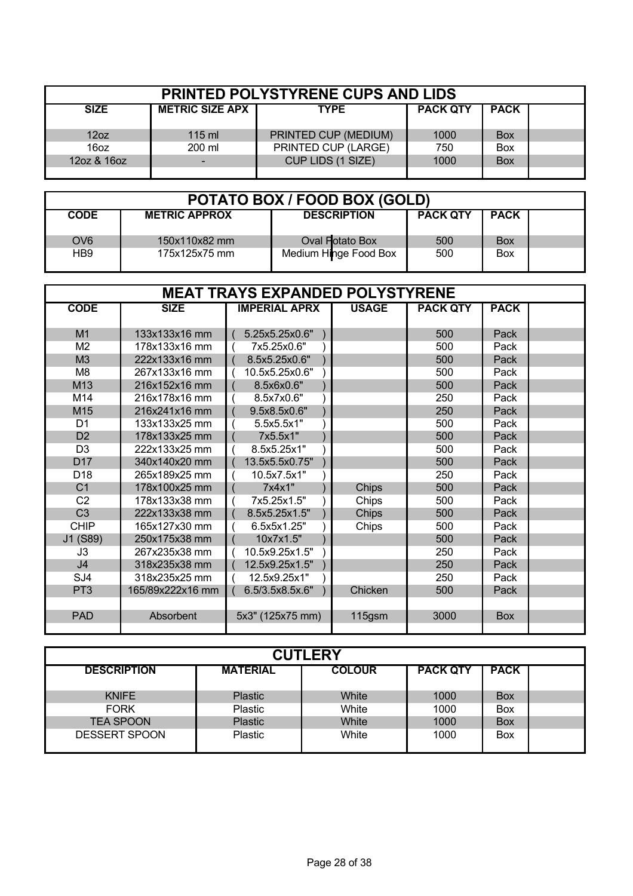| <b>PRINTED POLYSTYRENE CUPS AND LIDS</b> |                        |                      |                 |             |  |  |  |  |
|------------------------------------------|------------------------|----------------------|-----------------|-------------|--|--|--|--|
| <b>SIZE</b>                              | <b>METRIC SIZE APX</b> | <b>TYPE</b>          | <b>PACK QTY</b> | <b>PACK</b> |  |  |  |  |
| 12oz                                     | $115 \text{ ml}$       | PRINTED CUP (MEDIUM) | 1000            | <b>Box</b>  |  |  |  |  |
| 16oz                                     | 200 ml                 | PRINTED CUP (LARGE)  | 750             | Box         |  |  |  |  |
| 12oz & 16oz                              |                        | CUP LIDS (1 SIZE)    | 1000            | <b>Box</b>  |  |  |  |  |
|                                          |                        |                      |                 |             |  |  |  |  |

| POTATO BOX / FOOD BOX (GOLD) |                      |                       |                 |             |  |  |  |
|------------------------------|----------------------|-----------------------|-----------------|-------------|--|--|--|
| <b>CODE</b>                  | <b>METRIC APPROX</b> | <b>DESCRIPTION</b>    | <b>PACK QTY</b> | <b>PACK</b> |  |  |  |
| OV <sub>6</sub>              | 150x110x82 mm        | Oval Potato Box       | 500             | <b>Box</b>  |  |  |  |
| HB9                          | 175x125x75 mm        | Medium Hinge Food Box | 500             | <b>Box</b>  |  |  |  |

| <b>MEAT TRAYS EXPANDED POLYSTYRENE</b> |                  |                      |              |                 |             |  |  |
|----------------------------------------|------------------|----------------------|--------------|-----------------|-------------|--|--|
| <b>CODE</b>                            | <b>SIZE</b>      | <b>IMPERIAL APRX</b> | <b>USAGE</b> | <b>PACK QTY</b> | <b>PACK</b> |  |  |
|                                        |                  |                      |              |                 |             |  |  |
| M1                                     | 133x133x16 mm    | 5.25x5.25x0.6"       |              | 500             | Pack        |  |  |
| M <sub>2</sub>                         | 178x133x16 mm    | 7x5.25x0.6"          |              | 500             | Pack        |  |  |
| M3                                     | 222x133x16 mm    | 8.5x5.25x0.6"        |              | 500             | Pack        |  |  |
| M <sub>8</sub>                         | 267x133x16 mm    | 10.5x5.25x0.6"       |              | 500             | Pack        |  |  |
| M13                                    | 216x152x16 mm    | 8.5x6x0.6"           |              | 500             | Pack        |  |  |
| M14                                    | 216x178x16 mm    | 8.5x7x0.6"           |              | 250             | Pack        |  |  |
| M15                                    | 216x241x16 mm    | 9.5x8.5x0.6"         |              | 250             | Pack        |  |  |
| D <sub>1</sub>                         | 133x133x25 mm    | 5.5x5.5x1"           |              | 500             | Pack        |  |  |
| D <sub>2</sub>                         | 178x133x25 mm    | 7x5.5x1"             |              | 500             | Pack        |  |  |
| D <sub>3</sub>                         | 222x133x25 mm    | 8.5x5.25x1"          |              | 500             | Pack        |  |  |
| D <sub>17</sub>                        | 340x140x20 mm    | 13.5x5.5x0.75"       |              | 500             | Pack        |  |  |
| D <sub>18</sub>                        | 265x189x25 mm    | 10.5x7.5x1"          |              | 250             | Pack        |  |  |
| C <sub>1</sub>                         | 178x100x25 mm    | 7x4x1"               | Chips        | 500             | Pack        |  |  |
| C <sub>2</sub>                         | 178x133x38 mm    | 7x5.25x1.5"          | Chips        | 500             | Pack        |  |  |
| C <sub>3</sub>                         | 222x133x38 mm    | 8.5x5.25x1.5"        | Chips        | 500             | Pack        |  |  |
| <b>CHIP</b>                            | 165x127x30 mm    | 6.5x5x1.25"          | Chips        | 500             | Pack        |  |  |
| J1 (S89)                               | 250x175x38 mm    | 10x7x1.5"            |              | 500             | Pack        |  |  |
| J3                                     | 267x235x38 mm    | 10.5x9.25x1.5"       |              | 250             | Pack        |  |  |
| J <sub>4</sub>                         | 318x235x38 mm    | 12.5x9.25x1.5"       |              | 250             | Pack        |  |  |
| SJ4                                    | 318x235x25 mm    | 12.5x9.25x1"         |              | 250             | Pack        |  |  |
| PT <sub>3</sub>                        | 165/89x222x16 mm | 6.5/3.5x8.5x.6"      | Chicken      | 500             | Pack        |  |  |
|                                        |                  |                      |              |                 |             |  |  |
| <b>PAD</b>                             | Absorbent        | 5x3" (125x75 mm)     | 115gsm       | 3000            | <b>Box</b>  |  |  |
|                                        |                  |                      |              |                 |             |  |  |

| <b>CUTLERY</b>       |                 |               |                 |             |  |  |  |  |
|----------------------|-----------------|---------------|-----------------|-------------|--|--|--|--|
| <b>DESCRIPTION</b>   | <b>MATERIAL</b> | <b>COLOUR</b> | <b>PACK QTY</b> | <b>PACK</b> |  |  |  |  |
|                      |                 |               |                 |             |  |  |  |  |
| <b>KNIFE</b>         | <b>Plastic</b>  | White         | 1000            | <b>Box</b>  |  |  |  |  |
| <b>FORK</b>          | Plastic         | White         | 1000            | <b>Box</b>  |  |  |  |  |
| <b>TEA SPOON</b>     | <b>Plastic</b>  | White         | 1000            | <b>Box</b>  |  |  |  |  |
| <b>DESSERT SPOON</b> | <b>Plastic</b>  | White         | 1000            | <b>Box</b>  |  |  |  |  |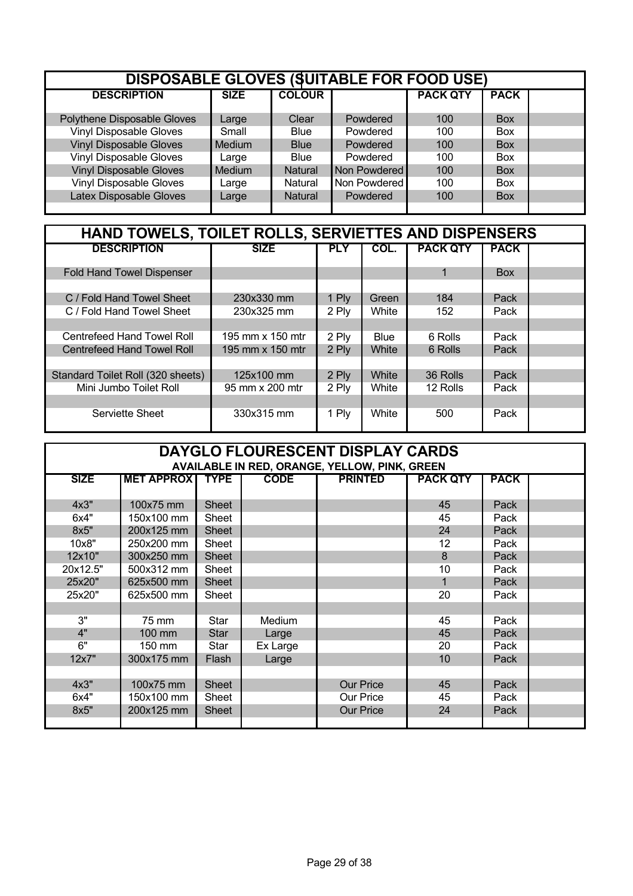| <b>DISPOSABLE GLOVES (SUITABLE FOR FOOD USE)</b> |             |                |                |                 |             |  |  |  |
|--------------------------------------------------|-------------|----------------|----------------|-----------------|-------------|--|--|--|
| <b>DESCRIPTION</b>                               | <b>SIZE</b> | <b>COLOUR</b>  |                | <b>PACK QTY</b> | <b>PACK</b> |  |  |  |
| Polythene Disposable Gloves                      | Large       | Clear          | Powdered       | 100             | <b>Box</b>  |  |  |  |
| <b>Vinyl Disposable Gloves</b>                   | Small       | <b>Blue</b>    | Powdered       | 100             | <b>Box</b>  |  |  |  |
| <b>Vinyl Disposable Gloves</b>                   | Medium      | <b>Blue</b>    | Powdered       | 100             | <b>Box</b>  |  |  |  |
| <b>Vinyl Disposable Gloves</b>                   | Large       | <b>Blue</b>    | Powdered       | 100             | <b>Box</b>  |  |  |  |
| <b>Vinyl Disposable Gloves</b>                   | Medium      | <b>Natural</b> | Non Powdered I | 100             | <b>Box</b>  |  |  |  |
| <b>Vinyl Disposable Gloves</b>                   | Large       | Natural        | Non Powdered   | 100             | <b>Box</b>  |  |  |  |
| Latex Disposable Gloves                          | Large       | <b>Natural</b> | Powdered       | 100             | <b>Box</b>  |  |  |  |

| HAND TOWELS, TOILET ROLLS, SERVIETTES AND DISPENSERS |                  |            |       |                 |             |  |  |  |
|------------------------------------------------------|------------------|------------|-------|-----------------|-------------|--|--|--|
| <b>DESCRIPTION</b>                                   | <b>SIZE</b>      | <b>PLY</b> | COL.  | <b>PACK QTY</b> | <b>PACK</b> |  |  |  |
| <b>Fold Hand Towel Dispenser</b>                     |                  |            |       | 1               | <b>Box</b>  |  |  |  |
| C / Fold Hand Towel Sheet                            | 230x330 mm       | 1 Ply      | Green | 184             | Pack        |  |  |  |
| C / Fold Hand Towel Sheet                            | 230x325 mm       | 2 Ply      | White | 152             | Pack        |  |  |  |
| Centrefeed Hand Towel Roll                           | 195 mm x 150 mtr | 2 Ply      | Blue  | 6 Rolls         | Pack        |  |  |  |
| <b>Centrefeed Hand Towel Roll</b>                    | 195 mm x 150 mtr | 2 Ply      | White | 6 Rolls         | Pack        |  |  |  |
| Standard Toilet Roll (320 sheets)                    | 125x100 mm       | 2 Ply      | White | 36 Rolls        | Pack        |  |  |  |
| Mini Jumbo Toilet Roll                               | 95 mm x 200 mtr  | 2 Ply      | White | 12 Rolls        | Pack        |  |  |  |
| Serviette Sheet                                      | 330x315 mm       | 1 Ply      | White | 500             | Pack        |  |  |  |

| DAYGLO FLOURESCENT DISPLAY CARDS<br><b>AVAILABLE IN RED, ORANGE, YELLOW, PINK, GREEN</b> |                                                                                                     |              |          |                  |                 |      |  |  |  |  |
|------------------------------------------------------------------------------------------|-----------------------------------------------------------------------------------------------------|--------------|----------|------------------|-----------------|------|--|--|--|--|
| <b>SIZE</b>                                                                              | <b>MET APPROX</b><br><b>CODE</b><br><b>PRINTED</b><br><b>TYPE</b><br><b>PACK QTY</b><br><b>PACK</b> |              |          |                  |                 |      |  |  |  |  |
|                                                                                          |                                                                                                     |              |          |                  |                 |      |  |  |  |  |
| 4x3"                                                                                     | 100x75 mm                                                                                           | <b>Sheet</b> |          |                  | 45              | Pack |  |  |  |  |
| 6x4"                                                                                     | 150x100 mm                                                                                          | Sheet        |          |                  | 45              | Pack |  |  |  |  |
| 8x5"                                                                                     | 200x125 mm                                                                                          | <b>Sheet</b> |          |                  | 24              | Pack |  |  |  |  |
| 10x8"                                                                                    | 250x200 mm                                                                                          | Sheet        |          |                  | 12              | Pack |  |  |  |  |
| 12x10"                                                                                   | 300x250 mm                                                                                          | <b>Sheet</b> |          |                  | 8               | Pack |  |  |  |  |
| 20x12.5"                                                                                 | 500x312 mm                                                                                          | Sheet        |          |                  | 10              | Pack |  |  |  |  |
| 25x20"                                                                                   | 625x500 mm                                                                                          | <b>Sheet</b> |          |                  | 1               | Pack |  |  |  |  |
| 25x20"                                                                                   | 625x500 mm                                                                                          | Sheet        |          |                  | 20              | Pack |  |  |  |  |
|                                                                                          |                                                                                                     |              |          |                  |                 |      |  |  |  |  |
| 3"                                                                                       | 75 mm                                                                                               | Star         | Medium   |                  | 45              | Pack |  |  |  |  |
| 4"                                                                                       | 100 mm                                                                                              | <b>Star</b>  | Large    |                  | 45              | Pack |  |  |  |  |
| 6"                                                                                       | 150 mm                                                                                              | Star         | Ex Large |                  | 20              | Pack |  |  |  |  |
| 12x7"                                                                                    | 300x175 mm                                                                                          | Flash        | Large    |                  | 10 <sup>°</sup> | Pack |  |  |  |  |
|                                                                                          |                                                                                                     |              |          |                  |                 |      |  |  |  |  |
| 4x3"                                                                                     | 100x75 mm                                                                                           | <b>Sheet</b> |          | <b>Our Price</b> | 45              | Pack |  |  |  |  |
| 6x4"                                                                                     | 150x100 mm                                                                                          | Sheet        |          | Our Price        | 45              | Pack |  |  |  |  |
| 8x5"                                                                                     | 200x125 mm                                                                                          | <b>Sheet</b> |          | <b>Our Price</b> | 24              | Pack |  |  |  |  |
|                                                                                          |                                                                                                     |              |          |                  |                 |      |  |  |  |  |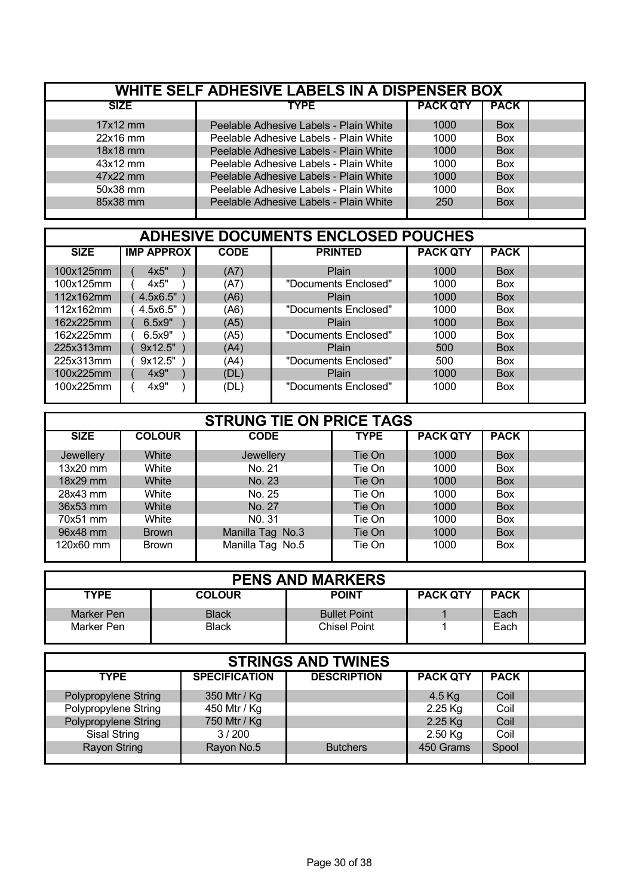| WHITE SELF ADHESIVE LABELS IN A DISPENSER BOX |                                        |                 |             |  |  |  |  |
|-----------------------------------------------|----------------------------------------|-----------------|-------------|--|--|--|--|
| <b>SIZE</b>                                   | <b>TYPE</b>                            | <b>PACK QTY</b> | <b>PACK</b> |  |  |  |  |
| $17x12$ mm                                    | Peelable Adhesive Labels - Plain White | 1000            | <b>Box</b>  |  |  |  |  |
| $22x16$ mm                                    | Peelable Adhesive Labels - Plain White | 1000            | <b>Box</b>  |  |  |  |  |
| 18x18 mm                                      | Peelable Adhesive Labels - Plain White | 1000            | <b>Box</b>  |  |  |  |  |
| $43x12$ mm                                    | Peelable Adhesive Labels - Plain White | 1000            | <b>Box</b>  |  |  |  |  |
| 47x22 mm                                      | Peelable Adhesive Labels - Plain White | 1000            | <b>Box</b>  |  |  |  |  |
| 50x38 mm                                      | Peelable Adhesive Labels - Plain White | 1000            | <b>Box</b>  |  |  |  |  |
| 85x38 mm                                      | Peelable Adhesive Labels - Plain White | 250             | <b>Box</b>  |  |  |  |  |

| <b>ADHESIVE DOCUMENTS ENCLOSED POUCHES</b> |                   |             |                      |                 |             |  |  |  |  |
|--------------------------------------------|-------------------|-------------|----------------------|-----------------|-------------|--|--|--|--|
| <b>SIZE</b>                                | <b>IMP APPROX</b> | <b>CODE</b> | <b>PRINTED</b>       | <b>PACK QTY</b> | <b>PACK</b> |  |  |  |  |
| 100x125mm                                  | 4x5"              | (A7)        | Plain                | 1000            | <b>Box</b>  |  |  |  |  |
| 100x125mm                                  | 4x5"              | (A7)        | "Documents Enclosed" | 1000            | <b>Box</b>  |  |  |  |  |
| 112x162mm                                  | 4.5x6.5"          | (A6)        | Plain                | 1000            | <b>Box</b>  |  |  |  |  |
| 112x162mm                                  | 4.5x6.5"          | (A6)        | "Documents Enclosed" | 1000            | <b>Box</b>  |  |  |  |  |
| 162x225mm                                  | 6.5x9"            | (A5)        | Plain                | 1000            | <b>Box</b>  |  |  |  |  |
| 162x225mm                                  | 6.5x9"            | (A5)        | "Documents Enclosed" | 1000            | <b>Box</b>  |  |  |  |  |
| 225x313mm                                  | 9x12.5"           | (A4)        | Plain                | 500             | <b>Box</b>  |  |  |  |  |
| 225x313mm                                  | 9x12.5"           | (A4)        | "Documents Enclosed" | 500             | <b>Box</b>  |  |  |  |  |
| 100x225mm                                  | 4x9"              | (DL)        | Plain                | 1000            | <b>Box</b>  |  |  |  |  |
| 100x225mm                                  | 4x9"              | (DL)        | "Documents Enclosed" | 1000            | <b>Box</b>  |  |  |  |  |

|             |               | <b>STRUNG TIE ON PRICE TAGS</b> |             |                 |             |  |
|-------------|---------------|---------------------------------|-------------|-----------------|-------------|--|
| <b>SIZE</b> | <b>COLOUR</b> | <b>CODE</b>                     | <b>TYPE</b> | <b>PACK QTY</b> | <b>PACK</b> |  |
| Jewellery   | White         | Jewellery                       | Tie On      | 1000            | <b>Box</b>  |  |
| $13x20$ mm  | White         | No. 21                          | Tie On      | 1000            | <b>Box</b>  |  |
| 18x29 mm    | White         | No. 23                          | Tie On      | 1000            | <b>Box</b>  |  |
| 28x43 mm    | White         | No. 25                          | Tie On      | 1000            | <b>Box</b>  |  |
| 36x53 mm    | White         | No. 27                          | Tie On      | 1000            | <b>Box</b>  |  |
| 70x51 mm    | White         | NO. 31                          | Tie On      | 1000            | <b>Box</b>  |  |
| 96x48 mm    | <b>Brown</b>  | Manilla Tag No.3                | Tie On      | 1000            | <b>Box</b>  |  |
| 120x60 mm   | <b>Brown</b>  | Manilla Tag No.5                | Tie On      | 1000            | <b>Box</b>  |  |

| <b>PENS AND MARKERS</b> |               |                     |                 |             |  |  |  |  |  |  |  |
|-------------------------|---------------|---------------------|-----------------|-------------|--|--|--|--|--|--|--|
| <b>TYPE</b>             | <b>COLOUR</b> | <b>POINT</b>        | <b>PACK QTY</b> | <b>PACK</b> |  |  |  |  |  |  |  |
| Marker Pen              | <b>Black</b>  | <b>Bullet Point</b> |                 | Each        |  |  |  |  |  |  |  |
| Marker Pen              | <b>Black</b>  | <b>Chisel Point</b> |                 | Each        |  |  |  |  |  |  |  |

| <b>STRINGS AND TWINES</b> |                      |                    |                 |             |  |  |  |  |  |  |  |
|---------------------------|----------------------|--------------------|-----------------|-------------|--|--|--|--|--|--|--|
| <b>TYPE</b>               | <b>SPECIFICATION</b> | <b>DESCRIPTION</b> | <b>PACK QTY</b> | <b>PACK</b> |  |  |  |  |  |  |  |
| Polypropylene String      | 350 Mtr / Kg         |                    | 4.5 $Kg$        | Coil        |  |  |  |  |  |  |  |
| Polypropylene String      | 450 Mtr / Kg         |                    | $2.25$ Kg       | Coil        |  |  |  |  |  |  |  |
| Polypropylene String      | 750 Mtr / Kg         |                    | 2.25 Kg         | Coil        |  |  |  |  |  |  |  |
| Sisal String              | 3/200                |                    | $2.50$ Kg       | Coil        |  |  |  |  |  |  |  |
| <b>Rayon String</b>       | Rayon No.5           | <b>Butchers</b>    | 450 Grams       | Spool       |  |  |  |  |  |  |  |
|                           |                      |                    |                 |             |  |  |  |  |  |  |  |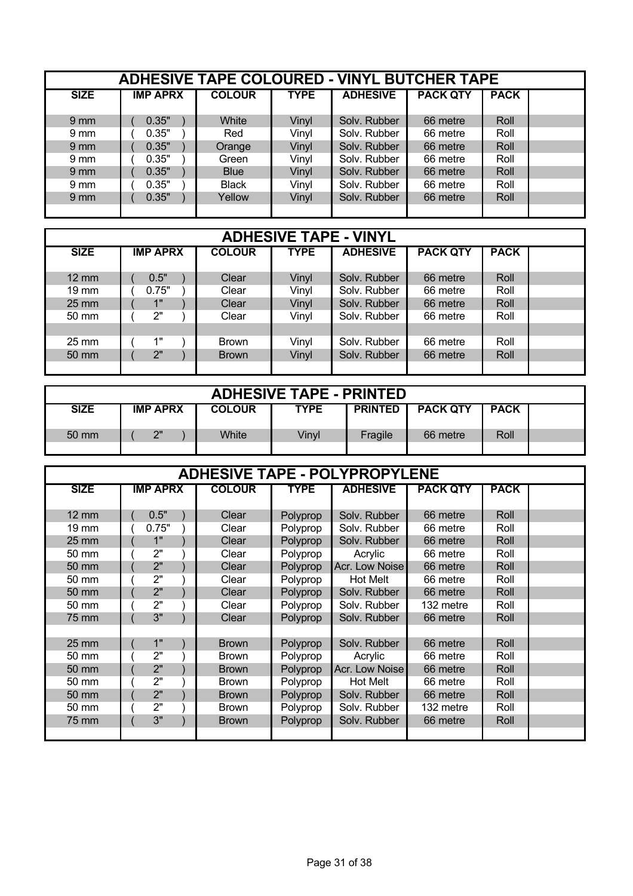|                  | <b>ADHESIVE TAPE COLOURED - VINYL BUTCHER TAPE</b> |               |             |                 |                 |             |  |  |  |  |  |  |
|------------------|----------------------------------------------------|---------------|-------------|-----------------|-----------------|-------------|--|--|--|--|--|--|
| <b>SIZE</b>      | <b>IMP APRX</b>                                    | <b>COLOUR</b> | <b>TYPE</b> | <b>ADHESIVE</b> | <b>PACK QTY</b> | <b>PACK</b> |  |  |  |  |  |  |
| $9 \, \text{mm}$ | 0.35"                                              | White         | Vinyl       | Solv. Rubber    | 66 metre        | Roll        |  |  |  |  |  |  |
| $9 \text{ mm}$   | 0.35"                                              | Red           | Vinyl       | Solv. Rubber    | 66 metre        | Roll        |  |  |  |  |  |  |
| 9 <sub>mm</sub>  | 0.35"                                              | Orange        | Vinyl       | Solv. Rubber    | 66 metre        | Roll        |  |  |  |  |  |  |
| $9 \text{ mm}$   | 0.35"                                              | Green         | Vinyl       | Solv. Rubber    | 66 metre        | Roll        |  |  |  |  |  |  |
| 9 <sub>mm</sub>  | 0.35"                                              | <b>Blue</b>   | Vinyl       | Solv. Rubber    | 66 metre        | Roll        |  |  |  |  |  |  |
| $9 \text{ mm}$   | 0.35"                                              | <b>Black</b>  | Vinyl       | Solv. Rubber    | 66 metre        | Roll        |  |  |  |  |  |  |
| $9 \, \text{mm}$ | 0.35"                                              | Yellow        | Vinyl       | Solv. Rubber    | 66 metre        | Roll        |  |  |  |  |  |  |
|                  |                                                    |               |             |                 |                 |             |  |  |  |  |  |  |

|                   | <b>ADHESIVE TAPE - VINYL</b> |               |             |                 |                 |             |  |  |  |  |  |  |
|-------------------|------------------------------|---------------|-------------|-----------------|-----------------|-------------|--|--|--|--|--|--|
| <b>SIZE</b>       | <b>IMP APRX</b>              | <b>COLOUR</b> | <b>TYPE</b> | <b>ADHESIVE</b> | <b>PACK QTY</b> | <b>PACK</b> |  |  |  |  |  |  |
| $12 \text{ mm}$   | 0.5"                         | Clear         | Vinyl       | Solv. Rubber    | 66 metre        | Roll        |  |  |  |  |  |  |
| $19 \text{ mm}$   | 0.75"                        | Clear         | Vinyl       | Solv. Rubber    | 66 metre        | Roll        |  |  |  |  |  |  |
| $25 \, \text{mm}$ | 1"                           | Clear         | Vinyl       | Solv. Rubber    | 66 metre        | Roll        |  |  |  |  |  |  |
| 50 mm             | 2"                           | Clear         | Vinyl       | Solv. Rubber    | 66 metre        | Roll        |  |  |  |  |  |  |
|                   |                              |               |             |                 |                 |             |  |  |  |  |  |  |
| $25 \text{ mm}$   | 1"                           | <b>Brown</b>  | Vinyl       | Solv. Rubber    | 66 metre        | Roll        |  |  |  |  |  |  |
| $50 \text{ mm}$   | 2"                           | <b>Brown</b>  | Vinyl       | Solv. Rubber    | 66 metre        | Roll        |  |  |  |  |  |  |
|                   |                              |               |             |                 |                 |             |  |  |  |  |  |  |

| <b>ADHESIVE TAPE - PRINTED</b> |  |                 |  |               |             |                |                 |             |  |  |
|--------------------------------|--|-----------------|--|---------------|-------------|----------------|-----------------|-------------|--|--|
| <b>SIZE</b>                    |  | <b>IMP APRX</b> |  | <b>COLOUR</b> | <b>TYPE</b> | <b>PRINTED</b> | <b>PACK QTY</b> | <b>PACK</b> |  |  |
| 50 mm                          |  | 2"              |  | White         | Vinyl       | Fragile        | 66 metre        | Roll        |  |  |
|                                |  |                 |  |               |             |                |                 |             |  |  |

|                   |                 |               |             | <b>ADHESIVE TAPE - POLYPROPYLENE</b> |                 |             |  |
|-------------------|-----------------|---------------|-------------|--------------------------------------|-----------------|-------------|--|
| <b>SIZE</b>       | <b>IMP APRX</b> | <b>COLOUR</b> | <b>TYPE</b> | <b>ADHESIVE</b>                      | <b>PACK QTY</b> | <b>PACK</b> |  |
|                   |                 |               |             |                                      |                 |             |  |
| $12 \, \text{mm}$ | 0.5"            | Clear         | Polyprop    | Solv. Rubber                         | 66 metre        | Roll        |  |
| 19 mm             | 0.75"           | Clear         | Polyprop    | Solv. Rubber                         | 66 metre        | Roll        |  |
| <b>25 mm</b>      | 1"              | Clear         | Polyprop    | Solv. Rubber                         | 66 metre        | Roll        |  |
| 50 mm             | 2"              | Clear         | Polyprop    | Acrylic                              | 66 metre        | Roll        |  |
| 50 mm             | 2"              | Clear         | Polyprop    | Acr. Low Noise                       | 66 metre        | Roll        |  |
| 50 mm             | 2"              | Clear         | Polyprop    | Hot Melt                             | 66 metre        | Roll        |  |
| 50 mm             | 2"              | Clear         | Polyprop    | Solv. Rubber                         | 66 metre        | Roll        |  |
| 50 mm             | 2"              | Clear         | Polyprop    | Solv. Rubber                         | 132 metre       | Roll        |  |
| 75 mm             | 3"              | Clear         | Polyprop    | Solv. Rubber                         | 66 metre        | Roll        |  |
|                   |                 |               |             |                                      |                 |             |  |
| $25 \, \text{mm}$ | 1"              | <b>Brown</b>  | Polyprop    | Solv. Rubber                         | 66 metre        | Roll        |  |
| 50 mm             | 2"              | <b>Brown</b>  | Polyprop    | Acrylic                              | 66 metre        | Roll        |  |
| 50 mm             | 2"              | <b>Brown</b>  | Polyprop    | Acr. Low Noise                       | 66 metre        | Roll        |  |
| 50 mm             | 2"              | <b>Brown</b>  | Polyprop    | Hot Melt                             | 66 metre        | Roll        |  |
| 50 mm             | 2"              | <b>Brown</b>  | Polyprop    | Solv. Rubber                         | 66 metre        | Roll        |  |
| 50 mm             | 2"              | <b>Brown</b>  | Polyprop    | Solv. Rubber                         | 132 metre       | Roll        |  |
| 75 mm             | 3"              | <b>Brown</b>  | Polyprop    | Solv. Rubber                         | 66 metre        | Roll        |  |
|                   |                 |               |             |                                      |                 |             |  |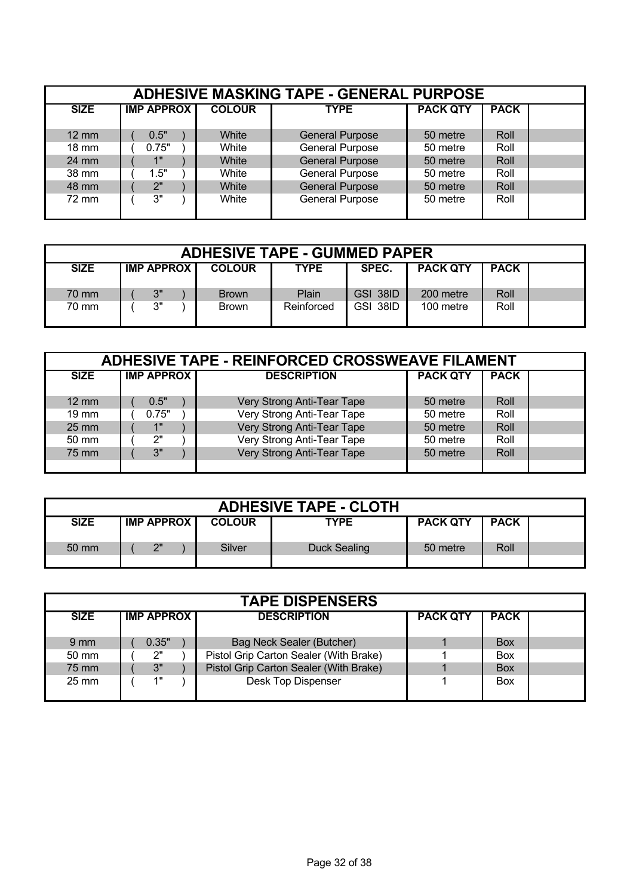|                 | <b>ADHESIVE MASKING TAPE - GENERAL PURPOSE</b> |               |                        |                 |             |  |  |  |  |  |  |  |
|-----------------|------------------------------------------------|---------------|------------------------|-----------------|-------------|--|--|--|--|--|--|--|
| <b>SIZE</b>     | <b>IMP APPROX</b>                              | <b>COLOUR</b> | <b>TYPE</b>            | <b>PACK QTY</b> | <b>PACK</b> |  |  |  |  |  |  |  |
| $12 \text{ mm}$ | 0.5"                                           | White         | <b>General Purpose</b> | 50 metre        | Roll        |  |  |  |  |  |  |  |
| $18 \text{ mm}$ | 0.75"                                          | White         | <b>General Purpose</b> | 50 metre        | Roll        |  |  |  |  |  |  |  |
| $24 \text{ mm}$ | 1"                                             | White         | <b>General Purpose</b> | 50 metre        | Roll        |  |  |  |  |  |  |  |
| 38 mm           | 1.5"                                           | White         | <b>General Purpose</b> | 50 metre        | Roll        |  |  |  |  |  |  |  |
| 48 mm           | 2"                                             | White         | <b>General Purpose</b> | 50 metre        | Roll        |  |  |  |  |  |  |  |
| 72 mm           | 3"                                             | White         | <b>General Purpose</b> | 50 metre        | Roll        |  |  |  |  |  |  |  |

| <b>ADHESIVE TAPE - GUMMED PAPER</b> |  |                     |  |               |             |          |                 |             |  |  |
|-------------------------------------|--|---------------------|--|---------------|-------------|----------|-----------------|-------------|--|--|
| <b>SIZE</b>                         |  | <b>IMP APPROX  </b> |  | <b>COLOUR</b> | <b>TYPE</b> | SPEC.    | <b>PACK QTY</b> | <b>PACK</b> |  |  |
| 70 mm                               |  | 3"                  |  | <b>Brown</b>  | Plain       | GSI 38ID | 200 metre       | Roll        |  |  |
| 70 mm                               |  | 3"                  |  | <b>Brown</b>  | Reinforced  | GSI 38ID | 100 metre       | Roll        |  |  |

|                 | <b>ADHESIVE TAPE - REINFORCED CROSSWEAVE FILAMENT</b> |                            |                 |             |  |  |  |  |  |  |  |  |
|-----------------|-------------------------------------------------------|----------------------------|-----------------|-------------|--|--|--|--|--|--|--|--|
| <b>SIZE</b>     | <b>IMP APPROX</b>                                     | <b>DESCRIPTION</b>         | <b>PACK QTY</b> | <b>PACK</b> |  |  |  |  |  |  |  |  |
|                 |                                                       |                            |                 |             |  |  |  |  |  |  |  |  |
| $12 \text{ mm}$ | 0.5"                                                  | Very Strong Anti-Tear Tape | 50 metre        | Roll        |  |  |  |  |  |  |  |  |
| $19 \text{ mm}$ | 0.75"                                                 | Very Strong Anti-Tear Tape | 50 metre        | Roll        |  |  |  |  |  |  |  |  |
| $25 \text{ mm}$ | 4H                                                    | Very Strong Anti-Tear Tape | 50 metre        | Roll        |  |  |  |  |  |  |  |  |
| $50 \text{ mm}$ | 2"                                                    | Very Strong Anti-Tear Tape | 50 metre        | Roll        |  |  |  |  |  |  |  |  |
| 75 mm           | 3"                                                    | Very Strong Anti-Tear Tape | 50 metre        | Roll        |  |  |  |  |  |  |  |  |
|                 |                                                       |                            |                 |             |  |  |  |  |  |  |  |  |

| <b>ADHESIVE TAPE - CLOTH</b> |  |                   |  |               |              |                 |             |  |  |  |  |
|------------------------------|--|-------------------|--|---------------|--------------|-----------------|-------------|--|--|--|--|
| <b>SIZE</b>                  |  | <b>IMP APPROX</b> |  | <b>COLOUR</b> | <b>TYPE</b>  | <b>PACK QTY</b> | <b>PACK</b> |  |  |  |  |
| $50 \text{ mm}$              |  | つ"                |  | Silver        | Duck Sealing | 50 metre        | Roll        |  |  |  |  |

|                                  | <b>TAPE DISPENSERS</b> |       |  |                                        |                 |             |  |  |  |  |  |  |  |
|----------------------------------|------------------------|-------|--|----------------------------------------|-----------------|-------------|--|--|--|--|--|--|--|
| <b>IMP APPROX</b><br><b>SIZE</b> |                        |       |  | <b>DESCRIPTION</b>                     | <b>PACK QTY</b> | <b>PACK</b> |  |  |  |  |  |  |  |
| $9 \text{ mm}$                   |                        | 0.35" |  | Bag Neck Sealer (Butcher)              |                 | <b>Box</b>  |  |  |  |  |  |  |  |
| $50 \text{ mm}$                  |                        | 2"    |  | Pistol Grip Carton Sealer (With Brake) |                 | <b>Box</b>  |  |  |  |  |  |  |  |
| 75 mm                            |                        | 3"    |  | Pistol Grip Carton Sealer (With Brake) |                 | <b>Box</b>  |  |  |  |  |  |  |  |
| $25 \text{ mm}$                  |                        | 1"    |  | Desk Top Dispenser                     |                 | <b>Box</b>  |  |  |  |  |  |  |  |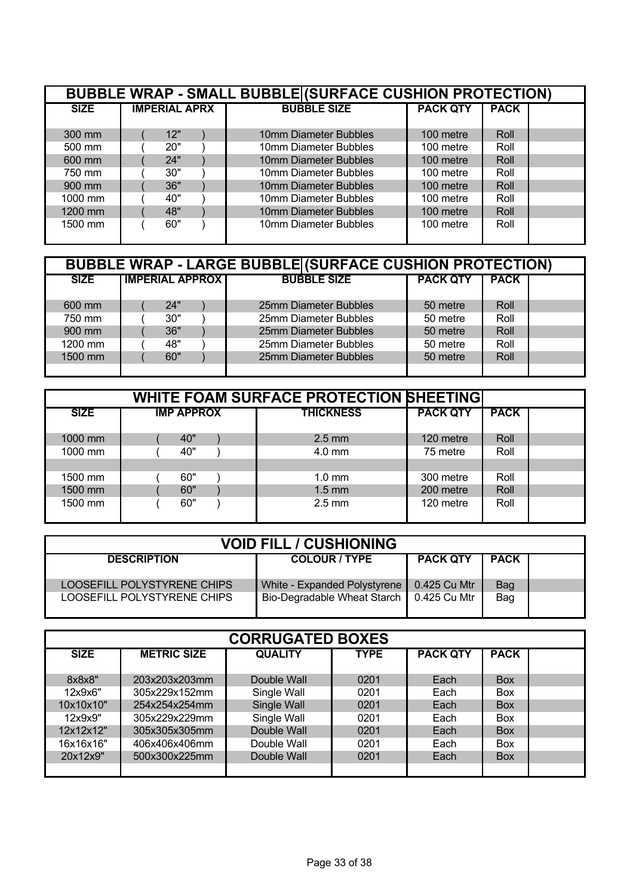| <b>BUBBLE WRAP - SMALL BUBBLE (SURFACE CUSHION PROTECTION)</b> |                      |                       |                 |             |  |  |  |  |  |  |
|----------------------------------------------------------------|----------------------|-----------------------|-----------------|-------------|--|--|--|--|--|--|
| <b>SIZE</b>                                                    | <b>IMPERIAL APRX</b> | <b>BUBBLE SIZE</b>    | <b>PACK QTY</b> | <b>PACK</b> |  |  |  |  |  |  |
|                                                                |                      |                       |                 |             |  |  |  |  |  |  |
| 300 mm                                                         | 12"                  | 10mm Diameter Bubbles | 100 metre       | Roll        |  |  |  |  |  |  |
| 500 mm                                                         | 20"                  | 10mm Diameter Bubbles | 100 metre       | Roll        |  |  |  |  |  |  |
| 600 mm                                                         | 24"                  | 10mm Diameter Bubbles | 100 metre       | Roll        |  |  |  |  |  |  |
| 750 mm                                                         | 30"                  | 10mm Diameter Bubbles | 100 metre       | Roll        |  |  |  |  |  |  |
| 900 mm                                                         | 36"                  | 10mm Diameter Bubbles | 100 metre       | Roll        |  |  |  |  |  |  |
| $1000$ mm                                                      | 40"                  | 10mm Diameter Bubbles | 100 metre       | Roll        |  |  |  |  |  |  |
| 1200 mm                                                        | 48"                  | 10mm Diameter Bubbles | 100 metre       | Roll        |  |  |  |  |  |  |
| 1500 mm                                                        | 60"                  | 10mm Diameter Bubbles | 100 metre       | Roll        |  |  |  |  |  |  |

| <b>BUBBLE WRAP - LARGE BUBBLE (SURFACE CUSHION PROTECTION)</b><br><b>PACK QTY</b> |                        |                       |          |             |  |  |  |  |  |
|-----------------------------------------------------------------------------------|------------------------|-----------------------|----------|-------------|--|--|--|--|--|
| <b>SIZE</b>                                                                       | <b>IMPERIAL APPROX</b> | <b>BUBBLE SIZE</b>    |          | <b>PACK</b> |  |  |  |  |  |
|                                                                                   |                        |                       |          |             |  |  |  |  |  |
| 600 mm                                                                            | 24"                    | 25mm Diameter Bubbles | 50 metre | Roll        |  |  |  |  |  |
| 750 mm                                                                            | 30"                    | 25mm Diameter Bubbles | 50 metre | Roll        |  |  |  |  |  |
| 900 mm                                                                            | 36"                    | 25mm Diameter Bubbles | 50 metre | Roll        |  |  |  |  |  |
| 1200 mm                                                                           | 48"                    | 25mm Diameter Bubbles | 50 metre | Roll        |  |  |  |  |  |
| 1500 mm                                                                           | 60"                    | 25mm Diameter Bubbles | 50 metre | Roll        |  |  |  |  |  |
|                                                                                   |                        |                       |          |             |  |  |  |  |  |

| <b>WHITE FOAM SURFACE PROTECTION SHEETING!</b> |  |                   |  |                  |                 |             |  |  |  |  |
|------------------------------------------------|--|-------------------|--|------------------|-----------------|-------------|--|--|--|--|
| <b>SIZE</b>                                    |  | <b>IMP APPROX</b> |  | <b>THICKNESS</b> | <b>PACK QTY</b> | <b>PACK</b> |  |  |  |  |
|                                                |  |                   |  |                  |                 |             |  |  |  |  |
| 1000 mm                                        |  | 40"               |  | $2.5 \text{ mm}$ | 120 metre       | Roll        |  |  |  |  |
| 1000 mm                                        |  | 40"               |  | $4.0$ mm         | 75 metre        | Roll        |  |  |  |  |
|                                                |  |                   |  |                  |                 |             |  |  |  |  |
| 1500 mm                                        |  | 60"               |  | $1.0 \text{ mm}$ | 300 metre       | Roll        |  |  |  |  |
| 1500 mm                                        |  | 60"               |  | $1.5 \text{ mm}$ | 200 metre       | Roll        |  |  |  |  |
| 1500 mm                                        |  | 60"               |  | $2.5 \text{ mm}$ | 120 metre       | Roll        |  |  |  |  |
|                                                |  |                   |  |                  |                 |             |  |  |  |  |

| <b>VOID FILL / CUSHIONING</b> |                                            |                 |             |  |  |  |  |  |
|-------------------------------|--------------------------------------------|-----------------|-------------|--|--|--|--|--|
| <b>DESCRIPTION</b>            | <b>COLOUR / TYPE</b>                       | <b>PACK QTY</b> | <b>PACK</b> |  |  |  |  |  |
| LOOSEFILL POLYSTYRENE CHIPS   | White - Expanded Polystyrene               | 0.425 Cu Mtr    | Bag         |  |  |  |  |  |
| LOOSEFILL POLYSTYRENE CHIPS   | Bio-Degradable Wheat Starch   0.425 Cu Mtr |                 | Bag         |  |  |  |  |  |

| <b>CORRUGATED BOXES</b> |                    |                |             |                 |             |  |  |  |  |  |
|-------------------------|--------------------|----------------|-------------|-----------------|-------------|--|--|--|--|--|
| <b>SIZE</b>             | <b>METRIC SIZE</b> | <b>QUALITY</b> | <b>TYPE</b> | <b>PACK QTY</b> | <b>PACK</b> |  |  |  |  |  |
| 8x8x8"                  | 203x203x203mm      | Double Wall    | 0201        | Each            | <b>Box</b>  |  |  |  |  |  |
| 12x9x6"                 | 305x229x152mm      | Single Wall    | 0201        | Each            | <b>Box</b>  |  |  |  |  |  |
| 10x10x10"               | 254x254x254mm      | Single Wall    | 0201        | Each            | <b>Box</b>  |  |  |  |  |  |
| 12x9x9"                 | 305x229x229mm      | Single Wall    | 0201        | Each            | <b>Box</b>  |  |  |  |  |  |
| 12x12x12"               | 305x305x305mm      | Double Wall    | 0201        | Each            | <b>Box</b>  |  |  |  |  |  |
| 16x16x16"               | 406x406x406mm      | Double Wall    | 0201        | Each            | <b>Box</b>  |  |  |  |  |  |
| 20x12x9"                | 500x300x225mm      | Double Wall    | 0201        | Each            | <b>Box</b>  |  |  |  |  |  |
|                         |                    |                |             |                 |             |  |  |  |  |  |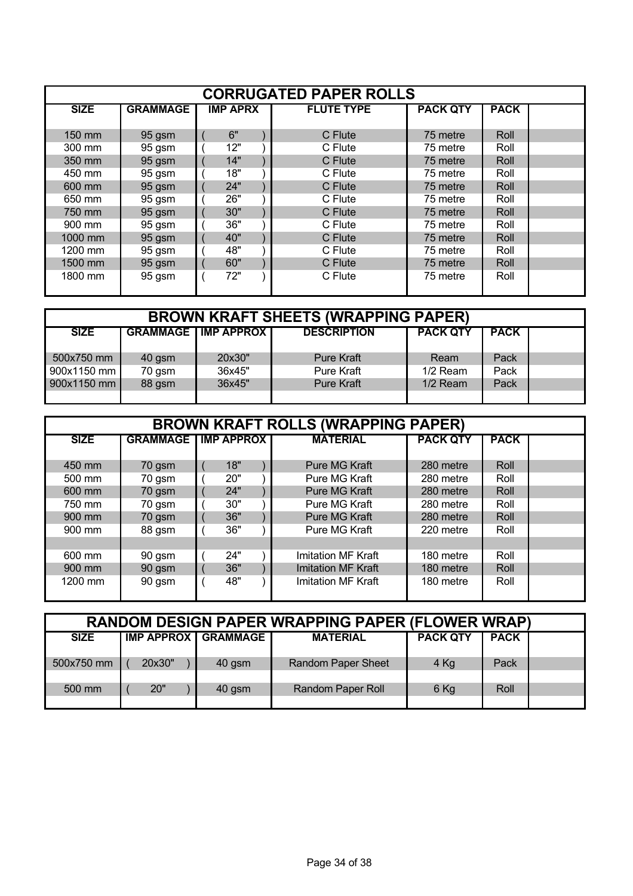| <b>CORRUGATED PAPER ROLLS</b> |                 |                 |                   |                 |             |  |  |  |  |  |
|-------------------------------|-----------------|-----------------|-------------------|-----------------|-------------|--|--|--|--|--|
| <b>SIZE</b>                   | <b>GRAMMAGE</b> | <b>IMP APRX</b> | <b>FLUTE TYPE</b> | <b>PACK QTY</b> | <b>PACK</b> |  |  |  |  |  |
|                               |                 |                 |                   |                 |             |  |  |  |  |  |
| 150 mm                        | 95 gsm          | 6"              | C Flute           | 75 metre        | Roll        |  |  |  |  |  |
| 300 mm                        | 95 gsm          | 12"             | C Flute           | 75 metre        | Roll        |  |  |  |  |  |
| 350 mm                        | 95 gsm          | 14"             | C Flute           | 75 metre        | Roll        |  |  |  |  |  |
| 450 mm                        | 95 gsm          | 18"             | C Flute           | 75 metre        | Roll        |  |  |  |  |  |
| 600 mm                        | 95 gsm          | 24"             | C Flute           | 75 metre        | Roll        |  |  |  |  |  |
| 650 mm                        | 95 gsm          | 26"             | C Flute           | 75 metre        | Roll        |  |  |  |  |  |
| 750 mm                        | 95 gsm          | 30"             | C Flute           | 75 metre        | Roll        |  |  |  |  |  |
| 900 mm                        | 95 gsm          | 36"             | C Flute           | 75 metre        | Roll        |  |  |  |  |  |
| 1000 mm                       | 95 gsm          | 40"             | C Flute           | 75 metre        | Roll        |  |  |  |  |  |
| 1200 mm                       | 95 gsm          | 48"             | C Flute           | 75 metre        | Roll        |  |  |  |  |  |
| 1500 mm                       | 95 gsm          | 60"             | C Flute           | 75 metre        | Roll        |  |  |  |  |  |
| 1800 mm                       | 95 gsm          | 72"             | C Flute           | 75 metre        | Roll        |  |  |  |  |  |

| <b>BROWN KRAFT SHEETS (WRAPPING PAPER)</b> |        |                                |                    |                 |             |  |  |  |  |
|--------------------------------------------|--------|--------------------------------|--------------------|-----------------|-------------|--|--|--|--|
| <b>SIZE</b>                                |        | <b>GRAMMAGE   IMP APPROX  </b> | <b>DESCRIPTION</b> | <b>PACK QTY</b> | <b>PACK</b> |  |  |  |  |
|                                            |        |                                |                    |                 |             |  |  |  |  |
| 500x750 mm                                 | 40 gsm | 20x30"                         | <b>Pure Kraft</b>  | Ream            | Pack        |  |  |  |  |
| 900x1150 mm                                | 70 gsm | 36x45"                         | Pure Kraft         | $1/2$ Ream      | Pack        |  |  |  |  |
| 900x1150 mm                                | 88 gsm | 36x45"                         | <b>Pure Kraft</b>  | $1/2$ Ream      | Pack        |  |  |  |  |
|                                            |        |                                |                    |                 |             |  |  |  |  |

| <b>BROWN KRAFT ROLLS (WRAPPING PAPER)</b> |                 |  |                   |  |                           |                 |             |  |  |  |
|-------------------------------------------|-----------------|--|-------------------|--|---------------------------|-----------------|-------------|--|--|--|
| <b>SIZE</b>                               | <b>GRAMMAGE</b> |  | <b>IMP APPROX</b> |  | <b>MATERIAL</b>           | <b>PACK QTY</b> | <b>PACK</b> |  |  |  |
| 450 mm                                    | 70 gsm          |  | 18"               |  | Pure MG Kraft             | 280 metre       | Roll        |  |  |  |
| 500 mm                                    | 70 gsm          |  | 20"               |  | Pure MG Kraft             | 280 metre       | Roll        |  |  |  |
| 600 mm                                    | 70 gsm          |  | 24"               |  | Pure MG Kraft             | 280 metre       | Roll        |  |  |  |
| 750 mm                                    | 70 gsm          |  | 30"               |  | Pure MG Kraft             | 280 metre       | Roll        |  |  |  |
| 900 mm                                    | 70 gsm          |  | 36"               |  | <b>Pure MG Kraft</b>      | 280 metre       | Roll        |  |  |  |
| 900 mm                                    | 88 gsm          |  | 36"               |  | Pure MG Kraft             | 220 metre       | Roll        |  |  |  |
|                                           |                 |  |                   |  |                           |                 |             |  |  |  |
| 600 mm                                    | 90 gsm          |  | 24"               |  | Imitation MF Kraft        | 180 metre       | Roll        |  |  |  |
| 900 mm                                    | 90 gsm          |  | 36"               |  | <b>Imitation MF Kraft</b> | 180 metre       | Roll        |  |  |  |
| 1200 mm                                   | 90 gsm          |  | 48"               |  | Imitation MF Kraft        | 180 metre       | Roll        |  |  |  |

| <b>RANDOM DESIGN PAPER WRAPPING PAPER (FLOWER WRAP)</b> |        |                       |                           |                 |             |  |  |  |  |
|---------------------------------------------------------|--------|-----------------------|---------------------------|-----------------|-------------|--|--|--|--|
| <b>SIZE</b>                                             |        | IMP APPROX   GRAMMAGE | <b>MATERIAL</b>           | <b>PACK QTY</b> | <b>PACK</b> |  |  |  |  |
| 500x750 mm                                              | 20x30" | 40 gsm                | <b>Random Paper Sheet</b> | $4$ Kg          | Pack        |  |  |  |  |
|                                                         |        |                       |                           |                 |             |  |  |  |  |
| 500 mm                                                  | 20"    | 40 gsm                | Random Paper Roll         | $6$ Kg          | Roll        |  |  |  |  |
|                                                         |        |                       |                           |                 |             |  |  |  |  |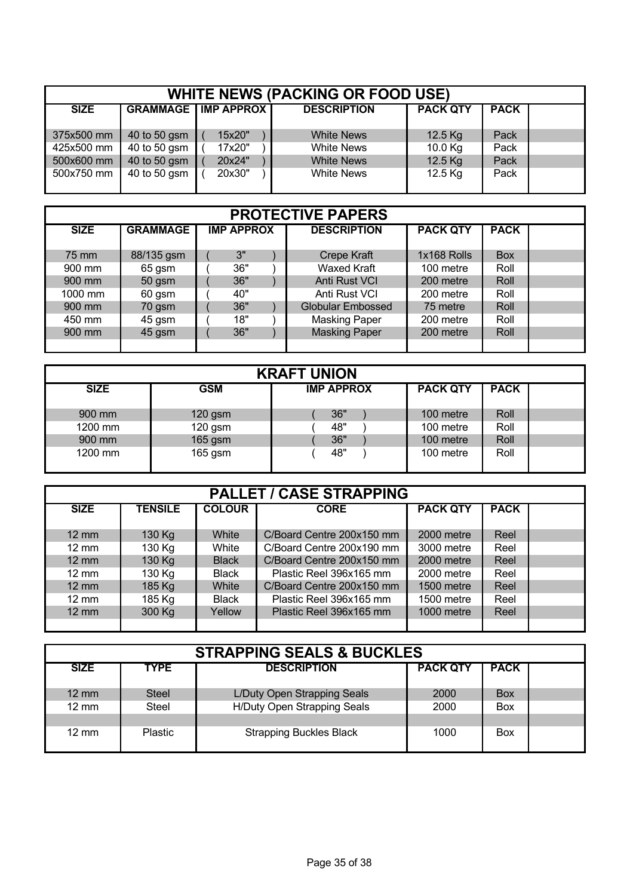| <b>WHITE NEWS (PACKING OR FOOD USE)</b> |              |                              |                    |                 |             |  |  |  |  |
|-----------------------------------------|--------------|------------------------------|--------------------|-----------------|-------------|--|--|--|--|
| <b>SIZE</b>                             |              | <b>GRAMMAGE   IMP APPROX</b> | <b>DESCRIPTION</b> | <b>PACK QTY</b> | <b>PACK</b> |  |  |  |  |
|                                         |              |                              |                    |                 |             |  |  |  |  |
| 375x500 mm                              | 40 to 50 gsm | 15x20"                       | <b>White News</b>  | 12.5 Kg         | Pack        |  |  |  |  |
| 425x500 mm                              | 40 to 50 gsm | 17x20"                       | <b>White News</b>  | 10.0 Kg         | Pack        |  |  |  |  |
| 500x600 mm                              | 40 to 50 gsm | 20x24"                       | <b>White News</b>  | 12.5 Kg         | Pack        |  |  |  |  |
| 500x750 mm                              | 40 to 50 gsm | 20x30"                       | <b>White News</b>  | 12.5 Kg         | Pack        |  |  |  |  |
|                                         |              |                              |                    |                 |             |  |  |  |  |

| <b>PROTECTIVE PAPERS</b> |                 |  |                   |  |                          |                 |             |  |  |  |
|--------------------------|-----------------|--|-------------------|--|--------------------------|-----------------|-------------|--|--|--|
| <b>SIZE</b>              | <b>GRAMMAGE</b> |  | <b>IMP APPROX</b> |  | <b>DESCRIPTION</b>       | <b>PACK QTY</b> | <b>PACK</b> |  |  |  |
| 75 mm                    | 88/135 gsm      |  | 3"                |  | <b>Crepe Kraft</b>       | 1x168 Rolls     | <b>Box</b>  |  |  |  |
| 900 mm                   | 65 gsm          |  | 36"               |  | <b>Waxed Kraft</b>       | 100 metre       | Roll        |  |  |  |
| 900 mm                   | 50 gsm          |  | 36"               |  | <b>Anti Rust VCI</b>     | 200 metre       | Roll        |  |  |  |
| 1000 mm                  | 60 gsm          |  | 40"               |  | Anti Rust VCI            | 200 metre       | Roll        |  |  |  |
| 900 mm                   | 70 gsm          |  | 36"               |  | <b>Globular Embossed</b> | 75 metre        | Roll        |  |  |  |
| 450 mm                   | 45 gsm          |  | 18"               |  | <b>Masking Paper</b>     | 200 metre       | Roll        |  |  |  |
| 900 mm                   | 45 gsm          |  | 36"               |  | <b>Masking Paper</b>     | 200 metre       | Roll        |  |  |  |
|                          |                 |  |                   |  |                          |                 |             |  |  |  |

| <b>KRAFT UNION</b> |            |                   |                 |             |  |  |  |  |  |  |
|--------------------|------------|-------------------|-----------------|-------------|--|--|--|--|--|--|
| <b>SIZE</b>        | <b>GSM</b> | <b>IMP APPROX</b> | <b>PACK QTY</b> | <b>PACK</b> |  |  |  |  |  |  |
|                    |            |                   |                 |             |  |  |  |  |  |  |
| 900 mm             | $120$ gsm  | 36"               | 100 metre       | Roll        |  |  |  |  |  |  |
| 1200 mm            | $120$ gsm  | 48"               | 100 metre       | Roll        |  |  |  |  |  |  |
| 900 mm             | 165 gsm    | 36"               | 100 metre       | Roll        |  |  |  |  |  |  |
| 1200 mm            | $165$ gsm  | 48"               | 100 metre       | Roll        |  |  |  |  |  |  |

| <b>PALLET / CASE STRAPPING</b> |                |               |                           |                 |             |  |  |  |
|--------------------------------|----------------|---------------|---------------------------|-----------------|-------------|--|--|--|
| <b>SIZE</b>                    | <b>TENSILE</b> | <b>COLOUR</b> | <b>CORE</b>               | <b>PACK QTY</b> | <b>PACK</b> |  |  |  |
| $12 \, \text{mm}$              | 130 Kg         | White         | C/Board Centre 200x150 mm | 2000 metre      | Reel        |  |  |  |
| $12 \text{ mm}$                | 130 Kg         | White         | C/Board Centre 200x190 mm | 3000 metre      | Reel        |  |  |  |
| $12 \text{ mm}$                | 130 Kg         | <b>Black</b>  | C/Board Centre 200x150 mm | 2000 metre      | Reel        |  |  |  |
| $12 \text{ mm}$                | 130 Kg         | Black         | Plastic Reel 396x165 mm   | 2000 metre      | Reel        |  |  |  |
| $12 \text{ mm}$                | 185 Kg         | White         | C/Board Centre 200x150 mm | 1500 metre      | Reel        |  |  |  |
| $12 \text{ mm}$                | 185 Kg         | Black         | Plastic Reel 396x165 mm   | 1500 metre      | Reel        |  |  |  |
| $12 \text{ mm}$                | 300 Kg         | Yellow        | Plastic Reel 396x165 mm   | 1000 metre      | Reel        |  |  |  |
|                                |                |               |                           |                 |             |  |  |  |

| <b>STRAPPING SEALS &amp; BUCKLES</b> |                |                                |                 |             |  |  |  |
|--------------------------------------|----------------|--------------------------------|-----------------|-------------|--|--|--|
| <b>SIZE</b>                          | <b>TYPE</b>    | <b>DESCRIPTION</b>             | <b>PACK QTY</b> | <b>PACK</b> |  |  |  |
| $12 \text{ mm}$                      | <b>Steel</b>   | L/Duty Open Strapping Seals    | 2000            | <b>Box</b>  |  |  |  |
| $12 \text{ mm}$                      | Steel          | H/Duty Open Strapping Seals    | 2000            | <b>Box</b>  |  |  |  |
| $12 \text{ mm}$                      | <b>Plastic</b> | <b>Strapping Buckles Black</b> | 1000            | <b>Box</b>  |  |  |  |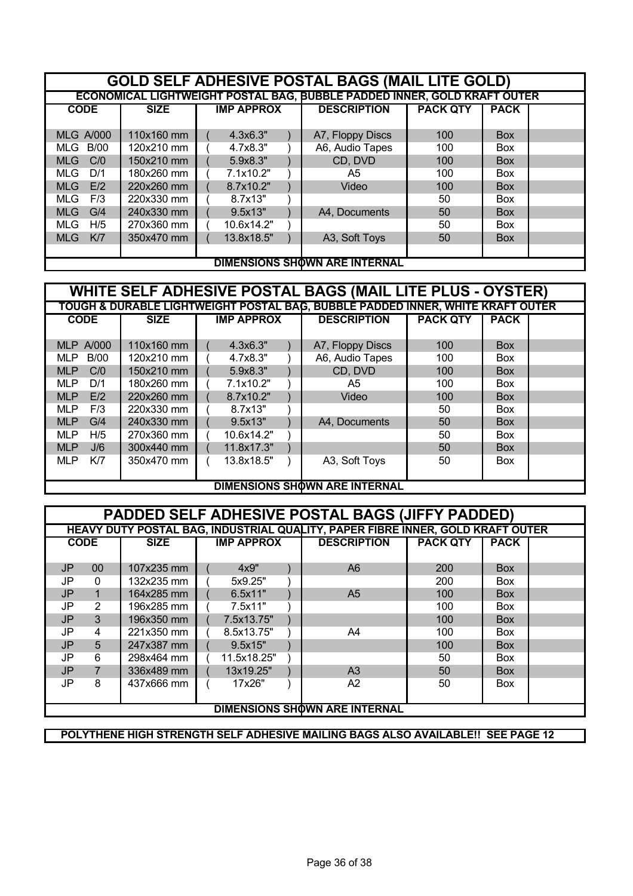| <b>GOLD SELF ADHESIVE POSTAL BAGS (MAIL LITE GOLD)</b> |                                                                          |                   |                                      |                 |             |  |  |  |
|--------------------------------------------------------|--------------------------------------------------------------------------|-------------------|--------------------------------------|-----------------|-------------|--|--|--|
|                                                        | ECONOMICAL LIGHTWEIGHT POSTAL BAG, BUBBLE PADDED INNER, GOLD KRAFT OUTER |                   |                                      |                 |             |  |  |  |
| <b>CODE</b>                                            | <b>SIZE</b>                                                              | <b>IMP APPROX</b> | <b>DESCRIPTION</b>                   | <b>PACK QTY</b> | <b>PACK</b> |  |  |  |
|                                                        |                                                                          |                   |                                      |                 |             |  |  |  |
| <b>MLG A/000</b>                                       | 110x160 mm                                                               | 4.3x6.3"          | A7, Floppy Discs                     | 100             | <b>Box</b>  |  |  |  |
| MLG B/00                                               | 120x210 mm                                                               | 4.7x8.3"          | A6, Audio Tapes                      | 100             | <b>Box</b>  |  |  |  |
| C/0<br><b>MLG</b>                                      | 150x210 mm                                                               | 5.9x8.3"          | CD, DVD                              | 100             | <b>Box</b>  |  |  |  |
| <b>MLG</b><br>D/1                                      | 180x260 mm                                                               | 7.1x10.2"         | A5                                   | 100             | <b>Box</b>  |  |  |  |
| E/2<br><b>MLG</b>                                      | 220x260 mm                                                               | 8.7x10.2"         | Video                                | 100             | <b>Box</b>  |  |  |  |
| F/3<br>MLG.                                            | 220x330 mm                                                               | 8.7x13"           |                                      | 50              | <b>Box</b>  |  |  |  |
| G/4<br><b>MLG</b>                                      | 240x330 mm                                                               | 9.5x13"           | A4, Documents                        | 50              | <b>Box</b>  |  |  |  |
| H/5<br><b>MLG</b>                                      | 270x360 mm                                                               | 10.6x14.2"        |                                      | 50              | <b>Box</b>  |  |  |  |
| K/7<br><b>MLG</b>                                      | 350x470 mm                                                               | 13.8x18.5"        | A3, Soft Toys                        | 50              | <b>Box</b>  |  |  |  |
|                                                        |                                                                          |                   |                                      |                 |             |  |  |  |
|                                                        |                                                                          |                   | <b>DIMENSIONS SHOWN ARE INTERNAL</b> |                 |             |  |  |  |

| WHITE SELF ADHESIVE POSTAL BAGS (MAIL LITE PLUS - OYSTER) |             |                   |                                                                                |                 |             |  |  |
|-----------------------------------------------------------|-------------|-------------------|--------------------------------------------------------------------------------|-----------------|-------------|--|--|
|                                                           |             |                   | TOUGH & DURABLE LIGHTWEIGHT POSTAL BAG, BUBBLE PADDED INNER, WHITE KRAFT OUTER |                 |             |  |  |
| <b>CODE</b>                                               | <b>SIZE</b> | <b>IMP APPROX</b> | <b>DESCRIPTION</b>                                                             | <b>PACK QTY</b> | <b>PACK</b> |  |  |
|                                                           |             |                   |                                                                                |                 |             |  |  |
| <b>MLP A/000</b>                                          | 110x160 mm  | 4.3x6.3"          | A7, Floppy Discs                                                               | 100             | <b>Box</b>  |  |  |
| <b>B/00</b><br><b>MLP</b>                                 | 120x210 mm  | 4.7x8.3"          | A6, Audio Tapes                                                                | 100             | <b>Box</b>  |  |  |
| <b>MLP</b><br>C/0                                         | 150x210 mm  | 5.9x8.3"          | CD, DVD                                                                        | 100             | <b>Box</b>  |  |  |
| ML P<br>D/1                                               | 180x260 mm  | 7.1x10.2"         | A5                                                                             | 100             | <b>Box</b>  |  |  |
| <b>MLP</b><br>E/2                                         | 220x260 mm  | 8.7x10.2"         | Video                                                                          | 100             | <b>Box</b>  |  |  |
| <b>MLP</b><br>F/3                                         | 220x330 mm  | 8.7x13"           |                                                                                | 50              | <b>Box</b>  |  |  |
| <b>MLP</b><br>G/4                                         | 240x330 mm  | 9.5x13"           | A4, Documents                                                                  | 50              | <b>Box</b>  |  |  |
| H/5<br><b>MLP</b>                                         | 270x360 mm  | 10.6x14.2"        |                                                                                | 50              | <b>Box</b>  |  |  |
| <b>MLP</b><br>J/6                                         | 300x440 mm  | 11.8x17.3"        |                                                                                | 50              | <b>Box</b>  |  |  |
| K/7<br><b>MLP</b>                                         | 350x470 mm  | 13.8x18.5"        | A3, Soft Toys                                                                  | 50              | <b>Box</b>  |  |  |
|                                                           |             |                   |                                                                                |                 |             |  |  |
|                                                           |             |                   | <b>DIMENSIONS SHOWN ARE INTERNAL</b>                                           |                 |             |  |  |

| PADDED SELF ADHESIVE POSTAL BAGS (JIFFY PADDED) |                                                                                |             |                   |  |                    |                 |             |  |  |
|-------------------------------------------------|--------------------------------------------------------------------------------|-------------|-------------------|--|--------------------|-----------------|-------------|--|--|
|                                                 | HEAVY DUTY POSTAL BAG, INDUSTRIAL QUALITY, PAPER FIBRE INNER, GOLD KRAFT OUTER |             |                   |  |                    |                 |             |  |  |
| <b>CODE</b>                                     |                                                                                | <b>SIZE</b> | <b>IMP APPROX</b> |  | <b>DESCRIPTION</b> | <b>PACK QTY</b> | <b>PACK</b> |  |  |
|                                                 |                                                                                |             |                   |  |                    |                 |             |  |  |
| JP                                              | $00\,$                                                                         | 107x235 mm  | 4x9"              |  | A <sub>6</sub>     | 200             | <b>Box</b>  |  |  |
| JP                                              | 0                                                                              | 132x235 mm  | 5x9.25"           |  |                    | 200             | <b>Box</b>  |  |  |
| <b>JP</b>                                       | $\mathbf{1}$                                                                   | 164x285 mm  | 6.5x11"           |  | A <sub>5</sub>     | 100             | <b>Box</b>  |  |  |
| JP                                              | $\overline{2}$                                                                 | 196x285 mm  | 7.5x11"           |  |                    | 100             | <b>Box</b>  |  |  |
| <b>JP</b>                                       | 3                                                                              | 196x350 mm  | 7.5x13.75"        |  |                    | 100             | Box         |  |  |
| JP                                              | 4                                                                              | 221x350 mm  | 8.5x13.75"        |  | A4                 | 100             | <b>Box</b>  |  |  |
| <b>JP</b>                                       | 5                                                                              | 247x387 mm  | 9.5x15"           |  |                    | 100             | <b>Box</b>  |  |  |
| <b>JP</b>                                       | 6                                                                              | 298x464 mm  | 11.5x18.25"       |  |                    | 50              | <b>Box</b>  |  |  |
| <b>JP</b>                                       | $\overline{7}$                                                                 | 336x489 mm  | 13x19.25"         |  | A <sub>3</sub>     | 50              | <b>Box</b>  |  |  |
| JP                                              | 8                                                                              | 437x666 mm  | 17x26"            |  | A2                 | 50              | <b>Box</b>  |  |  |
|                                                 |                                                                                |             |                   |  |                    |                 |             |  |  |
|                                                 | <b>DIMENSIONS SHOWN ARE INTERNAL</b>                                           |             |                   |  |                    |                 |             |  |  |

**POLYTHENE HIGH STRENGTH SELF ADHESIVE MAILING BAGS ALSO AVAILABLE!! SEE PAGE 12**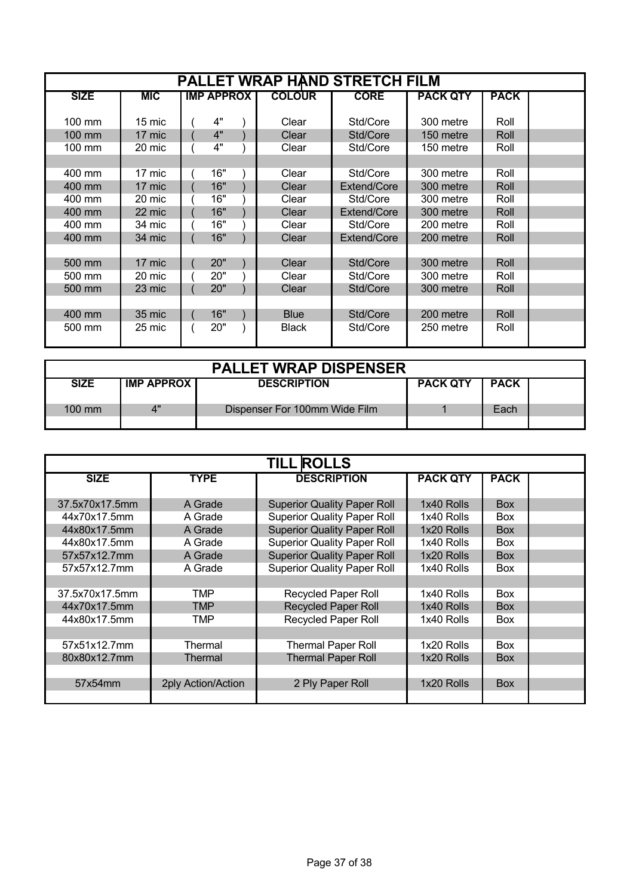| <b>PALLET WRAP HAND STRETCH FILM</b> |            |                   |  |               |             |                 |             |  |
|--------------------------------------|------------|-------------------|--|---------------|-------------|-----------------|-------------|--|
| <b>SIZE</b>                          | <b>MIC</b> | <b>IMP APPROX</b> |  | <b>COLOUR</b> | <b>CORE</b> | <b>PACK QTY</b> | <b>PACK</b> |  |
|                                      |            |                   |  |               |             |                 |             |  |
| $100 \text{ mm}$                     | 15 mic     | 4"                |  | Clear         | Std/Core    | 300 metre       | Roll        |  |
| 100 mm                               | 17 mic     | 4"                |  | Clear         | Std/Core    | 150 metre       | Roll        |  |
| $100 \text{ mm}$                     | 20 mic     | 4"                |  | Clear         | Std/Core    | 150 metre       | Roll        |  |
|                                      |            |                   |  |               |             |                 |             |  |
| 400 mm                               | 17 mic     | 16"               |  | Clear         | Std/Core    | 300 metre       | Roll        |  |
| 400 mm                               | 17 mic     | 16"               |  | Clear         | Extend/Core | 300 metre       | Roll        |  |
| 400 mm                               | 20 mic     | 16"               |  | Clear         | Std/Core    | 300 metre       | Roll        |  |
| 400 mm                               | 22 mic     | 16"               |  | Clear         | Extend/Core | 300 metre       | Roll        |  |
| 400 mm                               | 34 mic     | 16"               |  | Clear         | Std/Core    | 200 metre       | Roll        |  |
| 400 mm                               | 34 mic     | 16"               |  | Clear         | Extend/Core | 200 metre       | Roll        |  |
|                                      |            |                   |  |               |             |                 |             |  |
| 500 mm                               | 17 mic     | 20"               |  | Clear         | Std/Core    | 300 metre       | Roll        |  |
| 500 mm                               | 20 mic     | 20"               |  | Clear         | Std/Core    | 300 metre       | Roll        |  |
| 500 mm                               | 23 mic     | 20"               |  | Clear         | Std/Core    | 300 metre       | Roll        |  |
|                                      |            |                   |  |               |             |                 |             |  |
| 400 mm                               | 35 mic     | 16"               |  | <b>Blue</b>   | Std/Core    | 200 metre       | Roll        |  |
| 500 mm                               | 25 mic     | 20"               |  | <b>Black</b>  | Std/Core    | 250 metre       | Roll        |  |
|                                      |            |                   |  |               |             |                 |             |  |

| <b>PALLET WRAP DISPENSER</b> |                     |                               |                 |             |  |  |  |
|------------------------------|---------------------|-------------------------------|-----------------|-------------|--|--|--|
| <b>SIZE</b>                  | <b>IMP APPROX I</b> | <b>DESCRIPTION</b>            | <b>PACK QTY</b> | <b>PACK</b> |  |  |  |
| $100 \text{ mm}$             | $\Lambda$ "         | Dispenser For 100mm Wide Film |                 | Each        |  |  |  |
|                              |                     |                               |                 |             |  |  |  |

| <b>TILL ROLLS</b> |                    |                                    |                 |             |  |  |  |  |
|-------------------|--------------------|------------------------------------|-----------------|-------------|--|--|--|--|
| <b>SIZE</b>       | <b>TYPE</b>        | <b>DESCRIPTION</b>                 | <b>PACK QTY</b> | <b>PACK</b> |  |  |  |  |
|                   |                    |                                    |                 |             |  |  |  |  |
| 37.5x70x17.5mm    | A Grade            | <b>Superior Quality Paper Roll</b> | 1x40 Rolls      | <b>Box</b>  |  |  |  |  |
| 44x70x17.5mm      | A Grade            | <b>Superior Quality Paper Roll</b> | 1x40 Rolls      | <b>Box</b>  |  |  |  |  |
| 44x80x17.5mm      | A Grade            | <b>Superior Quality Paper Roll</b> | 1x20 Rolls      | <b>Box</b>  |  |  |  |  |
| 44x80x17.5mm      | A Grade            | <b>Superior Quality Paper Roll</b> | 1x40 Rolls      | <b>Box</b>  |  |  |  |  |
| 57x57x12.7mm      | A Grade            | <b>Superior Quality Paper Roll</b> | 1x20 Rolls      | <b>Box</b>  |  |  |  |  |
| 57x57x12.7mm      | A Grade            | <b>Superior Quality Paper Roll</b> | 1x40 Rolls      | <b>Box</b>  |  |  |  |  |
|                   |                    |                                    |                 |             |  |  |  |  |
| 37.5x70x17.5mm    | TMP                | <b>Recycled Paper Roll</b>         | 1x40 Rolls      | Box         |  |  |  |  |
| 44x70x17.5mm      | <b>TMP</b>         | <b>Recycled Paper Roll</b>         | 1x40 Rolls      | <b>Box</b>  |  |  |  |  |
| 44x80x17.5mm      | TMP                | <b>Recycled Paper Roll</b>         | 1x40 Rolls      | <b>Box</b>  |  |  |  |  |
|                   |                    |                                    |                 |             |  |  |  |  |
| 57x51x12.7mm      | Thermal            | <b>Thermal Paper Roll</b>          | 1x20 Rolls      | Box         |  |  |  |  |
| 80x80x12.7mm      | Thermal            | <b>Thermal Paper Roll</b>          | 1x20 Rolls      | <b>Box</b>  |  |  |  |  |
|                   |                    |                                    |                 |             |  |  |  |  |
| 57x54mm           | 2ply Action/Action | 2 Ply Paper Roll                   | 1x20 Rolls      | <b>Box</b>  |  |  |  |  |
|                   |                    |                                    |                 |             |  |  |  |  |